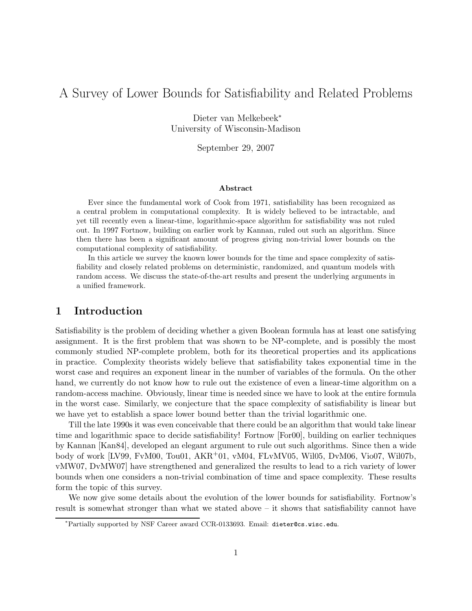# A Survey of Lower Bounds for Satisfiability and Related Problems

Dieter van Melkebeek<sup>∗</sup> University of Wisconsin-Madison

September 29, 2007

#### Abstract

Ever since the fundamental work of Cook from 1971, satisfiability has been recognized as a central problem in computational complexity. It is widely believed to be intractable, and yet till recently even a linear-time, logarithmic-space algorithm for satisfiability was not ruled out. In 1997 Fortnow, building on earlier work by Kannan, ruled out such an algorithm. Since then there has been a significant amount of progress giving non-trivial lower bounds on the computational complexity of satisfiability.

In this article we survey the known lower bounds for the time and space complexity of satisfiability and closely related problems on deterministic, randomized, and quantum models with random access. We discuss the state-of-the-art results and present the underlying arguments in a unified framework.

# 1 Introduction

Satisfiability is the problem of deciding whether a given Boolean formula has at least one satisfying assignment. It is the first problem that was shown to be NP-complete, and is possibly the most commonly studied NP-complete problem, both for its theoretical properties and its applications in practice. Complexity theorists widely believe that satisfiability takes exponential time in the worst case and requires an exponent linear in the number of variables of the formula. On the other hand, we currently do not know how to rule out the existence of even a linear-time algorithm on a random-access machine. Obviously, linear time is needed since we have to look at the entire formula in the worst case. Similarly, we conjecture that the space complexity of satisfiability is linear but we have yet to establish a space lower bound better than the trivial logarithmic one.

Till the late 1990s it was even conceivable that there could be an algorithm that would take linear time and logarithmic space to decide satisfiability! Fortnow [For00], building on earlier techniques by Kannan [Kan84], developed an elegant argument to rule out such algorithms. Since then a wide body of work [LV99, FvM00, Tou01, AKR+01, vM04, FLvMV05, Wil05, DvM06, Vio07, Wil07b, vMW07, DvMW07] have strengthened and generalized the results to lead to a rich variety of lower bounds when one considers a non-trivial combination of time and space complexity. These results form the topic of this survey.

We now give some details about the evolution of the lower bounds for satisfiability. Fortnow's result is somewhat stronger than what we stated above – it shows that satisfiability cannot have

<sup>∗</sup>Partially supported by NSF Career award CCR-0133693. Email: dieter@cs.wisc.edu.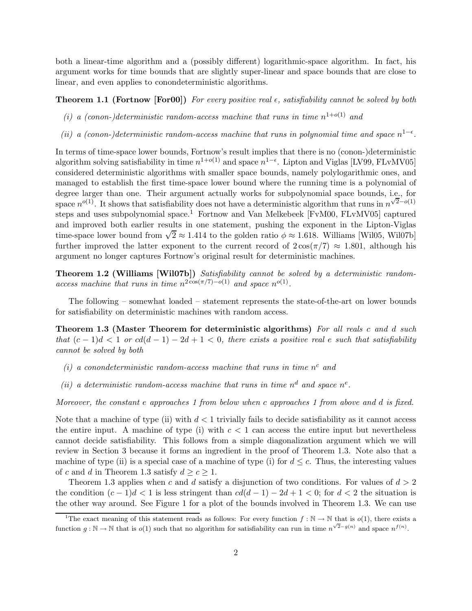both a linear-time algorithm and a (possibly different) logarithmic-space algorithm. In fact, his argument works for time bounds that are slightly super-linear and space bounds that are close to linear, and even applies to conondeterministic algorithms.

**Theorem 1.1 (Fortnow [For00])** For every positive real  $\epsilon$ , satisfiability cannot be solved by both

- (i) a (conon-)deterministic random-access machine that runs in time  $n^{1+o(1)}$  and
- (ii) a (conon-)deterministic random-access machine that runs in polynomial time and space  $n^{1-\epsilon}$ .

In terms of time-space lower bounds, Fortnow's result implies that there is no (conon-)deterministic algorithm solving satisfiability in time  $n^{1+o(1)}$  and space  $n^{1-\epsilon}$ . Lipton and Viglas [LV99, FLvMV05] considered deterministic algorithms with smaller space bounds, namely polylogarithmic ones, and managed to establish the first time-space lower bound where the running time is a polynomial of degree larger than one. Their argument actually works for subpolynomial space bounds, i.e., for space  $n^{o(1)}$ . It shows that satisfiability does not have a deterministic algorithm that runs in  $n^{\sqrt{2}-o(1)}$ steps and uses subpolynomial space.<sup>1</sup> Fortnow and Van Melkebeek [FvM00, FLvMV05] captured and improved both earlier results in one statement, pushing the exponent in the Lipton-Viglas time-space lower bound from  $\sqrt{2} \approx 1.414$  to the golden ratio  $\phi \approx 1.618$ . Williams [Wil05, Wil07b] further improved the latter exponent to the current record of  $2\cos(\pi/7) \approx 1.801$ , although his argument no longer captures Fortnow's original result for deterministic machines.

Theorem 1.2 (Williams [Wil07b]) Satisfiability cannot be solved by a deterministic randomaccess machine that runs in time  $n^{2\cos(\pi/7)-o(1)}$  and space  $n^{o(1)}$ .

The following – somewhat loaded – statement represents the state-of-the-art on lower bounds for satisfiability on deterministic machines with random access.

**Theorem 1.3 (Master Theorem for deterministic algorithms)** For all reals c and d such that  $(c-1)d < 1$  or  $cd(d-1)-2d+1 < 0$ , there exists a positive real e such that satisfiability cannot be solved by both

- (i) a conondeterministic random-access machine that runs in time  $n<sup>c</sup>$  and
- (ii) a deterministic random-access machine that runs in time  $n^d$  and space  $n^e$ .

Moreover, the constant e approaches 1 from below when c approaches 1 from above and d is fixed.

Note that a machine of type (ii) with  $d < 1$  trivially fails to decide satisfiability as it cannot access the entire input. A machine of type (i) with  $c < 1$  can access the entire input but nevertheless cannot decide satisfiability. This follows from a simple diagonalization argument which we will review in Section 3 because it forms an ingredient in the proof of Theorem 1.3. Note also that a machine of type (ii) is a special case of a machine of type (i) for  $d \leq c$ . Thus, the interesting values of c and d in Theorem 1.3 satisfy  $d \geq c \geq 1$ .

Theorem 1.3 applies when c and d satisfy a disjunction of two conditions. For values of  $d > 2$ the condition  $(c-1)d < 1$  is less stringent than  $cd(d-1) - 2d + 1 < 0$ ; for  $d < 2$  the situation is the other way around. See Figure 1 for a plot of the bounds involved in Theorem 1.3. We can use

<sup>&</sup>lt;sup>1</sup>The exact meaning of this statement reads as follows: For every function  $f : \mathbb{N} \to \mathbb{N}$  that is  $o(1)$ , there exists a function  $g : \mathbb{N} \to \mathbb{N}$  that is  $o(1)$  such that no algorithm for satisfiability can run in time  $n^{\sqrt{2}-g(n)}$  and space  $n^{f(n)}$ .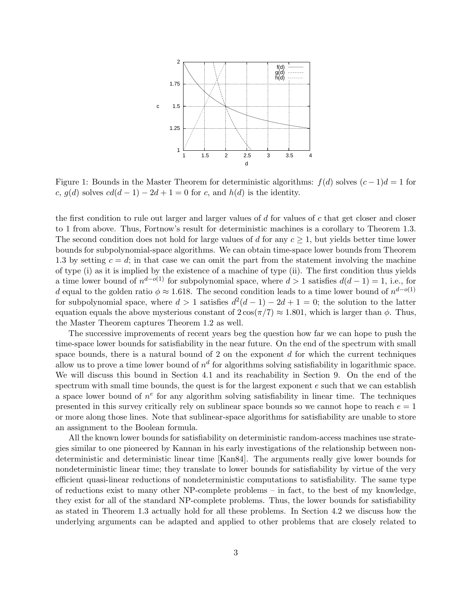

Figure 1: Bounds in the Master Theorem for deterministic algorithms:  $f(d)$  solves  $(c-1)d = 1$  for c,  $g(d)$  solves  $cd(d-1) - 2d + 1 = 0$  for c, and  $h(d)$  is the identity.

the first condition to rule out larger and larger values of  $d$  for values of  $c$  that get closer and closer to 1 from above. Thus, Fortnow's result for deterministic machines is a corollary to Theorem 1.3. The second condition does not hold for large values of d for any  $c \geq 1$ , but yields better time lower bounds for subpolynomial-space algorithms. We can obtain time-space lower bounds from Theorem 1.3 by setting  $c = d$ ; in that case we can omit the part from the statement involving the machine of type (i) as it is implied by the existence of a machine of type (ii). The first condition thus yields a time lower bound of  $n^{d-o(1)}$  for subpolynomial space, where  $d > 1$  satisfies  $d(d-1) = 1$ , i.e., for d equal to the golden ratio  $\phi \approx 1.618$ . The second condition leads to a time lower bound of  $n^{d-o(1)}$ for subpolynomial space, where  $d > 1$  satisfies  $d^2(d-1) - 2d + 1 = 0$ ; the solution to the latter equation equals the above mysterious constant of  $2\cos(\pi/7) \approx 1.801$ , which is larger than  $\phi$ . Thus, the Master Theorem captures Theorem 1.2 as well.

The successive improvements of recent years beg the question how far we can hope to push the time-space lower bounds for satisfiability in the near future. On the end of the spectrum with small space bounds, there is a natural bound of 2 on the exponent  $d$  for which the current techniques allow us to prove a time lower bound of  $n^d$  for algorithms solving satisfiability in logarithmic space. We will discuss this bound in Section 4.1 and its reachability in Section 9. On the end of the spectrum with small time bounds, the quest is for the largest exponent  $e$  such that we can establish a space lower bound of  $n^e$  for any algorithm solving satisfiability in linear time. The techniques presented in this survey critically rely on sublinear space bounds so we cannot hope to reach  $e = 1$ or more along those lines. Note that sublinear-space algorithms for satisfiability are unable to store an assignment to the Boolean formula.

All the known lower bounds for satisfiability on deterministic random-access machines use strategies similar to one pioneered by Kannan in his early investigations of the relationship between nondeterministic and deterministic linear time [Kan84]. The arguments really give lower bounds for nondeterministic linear time; they translate to lower bounds for satisfiability by virtue of the very efficient quasi-linear reductions of nondeterministic computations to satisfiability. The same type of reductions exist to many other NP-complete problems – in fact, to the best of my knowledge, they exist for all of the standard NP-complete problems. Thus, the lower bounds for satisfiability as stated in Theorem 1.3 actually hold for all these problems. In Section 4.2 we discuss how the underlying arguments can be adapted and applied to other problems that are closely related to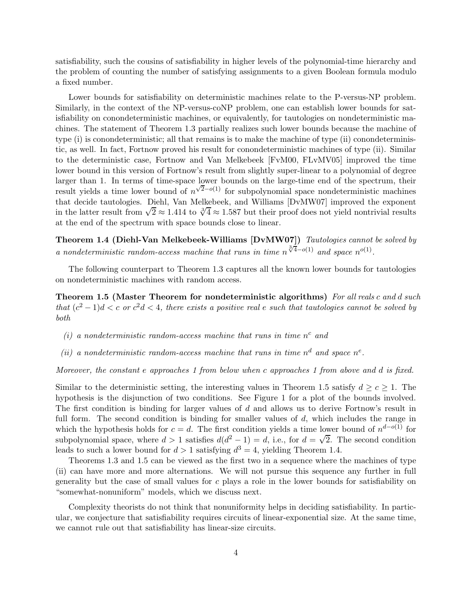satisfiability, such the cousins of satisfiability in higher levels of the polynomial-time hierarchy and the problem of counting the number of satisfying assignments to a given Boolean formula modulo a fixed number.

Lower bounds for satisfiability on deterministic machines relate to the P-versus-NP problem. Similarly, in the context of the NP-versus-coNP problem, one can establish lower bounds for satisfiability on conondeterministic machines, or equivalently, for tautologies on nondeterministic machines. The statement of Theorem 1.3 partially realizes such lower bounds because the machine of type (i) is conondeterministic; all that remains is to make the machine of type (ii) conondeterministic, as well. In fact, Fortnow proved his result for conondeterministic machines of type (ii). Similar to the deterministic case, Fortnow and Van Melkebeek [FvM00, FLvMV05] improved the time lower bound in this version of Fortnow's result from slightly super-linear to a polynomial of degree larger than 1. In terms of time-space lower bounds on the large-time end of the spectrum, their result yields a time lower bound of  $n^{\sqrt{2}-o(1)}$  for subpolynomial space nondeterministic machines that decide tautologies. Diehl, Van Melkebeek, and Williams [DvMW07] improved the exponent in the latter result from  $\sqrt{2} \approx 1.414$  to  $\sqrt[3]{4} \approx 1.587$  but their proof does not yield nontrivial results at the end of the spectrum with space bounds close to linear.

Theorem 1.4 (Diehl-Van Melkebeek-Williams [DvMW07]) Tautologies cannot be solved by a nondeterministic random-access machine that runs in time  $n^{\sqrt[3]{4}-o(1)}$  and space  $n^{o(1)}$ .

The following counterpart to Theorem 1.3 captures all the known lower bounds for tautologies on nondeterministic machines with random access.

Theorem 1.5 (Master Theorem for nondeterministic algorithms) For all reals c and d such that  $(c^2-1)d < c$  or  $c^2d < 4$ , there exists a positive real e such that tautologies cannot be solved by both

- (i) a nondeterministic random-access machine that runs in time  $n<sup>c</sup>$  and
- (ii) a nondeterministic random-access machine that runs in time  $n^d$  and space  $n^e$ .

Moreover, the constant e approaches 1 from below when c approaches 1 from above and d is fixed.

Similar to the deterministic setting, the interesting values in Theorem 1.5 satisfy  $d \geq c \geq 1$ . The hypothesis is the disjunction of two conditions. See Figure 1 for a plot of the bounds involved. The first condition is binding for larger values of d and allows us to derive Fortnow's result in full form. The second condition is binding for smaller values of d, which includes the range in which the hypothesis holds for  $c = d$ . The first condition yields a time lower bound of  $n^{d-o(1)}$  for subpolynomial space, where  $d > 1$  satisfies  $d(d^2 - 1) = d$ , i.e., for  $d = \sqrt{2}$ . The second condition leads to such a lower bound for  $d > 1$  satisfying  $d^3 = 4$ , yielding Theorem 1.4.

Theorems 1.3 and 1.5 can be viewed as the first two in a sequence where the machines of type (ii) can have more and more alternations. We will not pursue this sequence any further in full generality but the case of small values for c plays a role in the lower bounds for satisfiability on "somewhat-nonuniform" models, which we discuss next.

Complexity theorists do not think that nonuniformity helps in deciding satisfiability. In particular, we conjecture that satisfiability requires circuits of linear-exponential size. At the same time, we cannot rule out that satisfiability has linear-size circuits.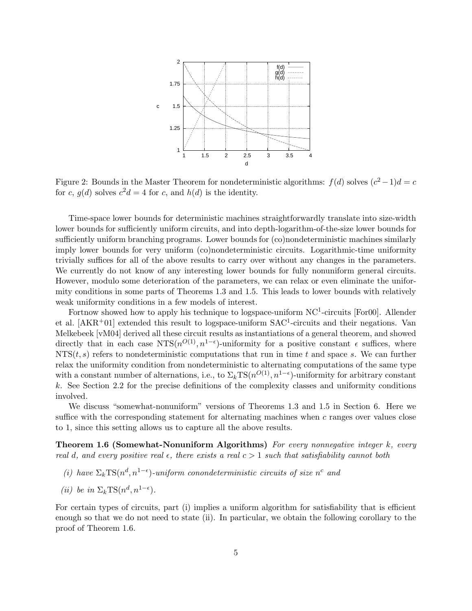

Figure 2: Bounds in the Master Theorem for nondeterministic algorithms:  $f(d)$  solves  $(c^2 - 1)d = c$ for c,  $g(d)$  solves  $c^2d = 4$  for c, and  $h(d)$  is the identity.

Time-space lower bounds for deterministic machines straightforwardly translate into size-width lower bounds for sufficiently uniform circuits, and into depth-logarithm-of-the-size lower bounds for sufficiently uniform branching programs. Lower bounds for (co)nondeterministic machines similarly imply lower bounds for very uniform (co)nondeterministic circuits. Logarithmic-time uniformity trivially suffices for all of the above results to carry over without any changes in the parameters. We currently do not know of any interesting lower bounds for fully nonuniform general circuits. However, modulo some deterioration of the parameters, we can relax or even eliminate the uniformity conditions in some parts of Theorems 1.3 and 1.5. This leads to lower bounds with relatively weak uniformity conditions in a few models of interest.

Fortnow showed how to apply his technique to logspace-uniform  $NC<sup>1</sup>$ -circuits [For00]. Allender et al.  $[AKR<sup>+</sup>01]$  extended this result to logspace-uniform  $SAC<sup>1</sup>$ -circuits and their negations. Van Melkebeek [vM04] derived all these circuit results as instantiations of a general theorem, and showed directly that in each case NTS $(n^{O(1)}, n^{1-\epsilon})$ -uniformity for a positive constant  $\epsilon$  suffices, where  $NTS(t, s)$  refers to nondeterministic computations that run in time t and space s. We can further relax the uniformity condition from nondeterministic to alternating computations of the same type with a constant number of alternations, i.e., to  $\Sigma_k TS(n^{O(1)}, n^{1-\epsilon})$ -uniformity for arbitrary constant k. See Section 2.2 for the precise definitions of the complexity classes and uniformity conditions involved.

We discuss "somewhat-nonuniform" versions of Theorems 1.3 and 1.5 in Section 6. Here we suffice with the corresponding statement for alternating machines when  $c$  ranges over values close to 1, since this setting allows us to capture all the above results.

**Theorem 1.6 (Somewhat-Nonuniform Algorithms)** For every nonnegative integer k, every real d, and every positive real  $\epsilon$ , there exists a real  $\epsilon > 1$  such that satisfiability cannot both

- (i) have  $\Sigma_k TS(n^d, n^{1-\epsilon})$ -uniform conondeterministic circuits of size  $n^c$  and
- (*ii*) be in  $\Sigma_k TS(n^d, n^{1-\epsilon})$ .

For certain types of circuits, part (i) implies a uniform algorithm for satisfiability that is efficient enough so that we do not need to state (ii). In particular, we obtain the following corollary to the proof of Theorem 1.6.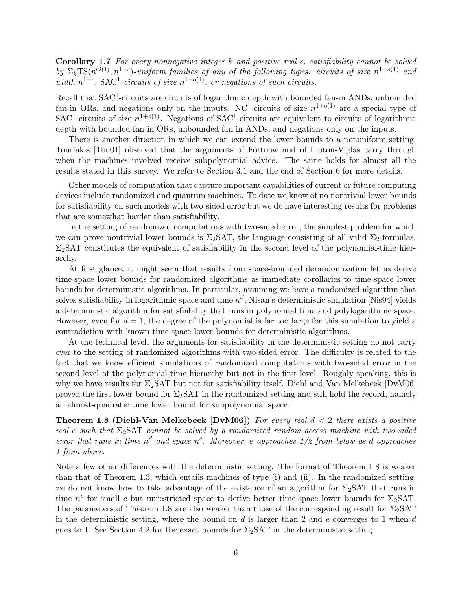Corollary 1.7 For every nonnegative integer  $k$  and positive real  $\epsilon$ , satisfiability cannot be solved by  $\Sigma_k TS(n^{O(1)}, n^{1-\epsilon})$ -uniform families of any of the following types: circuits of size  $n^{1+o(1)}$  and width  $n^{1-\epsilon}$ , SAC<sup>1</sup>-circuits of size  $n^{1+o(1)}$ , or negations of such circuits.

Recall that SAC<sup>1</sup>-circuits are circuits of logarithmic depth with bounded fan-in ANDs, unbounded fan-in ORs, and negations only on the inputs. NC<sup>1</sup>-circuits of size  $n^{1+o(1)}$  are a special type of SAC<sup>1</sup>-circuits of size  $n^{1+o(1)}$ . Negations of SAC<sup>1</sup>-circuits are equivalent to circuits of logarithmic depth with bounded fan-in ORs, unbounded fan-in ANDs, and negations only on the inputs.

There is another direction in which we can extend the lower bounds to a nonuniform setting. Tourlakis [Tou01] observed that the arguments of Fortnow and of Lipton-Viglas carry through when the machines involved receive subpolynomial advice. The same holds for almost all the results stated in this survey. We refer to Section 3.1 and the end of Section 6 for more details.

Other models of computation that capture important capabilities of current or future computing devices include randomized and quantum machines. To date we know of no nontrivial lower bounds for satisfiability on such models with two-sided error but we do have interesting results for problems that are somewhat harder than satisfiability.

In the setting of randomized computations with two-sided error, the simplest problem for which we can prove nontrivial lower bounds is  $\Sigma_2$ SAT, the language consisting of all valid  $\Sigma_2$ -formulas.  $\Sigma_2$ SAT constitutes the equivalent of satisfiability in the second level of the polynomial-time hierarchy.

At first glance, it might seem that results from space-bounded derandomization let us derive time-space lower bounds for randomized algorithms as immediate corollaries to time-space lower bounds for deterministic algorithms. In particular, assuming we have a randomized algorithm that solves satisfiability in logarithmic space and time  $n^d$ , Nisan's deterministic simulation [Nis94] yields a deterministic algorithm for satisfiability that runs in polynomial time and polylogarithmic space. However, even for  $d = 1$ , the degree of the polynomial is far too large for this simulation to yield a contradiction with known time-space lower bounds for deterministic algorithms.

At the technical level, the arguments for satisfiability in the deterministic setting do not carry over to the setting of randomized algorithms with two-sided error. The difficulty is related to the fact that we know efficient simulations of randomized computations with two-sided error in the second level of the polynomial-time hierarchy but not in the first level. Roughly speaking, this is why we have results for  $\Sigma_2$ SAT but not for satisfiability itself. Diehl and Van Melkebeek [DvM06] proved the first lower bound for  $\Sigma_2$ SAT in the randomized setting and still hold the record, namely an almost-quadratic time lower bound for subpolynomial space.

**Theorem 1.8 (Diehl-Van Melkebeek [DvM06])** For every real  $d < 2$  there exists a positive real e such that  $\Sigma_2$ SAT cannot be solved by a randomized random-access machine with two-sided error that runs in time  $n^d$  and space  $n^e$ . Moreover, e approaches  $1/2$  from below as d approaches 1 from above.

Note a few other differences with the deterministic setting. The format of Theorem 1.8 is weaker than that of Theorem 1.3, which entails machines of type (i) and (ii). In the randomized setting, we do not know how to take advantage of the existence of an algorithm for  $\Sigma_2$ SAT that runs in time  $n^c$  for small c but unrestricted space to derive better time-space lower bounds for  $\Sigma_2$ SAT. The parameters of Theorem 1.8 are also weaker than those of the corresponding result for  $\Sigma_2$ SAT in the deterministic setting, where the bound on  $d$  is larger than 2 and  $e$  converges to 1 when  $d$ goes to 1. See Section 4.2 for the exact bounds for  $\Sigma_2$ SAT in the deterministic setting.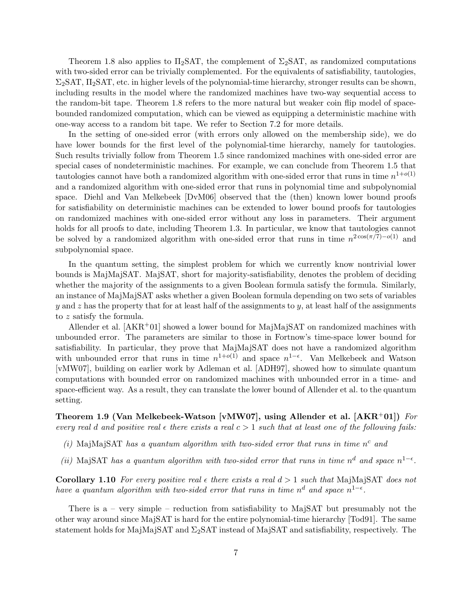Theorem 1.8 also applies to  $\Pi_2\text{SAT}$ , the complement of  $\Sigma_2\text{SAT}$ , as randomized computations with two-sided error can be trivially complemented. For the equivalents of satisfiability, tautologies,  $\Sigma_2$ SAT,  $\Pi_2$ SAT, etc. in higher levels of the polynomial-time hierarchy, stronger results can be shown, including results in the model where the randomized machines have two-way sequential access to the random-bit tape. Theorem 1.8 refers to the more natural but weaker coin flip model of spacebounded randomized computation, which can be viewed as equipping a deterministic machine with one-way access to a random bit tape. We refer to Section 7.2 for more details.

In the setting of one-sided error (with errors only allowed on the membership side), we do have lower bounds for the first level of the polynomial-time hierarchy, namely for tautologies. Such results trivially follow from Theorem 1.5 since randomized machines with one-sided error are special cases of nondeterministic machines. For example, we can conclude from Theorem 1.5 that tautologies cannot have both a randomized algorithm with one-sided error that runs in time  $n^{1+o(1)}$ and a randomized algorithm with one-sided error that runs in polynomial time and subpolynomial space. Diehl and Van Melkebeek [DvM06] observed that the (then) known lower bound proofs for satisfiability on deterministic machines can be extended to lower bound proofs for tautologies on randomized machines with one-sided error without any loss in parameters. Their argument holds for all proofs to date, including Theorem 1.3. In particular, we know that tautologies cannot be solved by a randomized algorithm with one-sided error that runs in time  $n^{2\cos(\pi/7)-o(1)}$  and subpolynomial space.

In the quantum setting, the simplest problem for which we currently know nontrivial lower bounds is MajMajSAT. MajSAT, short for majority-satisfiability, denotes the problem of deciding whether the majority of the assignments to a given Boolean formula satisfy the formula. Similarly, an instance of MajMajSAT asks whether a given Boolean formula depending on two sets of variables y and z has the property that for at least half of the assignments to y, at least half of the assignments to z satisfy the formula.

Allender et al.  $[AKR+01]$  showed a lower bound for MajMajSAT on randomized machines with unbounded error. The parameters are similar to those in Fortnow's time-space lower bound for satisfiability. In particular, they prove that MajMajSAT does not have a randomized algorithm with unbounded error that runs in time  $n^{1+o(1)}$  and space  $n^{1-\epsilon}$ . Van Melkebeek and Watson [vMW07], building on earlier work by Adleman et al. [ADH97], showed how to simulate quantum computations with bounded error on randomized machines with unbounded error in a time- and space-efficient way. As a result, they can translate the lower bound of Allender et al. to the quantum setting.

Theorem 1.9 (Van Melkebeek-Watson [vMW07], using Allender et al.  $[AKR^+01]$ ) For every real d and positive real  $\epsilon$  there exists a real  $\epsilon > 1$  such that at least one of the following fails:

- (i) MajMajSAT has a quantum algorithm with two-sided error that runs in time  $n^c$  and
- (ii) MajSAT has a quantum algorithm with two-sided error that runs in time  $n^d$  and space  $n^{1-\epsilon}$ .

Corollary 1.10 For every positive real  $\epsilon$  there exists a real  $d > 1$  such that MajMajSAT does not have a quantum algorithm with two-sided error that runs in time  $n^d$  and space  $n^{1-\epsilon}$ .

There is a – very simple – reduction from satisfiability to MajSAT but presumably not the other way around since MajSAT is hard for the entire polynomial-time hierarchy [Tod91]. The same statement holds for MajMajSAT and  $\Sigma_2$ SAT instead of MajSAT and satisfiability, respectively. The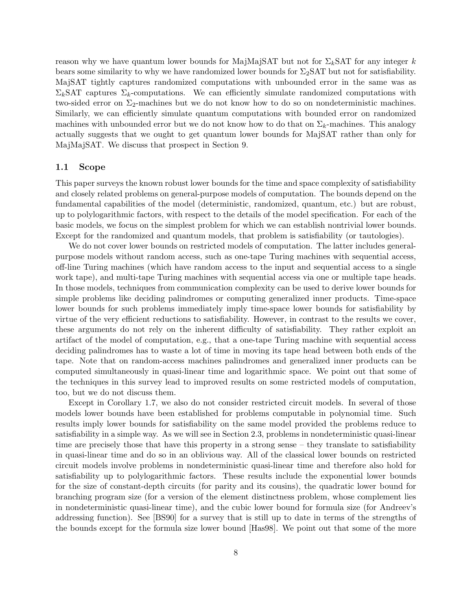reason why we have quantum lower bounds for MajMajSAT but not for  $\Sigma_k$ SAT for any integer k bears some similarity to why we have randomized lower bounds for  $\Sigma_2$ SAT but not for satisfiability. MajSAT tightly captures randomized computations with unbounded error in the same was as  $\Sigma_k$ SAT captures  $\Sigma_k$ -computations. We can efficiently simulate randomized computations with two-sided error on  $\Sigma_2$ -machines but we do not know how to do so on nondeterministic machines. Similarly, we can efficiently simulate quantum computations with bounded error on randomized machines with unbounded error but we do not know how to do that on  $\Sigma_k$ -machines. This analogy actually suggests that we ought to get quantum lower bounds for MajSAT rather than only for MajMajSAT. We discuss that prospect in Section 9.

### 1.1 Scope

This paper surveys the known robust lower bounds for the time and space complexity of satisfiability and closely related problems on general-purpose models of computation. The bounds depend on the fundamental capabilities of the model (deterministic, randomized, quantum, etc.) but are robust, up to polylogarithmic factors, with respect to the details of the model specification. For each of the basic models, we focus on the simplest problem for which we can establish nontrivial lower bounds. Except for the randomized and quantum models, that problem is satisfiability (or tautologies).

We do not cover lower bounds on restricted models of computation. The latter includes generalpurpose models without random access, such as one-tape Turing machines with sequential access, off-line Turing machines (which have random access to the input and sequential access to a single work tape), and multi-tape Turing machines with sequential access via one or multiple tape heads. In those models, techniques from communication complexity can be used to derive lower bounds for simple problems like deciding palindromes or computing generalized inner products. Time-space lower bounds for such problems immediately imply time-space lower bounds for satisfiability by virtue of the very efficient reductions to satisfiability. However, in contrast to the results we cover, these arguments do not rely on the inherent difficulty of satisfiability. They rather exploit an artifact of the model of computation, e.g., that a one-tape Turing machine with sequential access deciding palindromes has to waste a lot of time in moving its tape head between both ends of the tape. Note that on random-access machines palindromes and generalized inner products can be computed simultaneously in quasi-linear time and logarithmic space. We point out that some of the techniques in this survey lead to improved results on some restricted models of computation, too, but we do not discuss them.

Except in Corollary 1.7, we also do not consider restricted circuit models. In several of those models lower bounds have been established for problems computable in polynomial time. Such results imply lower bounds for satisfiability on the same model provided the problems reduce to satisfiability in a simple way. As we will see in Section 2.3, problems in nondeterministic quasi-linear time are precisely those that have this property in a strong sense – they translate to satisfiability in quasi-linear time and do so in an oblivious way. All of the classical lower bounds on restricted circuit models involve problems in nondeterministic quasi-linear time and therefore also hold for satisfiability up to polylogarithmic factors. These results include the exponential lower bounds for the size of constant-depth circuits (for parity and its cousins), the quadratic lower bound for branching program size (for a version of the element distinctness problem, whose complement lies in nondeterministic quasi-linear time), and the cubic lower bound for formula size (for Andreev's addressing function). See [BS90] for a survey that is still up to date in terms of the strengths of the bounds except for the formula size lower bound [Has98]. We point out that some of the more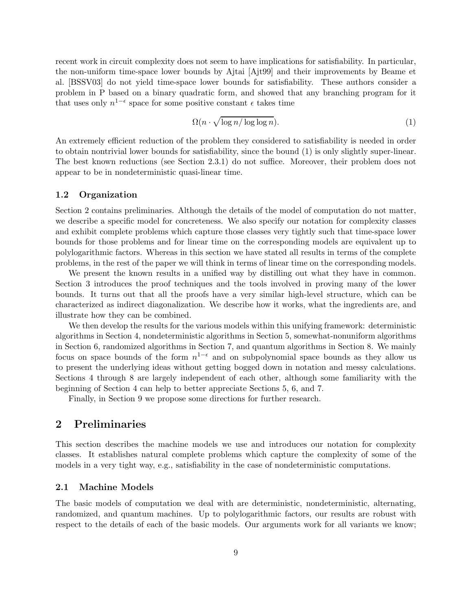recent work in circuit complexity does not seem to have implications for satisfiability. In particular, the non-uniform time-space lower bounds by Ajtai [Ajt99] and their improvements by Beame et al. [BSSV03] do not yield time-space lower bounds for satisfiability. These authors consider a problem in P based on a binary quadratic form, and showed that any branching program for it that uses only  $n^{1-\epsilon}$  space for some positive constant  $\epsilon$  takes time

$$
\Omega(n \cdot \sqrt{\log n / \log \log n}).\tag{1}
$$

An extremely efficient reduction of the problem they considered to satisfiability is needed in order to obtain nontrivial lower bounds for satisfiability, since the bound (1) is only slightly super-linear. The best known reductions (see Section 2.3.1) do not suffice. Moreover, their problem does not appear to be in nondeterministic quasi-linear time.

### 1.2 Organization

Section 2 contains preliminaries. Although the details of the model of computation do not matter, we describe a specific model for concreteness. We also specify our notation for complexity classes and exhibit complete problems which capture those classes very tightly such that time-space lower bounds for those problems and for linear time on the corresponding models are equivalent up to polylogarithmic factors. Whereas in this section we have stated all results in terms of the complete problems, in the rest of the paper we will think in terms of linear time on the corresponding models.

We present the known results in a unified way by distilling out what they have in common. Section 3 introduces the proof techniques and the tools involved in proving many of the lower bounds. It turns out that all the proofs have a very similar high-level structure, which can be characterized as indirect diagonalization. We describe how it works, what the ingredients are, and illustrate how they can be combined.

We then develop the results for the various models within this unifying framework: deterministic algorithms in Section 4, nondeterministic algorithms in Section 5, somewhat-nonuniform algorithms in Section 6, randomized algorithms in Section 7, and quantum algorithms in Section 8. We mainly focus on space bounds of the form  $n^{1-\epsilon}$  and on subpolynomial space bounds as they allow us to present the underlying ideas without getting bogged down in notation and messy calculations. Sections 4 through 8 are largely independent of each other, although some familiarity with the beginning of Section 4 can help to better appreciate Sections 5, 6, and 7.

Finally, in Section 9 we propose some directions for further research.

# 2 Preliminaries

This section describes the machine models we use and introduces our notation for complexity classes. It establishes natural complete problems which capture the complexity of some of the models in a very tight way, e.g., satisfiability in the case of nondeterministic computations.

#### 2.1 Machine Models

The basic models of computation we deal with are deterministic, nondeterministic, alternating, randomized, and quantum machines. Up to polylogarithmic factors, our results are robust with respect to the details of each of the basic models. Our arguments work for all variants we know;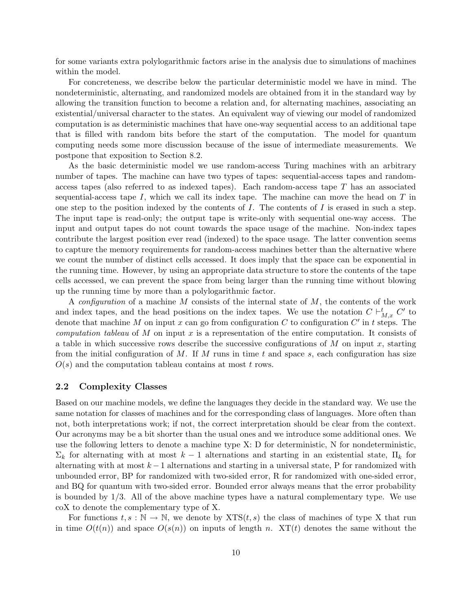for some variants extra polylogarithmic factors arise in the analysis due to simulations of machines within the model.

For concreteness, we describe below the particular deterministic model we have in mind. The nondeterministic, alternating, and randomized models are obtained from it in the standard way by allowing the transition function to become a relation and, for alternating machines, associating an existential/universal character to the states. An equivalent way of viewing our model of randomized computation is as deterministic machines that have one-way sequential access to an additional tape that is filled with random bits before the start of the computation. The model for quantum computing needs some more discussion because of the issue of intermediate measurements. We postpone that exposition to Section 8.2.

As the basic deterministic model we use random-access Turing machines with an arbitrary number of tapes. The machine can have two types of tapes: sequential-access tapes and randomaccess tapes (also referred to as indexed tapes). Each random-access tape  $T$  has an associated sequential-access tape  $I$ , which we call its index tape. The machine can move the head on  $T$  in one step to the position indexed by the contents of  $I$ . The contents of  $I$  is erased in such a step. The input tape is read-only; the output tape is write-only with sequential one-way access. The input and output tapes do not count towards the space usage of the machine. Non-index tapes contribute the largest position ever read (indexed) to the space usage. The latter convention seems to capture the memory requirements for random-access machines better than the alternative where we count the number of distinct cells accessed. It does imply that the space can be exponential in the running time. However, by using an appropriate data structure to store the contents of the tape cells accessed, we can prevent the space from being larger than the running time without blowing up the running time by more than a polylogarithmic factor.

A configuration of a machine M consists of the internal state of  $M$ , the contents of the work and index tapes, and the head positions on the index tapes. We use the notation  $C \vdash^t_{M,x} C'$  to denote that machine M on input x can go from configuration C to configuration  $C'$  in t steps. The *computation tableau* of M on input x is a representation of the entire computation. It consists of a table in which successive rows describe the successive configurations of  $M$  on input  $x$ , starting from the initial configuration of M. If M runs in time t and space s, each configuration has size  $O(s)$  and the computation tableau contains at most t rows.

### 2.2 Complexity Classes

Based on our machine models, we define the languages they decide in the standard way. We use the same notation for classes of machines and for the corresponding class of languages. More often than not, both interpretations work; if not, the correct interpretation should be clear from the context. Our acronyms may be a bit shorter than the usual ones and we introduce some additional ones. We use the following letters to denote a machine type X: D for deterministic, N for nondeterministic,  $\Sigma_k$  for alternating with at most  $k-1$  alternations and starting in an existential state,  $\Pi_k$  for alternating with at most  $k-1$  alternations and starting in a universal state, P for randomized with unbounded error, BP for randomized with two-sided error, R for randomized with one-sided error, and BQ for quantum with two-sided error. Bounded error always means that the error probability is bounded by  $1/3$ . All of the above machine types have a natural complementary type. We use coX to denote the complementary type of X.

For functions  $t, s : \mathbb{N} \to \mathbb{N}$ , we denote by  $XTS(t, s)$  the class of machines of type X that run in time  $O(t(n))$  and space  $O(s(n))$  on inputs of length n.  $XT(t)$  denotes the same without the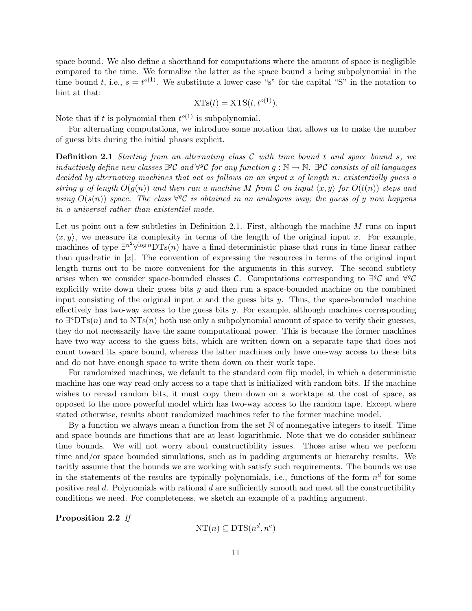space bound. We also define a shorthand for computations where the amount of space is negligible compared to the time. We formalize the latter as the space bound s being subpolynomial in the time bound t, i.e.,  $s = t^{o(1)}$ . We substitute a lower-case "s" for the capital "S" in the notation to hint at that:

$$
XTS(t) = XTS(t, t^{o(1)}).
$$

Note that if t is polynomial then  $t^{o(1)}$  is subpolynomial.

For alternating computations, we introduce some notation that allows us to make the number of guess bits during the initial phases explicit.

**Definition 2.1** Starting from an alternating class  $C$  with time bound t and space bound s, we inductively define new classes  $\exists^g \mathcal{C}$  and  $\forall^g \mathcal{C}$  for any function  $g : \mathbb{N} \to \mathbb{N}$ .  $\exists^g \mathcal{C}$  consists of all languages decided by alternating machines that act as follows on an input x of length n: existentially guess a string y of length  $O(g(n))$  and then run a machine M from C on input  $\langle x, y \rangle$  for  $O(t(n))$  steps and using  $O(s(n))$  space. The class  $\forall^g \mathcal{C}$  is obtained in an analogous way; the guess of y now happens in a universal rather than existential mode.

Let us point out a few subtleties in Definition 2.1. First, although the machine  $M$  runs on input  $\langle x, y \rangle$ , we measure its complexity in terms of the length of the original input x. For example, machines of type  $\exists^{n^2} \forall^{\log n} \mathrm{D} \mathrm{T} \mathrm{s}(n)$  have a final deterministic phase that runs in time linear rather than quadratic in |x|. The convention of expressing the resources in terms of the original input length turns out to be more convenient for the arguments in this survey. The second subtlety arises when we consider space-bounded classes  $\mathcal{C}$ . Computations corresponding to  $\exists^g \mathcal{C}$  and  $\forall^g \mathcal{C}$ explicitly write down their guess bits  $y$  and then run a space-bounded machine on the combined input consisting of the original input  $x$  and the guess bits  $y$ . Thus, the space-bounded machine effectively has two-way access to the guess bits  $y$ . For example, although machines corresponding to  $\exists^{n}DTs(n)$  and to  $NTs(n)$  both use only a subpolynomial amount of space to verify their guesses, they do not necessarily have the same computational power. This is because the former machines have two-way access to the guess bits, which are written down on a separate tape that does not count toward its space bound, whereas the latter machines only have one-way access to these bits and do not have enough space to write them down on their work tape.

For randomized machines, we default to the standard coin flip model, in which a deterministic machine has one-way read-only access to a tape that is initialized with random bits. If the machine wishes to reread random bits, it must copy them down on a worktape at the cost of space, as opposed to the more powerful model which has two-way access to the random tape. Except where stated otherwise, results about randomized machines refer to the former machine model.

By a function we always mean a function from the set  $\mathbb N$  of nonnegative integers to itself. Time and space bounds are functions that are at least logarithmic. Note that we do consider sublinear time bounds. We will not worry about constructibility issues. Those arise when we perform time and/or space bounded simulations, such as in padding arguments or hierarchy results. We tacitly assume that the bounds we are working with satisfy such requirements. The bounds we use in the statements of the results are typically polynomials, i.e., functions of the form  $n^d$  for some positive real  $d$ . Polynomials with rational  $d$  are sufficiently smooth and meet all the constructibility conditions we need. For completeness, we sketch an example of a padding argument.

Proposition 2.2 If

$$
NT(n) \subseteq DTS(n^d, n^e)
$$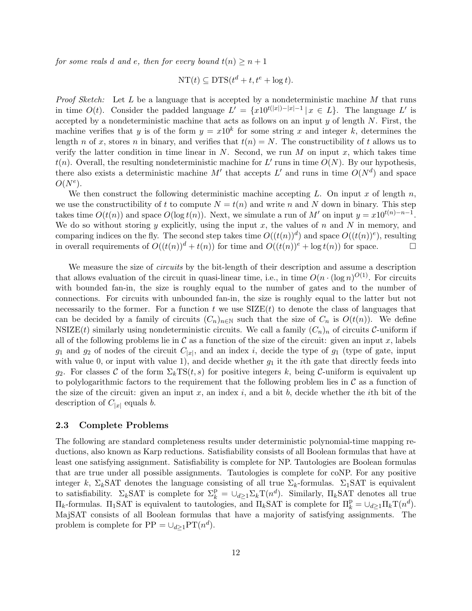for some reals d and e, then for every bound  $t(n) \geq n+1$ 

$$
NT(t) \subseteq DTS(t^d + t, t^e + \log t).
$$

*Proof Sketch:* Let L be a language that is accepted by a nondeterministic machine M that runs in time  $O(t)$ . Consider the padded language  $L' = \{x10^{t(|x|)-|x|-1} | x \in L\}$ . The language L' is accepted by a nondeterministic machine that acts as follows on an input  $y$  of length  $N$ . First, the machine verifies that y is of the form  $y = x10^k$  for some string x and integer k, determines the length n of x, stores n in binary, and verifies that  $t(n) = N$ . The constructibility of t allows us to verify the latter condition in time linear in  $N$ . Second, we run  $M$  on input  $x$ , which takes time  $t(n)$ . Overall, the resulting nondeterministic machine for L' runs in time  $O(N)$ . By our hypothesis, there also exists a deterministic machine M' that accepts L' and runs in time  $O(N^d)$  and space  $O(N^e)$ .

We then construct the following deterministic machine accepting L. On input x of length  $n$ , we use the constructibility of t to compute  $N = t(n)$  and write n and N down in binary. This step takes time  $O(t(n))$  and space  $O(\log t(n))$ . Next, we simulate a run of M' on input  $y = x10^{t(n)-n-1}$ . We do so without storing y explicitly, using the input x, the values of  $n$  and  $N$  in memory, and comparing indices on the fly. The second step takes time  $O((t(n))^d)$  and space  $O((t(n))^e)$ , resulting in overall requirements of  $O((t(n))^d + t(n))$  for time and  $O((t(n))^e + \log t(n))$  for space.

We measure the size of *circuits* by the bit-length of their description and assume a description that allows evaluation of the circuit in quasi-linear time, i.e., in time  $O(n \cdot (\log n)^{O(1)})$ . For circuits with bounded fan-in, the size is roughly equal to the number of gates and to the number of connections. For circuits with unbounded fan-in, the size is roughly equal to the latter but not necessarily to the former. For a function t we use  $SIZE(t)$  to denote the class of languages that can be decided by a family of circuits  $(C_n)_{n\in\mathbb{N}}$  such that the size of  $C_n$  is  $O(t(n))$ . We define NSIZE(t) similarly using nondeterministic circuits. We call a family  $(C_n)_n$  of circuits C-uniform if all of the following problems lie in  $\mathcal C$  as a function of the size of the circuit: given an input x, labels  $g_1$  and  $g_2$  of nodes of the circuit  $C_{|x|}$ , and an index i, decide the type of  $g_1$  (type of gate, input with value 0, or input with value 1), and decide whether  $g_1$  it the *i*th gate that directly feeds into  $g_2$ . For classes C of the form  $\Sigma_k \text{TS}(t, s)$  for positive integers k, being C-uniform is equivalent up to polylogarithmic factors to the requirement that the following problem lies in  $\mathcal C$  as a function of the size of the circuit: given an input x, an index i, and a bit b, decide whether the ith bit of the description of  $C_{|x|}$  equals b.

### 2.3 Complete Problems

The following are standard completeness results under deterministic polynomial-time mapping reductions, also known as Karp reductions. Satisfiability consists of all Boolean formulas that have at least one satisfying assignment. Satisfiability is complete for NP. Tautologies are Boolean formulas that are true under all possible assignments. Tautologies is complete for coNP. For any positive integer k, Σ<sub>k</sub>SAT denotes the language consisting of all true  $\Sigma_k$ -formulas.  $\Sigma_1$ SAT is equivalent to satisfiability.  $\Sigma_k$ SAT is complete for  $\Sigma_k^{\mathcal{P}} = \bigcup_{d\geq 1} \Sigma_k \Upsilon(n^d)$ . Similarly,  $\Pi_k$ SAT denotes all true  $\Pi_k$ -formulas.  $\Pi_1$ SAT is equivalent to tautologies, and  $\Pi_k$ SAT is complete for  $\Pi_k^p = \bigcup_{d \geq 1} \Pi_k \Upsilon(n^d)$ . MajSAT consists of all Boolean formulas that have a majority of satisfying assignments. The problem is complete for  $PP = \cup_{d \geq 1} PT(n^d)$ .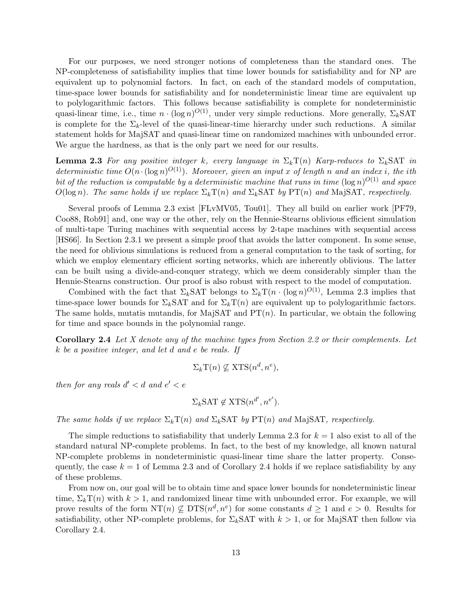For our purposes, we need stronger notions of completeness than the standard ones. The NP-completeness of satisfiability implies that time lower bounds for satisfiability and for NP are equivalent up to polynomial factors. In fact, on each of the standard models of computation, time-space lower bounds for satisfiability and for nondeterministic linear time are equivalent up to polylogarithmic factors. This follows because satisfiability is complete for nondeterministic quasi-linear time, i.e., time  $n \cdot (\log n)^{O(1)}$ , under very simple reductions. More generally,  $\Sigma_k$ SAT is complete for the  $\Sigma_k$ -level of the quasi-linear-time hierarchy under such reductions. A similar statement holds for MajSAT and quasi-linear time on randomized machines with unbounded error. We argue the hardness, as that is the only part we need for our results.

**Lemma 2.3** For any positive integer k, every language in  $\Sigma_k \Gamma(n)$  Karp-reduces to  $\Sigma_k$ SAT in deterministic time  $O(n \cdot (\log n)^{O(1)})$ . Moreover, given an input x of length n and an index i, the ith bit of the reduction is computable by a deterministic machine that runs in time  $(\log n)^{O(1)}$  and space  $O(\log n)$ . The same holds if we replace  $\Sigma_k \Gamma(n)$  and  $\Sigma_k$ SAT by PT(n) and MajSAT, respectively.

Several proofs of Lemma 2.3 exist [FLvMV05, Tou01]. They all build on earlier work [PF79, Coo88, Rob91] and, one way or the other, rely on the Hennie-Stearns oblivious efficient simulation of multi-tape Turing machines with sequential access by 2-tape machines with sequential access [HS66]. In Section 2.3.1 we present a simple proof that avoids the latter component. In some sense, the need for oblivious simulations is reduced from a general computation to the task of sorting, for which we employ elementary efficient sorting networks, which are inherently oblivious. The latter can be built using a divide-and-conquer strategy, which we deem considerably simpler than the Hennie-Stearns construction. Our proof is also robust with respect to the model of computation.

Combined with the fact that  $\Sigma_k$ SAT belongs to  $\Sigma_k \text{T}(n \cdot (\log n)^{O(1)})$ , Lemma 2.3 implies that time-space lower bounds for  $\Sigma_k$ SAT and for  $\Sigma_k$ T(n) are equivalent up to polylogarithmic factors. The same holds, mutatis mutandis, for MajSAT and  $PT(n)$ . In particular, we obtain the following for time and space bounds in the polynomial range.

Corollary 2.4 Let X denote any of the machine types from Section 2.2 or their complements. Let k be a positive integer, and let d and e be reals. If

$$
\Sigma_k \mathcal{T}(n) \nsubseteq \mathcal{X} \mathcal{T} \mathcal{S}(n^d, n^e),
$$

then for any reals  $d' < d$  and  $e' < e$ 

$$
\Sigma_k \text{SAT} \not\in \text{XTS}(n^{d'}, n^{e'}).
$$

The same holds if we replace  $\Sigma_k \Gamma(n)$  and  $\Sigma_k$ SAT by PT(n) and MajSAT, respectively.

The simple reductions to satisfiability that underly Lemma 2.3 for  $k = 1$  also exist to all of the standard natural NP-complete problems. In fact, to the best of my knowledge, all known natural NP-complete problems in nondeterministic quasi-linear time share the latter property. Consequently, the case  $k = 1$  of Lemma 2.3 and of Corollary 2.4 holds if we replace satisfiability by any of these problems.

From now on, our goal will be to obtain time and space lower bounds for nondeterministic linear time,  $\Sigma_k \Gamma(n)$  with  $k > 1$ , and randomized linear time with unbounded error. For example, we will prove results of the form  $NT(n) \nsubseteq DTS(n^d, n^e)$  for some constants  $d \ge 1$  and  $e > 0$ . Results for satisfiability, other NP-complete problems, for  $\Sigma_k$ SAT with  $k > 1$ , or for MajSAT then follow via Corollary 2.4.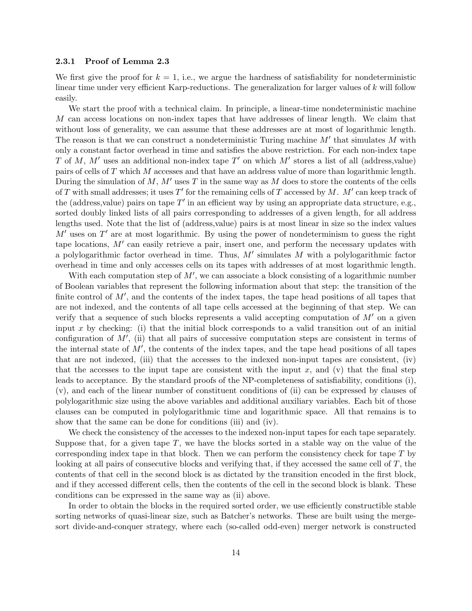#### 2.3.1 Proof of Lemma 2.3

We first give the proof for  $k = 1$ , i.e., we argue the hardness of satisfiability for nondeterministic linear time under very efficient Karp-reductions. The generalization for larger values of k will follow easily.

We start the proof with a technical claim. In principle, a linear-time nondeterministic machine M can access locations on non-index tapes that have addresses of linear length. We claim that without loss of generality, we can assume that these addresses are at most of logarithmic length. The reason is that we can construct a nondeterministic Turing machine  $M'$  that simulates  $M$  with only a constant factor overhead in time and satisfies the above restriction. For each non-index tape T of M, M' uses an additional non-index tape  $T'$  on which M' stores a list of all (address, value) pairs of cells of T which M accesses and that have an address value of more than logarithmic length. During the simulation of  $M$ ,  $M'$  uses T in the same way as M does to store the contents of the cells of T with small addresses; it uses T' for the remaining cells of T accessed by M. M' can keep track of the (address, value) pairs on tape  $T'$  in an efficient way by using an appropriate data structure, e.g., sorted doubly linked lists of all pairs corresponding to addresses of a given length, for all address lengths used. Note that the list of (address,value) pairs is at most linear in size so the index values  $M'$  uses on  $T'$  are at most logarithmic. By using the power of nondeterminism to guess the right tape locations, M′ can easily retrieve a pair, insert one, and perform the necessary updates with a polylogarithmic factor overhead in time. Thus, M′ simulates M with a polylogarithmic factor overhead in time and only accesses cells on its tapes with addresses of at most logarithmic length.

With each computation step of  $M'$ , we can associate a block consisting of a logarithmic number of Boolean variables that represent the following information about that step: the transition of the finite control of  $M'$ , and the contents of the index tapes, the tape head positions of all tapes that are not indexed, and the contents of all tape cells accessed at the beginning of that step. We can verify that a sequence of such blocks represents a valid accepting computation of  $M'$  on a given input x by checking: (i) that the initial block corresponds to a valid transition out of an initial configuration of  $M'$ , (ii) that all pairs of successive computation steps are consistent in terms of the internal state of  $M'$ , the contents of the index tapes, and the tape head positions of all tapes that are not indexed, (iii) that the accesses to the indexed non-input tapes are consistent, (iv) that the accesses to the input tape are consistent with the input x, and (v) that the final step leads to acceptance. By the standard proofs of the NP-completeness of satisfiability, conditions (i), (v), and each of the linear number of constituent conditions of (ii) can be expressed by clauses of polylogarithmic size using the above variables and additional auxiliary variables. Each bit of those clauses can be computed in polylogarithmic time and logarithmic space. All that remains is to show that the same can be done for conditions (iii) and (iv).

We check the consistency of the accesses to the indexed non-input tapes for each tape separately. Suppose that, for a given tape  $T$ , we have the blocks sorted in a stable way on the value of the corresponding index tape in that block. Then we can perform the consistency check for tape  $T$  by looking at all pairs of consecutive blocks and verifying that, if they accessed the same cell of  $T$ , the contents of that cell in the second block is as dictated by the transition encoded in the first block, and if they accessed different cells, then the contents of the cell in the second block is blank. These conditions can be expressed in the same way as (ii) above.

In order to obtain the blocks in the required sorted order, we use efficiently constructible stable sorting networks of quasi-linear size, such as Batcher's networks. These are built using the mergesort divide-and-conquer strategy, where each (so-called odd-even) merger network is constructed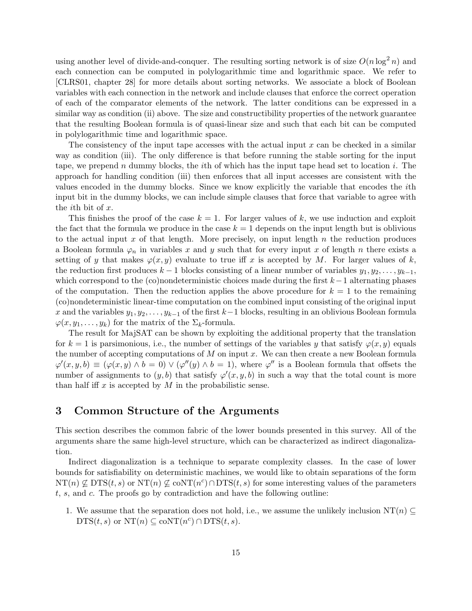using another level of divide-and-conquer. The resulting sorting network is of size  $O(n \log^2 n)$  and each connection can be computed in polylogarithmic time and logarithmic space. We refer to [CLRS01, chapter 28] for more details about sorting networks. We associate a block of Boolean variables with each connection in the network and include clauses that enforce the correct operation of each of the comparator elements of the network. The latter conditions can be expressed in a similar way as condition (ii) above. The size and constructibility properties of the network guarantee that the resulting Boolean formula is of quasi-linear size and such that each bit can be computed in polylogarithmic time and logarithmic space.

The consistency of the input tape accesses with the actual input  $x$  can be checked in a similar way as condition (iii). The only difference is that before running the stable sorting for the input tape, we prepend n dummy blocks, the ith of which has the input tape head set to location i. The approach for handling condition (iii) then enforces that all input accesses are consistent with the values encoded in the dummy blocks. Since we know explicitly the variable that encodes the ith input bit in the dummy blocks, we can include simple clauses that force that variable to agree with the ith bit of x.

This finishes the proof of the case  $k = 1$ . For larger values of k, we use induction and exploit the fact that the formula we produce in the case  $k = 1$  depends on the input length but is oblivious to the actual input x of that length. More precisely, on input length  $n$  the reduction produces a Boolean formula  $\varphi_n$  in variables x and y such that for every input x of length n there exists a setting of y that makes  $\varphi(x, y)$  evaluate to true iff x is accepted by M. For larger values of k, the reduction first produces  $k-1$  blocks consisting of a linear number of variables  $y_1, y_2, \ldots, y_{k-1}$ , which correspond to the (co)nondeterministic choices made during the first  $k-1$  alternating phases of the computation. Then the reduction applies the above procedure for  $k = 1$  to the remaining (co)nondeterministic linear-time computation on the combined input consisting of the original input x and the variables  $y_1, y_2, \ldots, y_{k-1}$  of the first  $k-1$  blocks, resulting in an oblivious Boolean formula  $\varphi(x, y_1, \ldots, y_k)$  for the matrix of the  $\Sigma_k$ -formula.

The result for MajSAT can be shown by exploiting the additional property that the translation for  $k = 1$  is parsimonious, i.e., the number of settings of the variables y that satisfy  $\varphi(x, y)$  equals the number of accepting computations of  $M$  on input  $x$ . We can then create a new Boolean formula  $\varphi'(x,y,b) \equiv (\varphi(x,y) \wedge b = 0) \vee (\varphi''(y) \wedge b = 1)$ , where  $\varphi''$  is a Boolean formula that offsets the number of assignments to  $(y, b)$  that satisfy  $\varphi'(x, y, b)$  in such a way that the total count is more than half iff  $x$  is accepted by  $M$  in the probabilistic sense.

# 3 Common Structure of the Arguments

This section describes the common fabric of the lower bounds presented in this survey. All of the arguments share the same high-level structure, which can be characterized as indirect diagonalization.

Indirect diagonalization is a technique to separate complexity classes. In the case of lower bounds for satisfiability on deterministic machines, we would like to obtain separations of the form  $NT(n) \nsubseteq \text{DTS}(t, s)$  or  $NT(n) \nsubseteq \text{coNT}(n^c) \cap \text{DTS}(t, s)$  for some interesting values of the parameters t, s, and c. The proofs go by contradiction and have the following outline:

1. We assume that the separation does not hold, i.e., we assume the unlikely inclusion  $NT(n) \subseteq$ DTS(*t*, *s*) or  $NT(n) \subseteq \text{coNT}(n^c) \cap DTS(t, s)$ .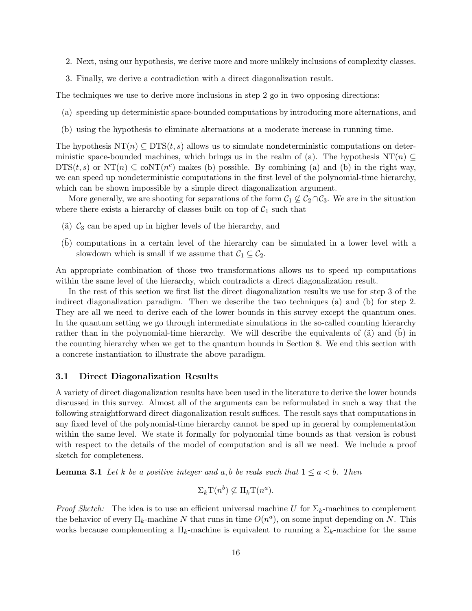- 2. Next, using our hypothesis, we derive more and more unlikely inclusions of complexity classes.
- 3. Finally, we derive a contradiction with a direct diagonalization result.

The techniques we use to derive more inclusions in step 2 go in two opposing directions:

- (a) speeding up deterministic space-bounded computations by introducing more alternations, and
- (b) using the hypothesis to eliminate alternations at a moderate increase in running time.

The hypothesis  $NT(n) \subseteq DTS(t, s)$  allows us to simulate nondeterministic computations on deterministic space-bounded machines, which brings us in the realm of (a). The hypothesis  $NT(n) \subseteq$ DTS(*t*, *s*) or NT(*n*)  $\subseteq$  coNT(*n<sup>c</sup>*) makes (b) possible. By combining (a) and (b) in the right way, we can speed up nondeterministic computations in the first level of the polynomial-time hierarchy, which can be shown impossible by a simple direct diagonalization argument.

More generally, we are shooting for separations of the form  $C_1 \not\subseteq C_2 \cap C_3$ . We are in the situation where there exists a hierarchy of classes built on top of  $C_1$  such that

- ( $\tilde{a}$ )  $\mathcal{C}_3$  can be sped up in higher levels of the hierarchy, and
- (b) computations in a certain level of the hierarchy can be simulated in a lower level with a slowdown which is small if we assume that  $C_1 \subseteq C_2$ .

An appropriate combination of those two transformations allows us to speed up computations within the same level of the hierarchy, which contradicts a direct diagonalization result.

In the rest of this section we first list the direct diagonalization results we use for step 3 of the indirect diagonalization paradigm. Then we describe the two techniques (a) and (b) for step 2. They are all we need to derive each of the lower bounds in this survey except the quantum ones. In the quantum setting we go through intermediate simulations in the so-called counting hierarchy rather than in the polynomial-time hierarchy. We will describe the equivalents of  $(\tilde{a})$  and  $(b)$  in the counting hierarchy when we get to the quantum bounds in Section 8. We end this section with a concrete instantiation to illustrate the above paradigm.

### 3.1 Direct Diagonalization Results

A variety of direct diagonalization results have been used in the literature to derive the lower bounds discussed in this survey. Almost all of the arguments can be reformulated in such a way that the following straightforward direct diagonalization result suffices. The result says that computations in any fixed level of the polynomial-time hierarchy cannot be sped up in general by complementation within the same level. We state it formally for polynomial time bounds as that version is robust with respect to the details of the model of computation and is all we need. We include a proof sketch for completeness.

**Lemma 3.1** Let k be a positive integer and a, b be reals such that  $1 \le a < b$ . Then

$$
\Sigma_k \mathrm{T}(n^b) \nsubseteq \Pi_k \mathrm{T}(n^a).
$$

*Proof Sketch:* The idea is to use an efficient universal machine U for  $\Sigma_k$ -machines to complement the behavior of every  $\Pi_k$ -machine N that runs in time  $O(n^a)$ , on some input depending on N. This works because complementing a  $\Pi_k$ -machine is equivalent to running a  $\Sigma_k$ -machine for the same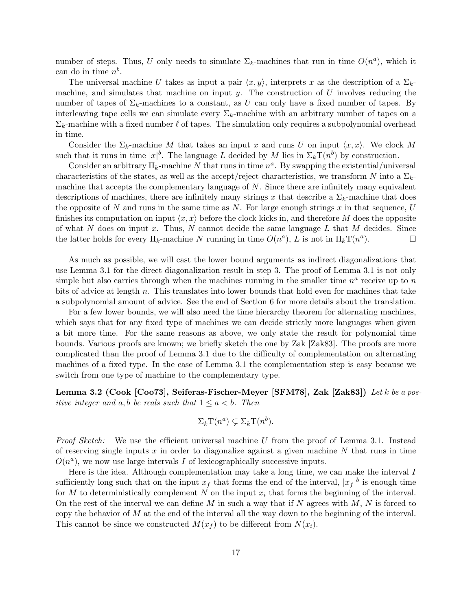number of steps. Thus, U only needs to simulate  $\Sigma_k$ -machines that run in time  $O(n^a)$ , which it can do in time  $n^b$ .

The universal machine U takes as input a pair  $\langle x, y \rangle$ , interprets x as the description of a  $\Sigma_k$ machine, and simulates that machine on input  $y$ . The construction of  $U$  involves reducing the number of tapes of  $\Sigma_k$ -machines to a constant, as U can only have a fixed number of tapes. By interleaving tape cells we can simulate every  $\Sigma_k$ -machine with an arbitrary number of tapes on a  $\Sigma_k$ -machine with a fixed number  $\ell$  of tapes. The simulation only requires a subpolynomial overhead in time.

Consider the  $\Sigma_k$ -machine M that takes an input x and runs U on input  $\langle x, x \rangle$ . We clock M such that it runs in time  $|x|^b$ . The language L decided by M lies in  $\Sigma_k \text{T}(n^b)$  by construction.

Consider an arbitrary  $\Pi_k$ -machine N that runs in time  $n^a$ . By swapping the existential/universal characteristics of the states, as well as the accept/reject characteristics, we transform N into a  $\Sigma_{k}$ machine that accepts the complementary language of N. Since there are infinitely many equivalent descriptions of machines, there are infinitely many strings x that describe a  $\Sigma_k$ -machine that does the opposite of N and runs in the same time as N. For large enough strings x in that sequence,  $U$ finishes its computation on input  $\langle x, x \rangle$  before the clock kicks in, and therefore M does the opposite of what N does on input x. Thus, N cannot decide the same language  $L$  that M decides. Since the latter holds for every  $\Pi_k$ -machine N running in time  $O(n^a)$ , L is not in  $\Pi_k \mathrm{T}(n^a)$  $\Box$ 

As much as possible, we will cast the lower bound arguments as indirect diagonalizations that use Lemma 3.1 for the direct diagonalization result in step 3. The proof of Lemma 3.1 is not only simple but also carries through when the machines running in the smaller time  $n^a$  receive up to n bits of advice at length n. This translates into lower bounds that hold even for machines that take a subpolynomial amount of advice. See the end of Section 6 for more details about the translation.

For a few lower bounds, we will also need the time hierarchy theorem for alternating machines, which says that for any fixed type of machines we can decide strictly more languages when given a bit more time. For the same reasons as above, we only state the result for polynomial time bounds. Various proofs are known; we briefly sketch the one by Zak [Zak83]. The proofs are more complicated than the proof of Lemma 3.1 due to the difficulty of complementation on alternating machines of a fixed type. In the case of Lemma 3.1 the complementation step is easy because we switch from one type of machine to the complementary type.

Lemma 3.2 (Cook [Coo73], Seiferas-Fischer-Meyer [SFM78], Zak [Zak83]) Let k be a positive integer and a, b be reals such that  $1 \le a < b$ . Then

$$
\Sigma_k \mathrm{T}(n^a) \subsetneq \Sigma_k \mathrm{T}(n^b).
$$

*Proof Sketch:* We use the efficient universal machine  $U$  from the proof of Lemma 3.1. Instead of reserving single inputs  $x$  in order to diagonalize against a given machine  $N$  that runs in time  $O(n^a)$ , we now use large intervals I of lexicographically successive inputs.

Here is the idea. Although complementation may take a long time, we can make the interval I sufficiently long such that on the input  $x_f$  that forms the end of the interval,  $|x_f|^b$  is enough time for M to deterministically complement N on the input  $x_i$  that forms the beginning of the interval. On the rest of the interval we can define M in such a way that if N agrees with  $M$ , N is forced to copy the behavior of  $M$  at the end of the interval all the way down to the beginning of the interval. This cannot be since we constructed  $M(x_f)$  to be different from  $N(x_i)$ .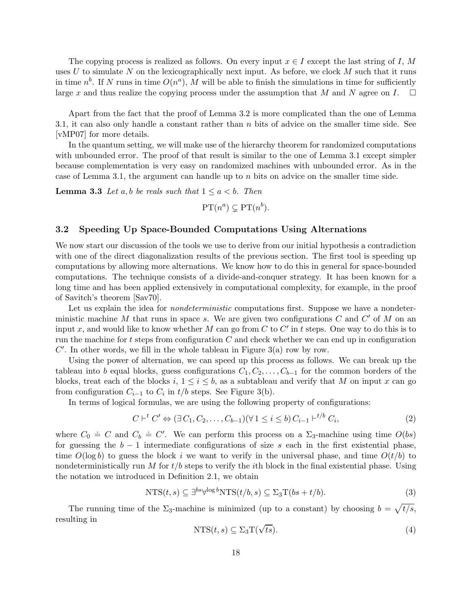The copying process is realized as follows. On every input  $x \in I$  except the last string of I, M uses U to simulate N on the lexicographically next input. As before, we clock  $M$  such that it runs in time  $n^b$ . If N runs in time  $O(n^a)$ , M will be able to finish the simulations in time for sufficiently large x and thus realize the copying process under the assumption that M and N agree on I.  $\square$ 

Apart from the fact that the proof of Lemma 3.2 is more complicated than the one of Lemma 3.1, it can also only handle a constant rather than n bits of advice on the smaller time side. See [vMP07] for more details.

In the quantum setting, we will make use of the hierarchy theorem for randomized computations with unbounded error. The proof of that result is similar to the one of Lemma 3.1 except simpler because complementation is very easy on randomized machines with unbounded error. As in the case of Lemma 3.1, the argument can handle up to n bits on advice on the smaller time side.

**Lemma 3.3** Let a, b be reals such that  $1 \le a \le b$ . Then

$$
\mathrm{PT}(n^a) \subsetneq \mathrm{PT}(n^b).
$$

### 3.2 Speeding Up Space-Bounded Computations Using Alternations

We now start our discussion of the tools we use to derive from our initial hypothesis a contradiction with one of the direct diagonalization results of the previous section. The first tool is speeding up computations by allowing more alternations. We know how to do this in general for space-bounded computations. The technique consists of a divide-and-conquer strategy. It has been known for a long time and has been applied extensively in computational complexity, for example, in the proof of Savitch's theorem [Sav70].

Let us explain the idea for *nondeterministic* computations first. Suppose we have a nondeterministic machine M that runs in space s. We are given two configurations C and  $C'$  of M on an input x, and would like to know whether M can go from C to C' in t steps. One way to do this is to run the machine for  $t$  steps from configuration  $C$  and check whether we can end up in configuration  $C'$ . In other words, we fill in the whole tableau in Figure 3(a) row by row.

Using the power of alternation, we can speed up this process as follows. We can break up the tableau into b equal blocks, guess configurations  $C_1, C_2, \ldots, C_{b-1}$  for the common borders of the blocks, treat each of the blocks i,  $1 \le i \le b$ , as a subtableau and verify that M on input x can go from configuration  $C_{i-1}$  to  $C_i$  in  $t/b$  steps. See Figure 3(b).

In terms of logical formulas, we are using the following property of configurations:

$$
C \vdash^{t} C' \Leftrightarrow (\exists C_1, C_2, \dots, C_{b-1})(\forall 1 \leq i \leq b) C_{i-1} \vdash^{t/b} C_i,
$$
\n
$$
(2)
$$

where  $C_0 \doteq C$  and  $C_b \doteq C'$ . We can perform this process on a  $\Sigma_3$ -machine using time  $O(bs)$ for guessing the  $b - 1$  intermediate configurations of size s each in the first existential phase, time  $O(\log b)$  to guess the block i we want to verify in the universal phase, and time  $O(t/b)$  to nondeterministically run M for  $t/b$  steps to verify the *i*th block in the final existential phase. Using the notation we introduced in Definition 2.1, we obtain

$$
NTS(t,s) \subseteq \exists^{bs} \forall^{log} \, {}^bNTS(t/b,s) \subseteq \Sigma_3 T (bs + t/b). \tag{3}
$$

The running time of the  $\Sigma_3$ -machine is minimized (up to a constant) by choosing  $b = \sqrt{t/s}$ , resulting in

$$
NTS(t, s) \subseteq \Sigma_3 T(\sqrt{ts}).\tag{4}
$$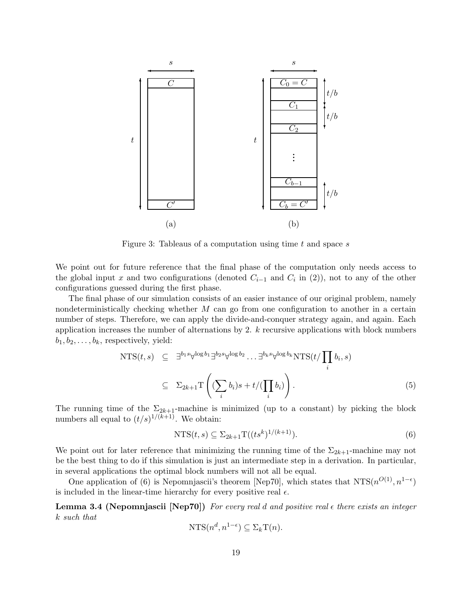

Figure 3: Tableaus of a computation using time  $t$  and space  $s$ 

We point out for future reference that the final phase of the computation only needs access to the global input x and two configurations (denoted  $C_{i-1}$  and  $C_i$  in (2)), not to any of the other configurations guessed during the first phase.

The final phase of our simulation consists of an easier instance of our original problem, namely nondeterministically checking whether  $M$  can go from one configuration to another in a certain number of steps. Therefore, we can apply the divide-and-conquer strategy again, and again. Each application increases the number of alternations by 2. k recursive applications with block numbers  $b_1, b_2, \ldots, b_k$ , respectively, yield:

$$
NTS(t,s) \subseteq \exists^{b_1 s} \forall^{\log b_1} \exists^{b_2 s} \forall^{\log b_2} \dots \exists^{b_k s} \forall^{\log b_k} NTS(t/\prod_i b_i, s)
$$
  

$$
\subseteq \Sigma_{2k+1} T\left((\sum_i b_i)s + t/(\prod_i b_i)\right).
$$
 (5)

The running time of the  $\Sigma_{2k+1}$ -machine is minimized (up to a constant) by picking the block numbers all equal to  $(t/s)^{1/(k+1)}$ . We obtain:

$$
NTS(t,s) \subseteq \Sigma_{2k+1} T((ts^k)^{1/(k+1)}).
$$
\n
$$
(6)
$$

We point out for later reference that minimizing the running time of the  $\Sigma_{2k+1}$ -machine may not be the best thing to do if this simulation is just an intermediate step in a derivation. In particular, in several applications the optimal block numbers will not all be equal.

One application of (6) is Nepomnjascii's theorem [Nep70], which states that  $NTS(n^{O(1)}, n^{1-\epsilon})$ is included in the linear-time hierarchy for every positive real  $\epsilon$ .

**Lemma 3.4 (Nepomnjascii [Nep70])** For every real d and positive real  $\epsilon$  there exists an integer k such that

$$
NTS(n^d, n^{1-\epsilon}) \subseteq \Sigma_k T(n).
$$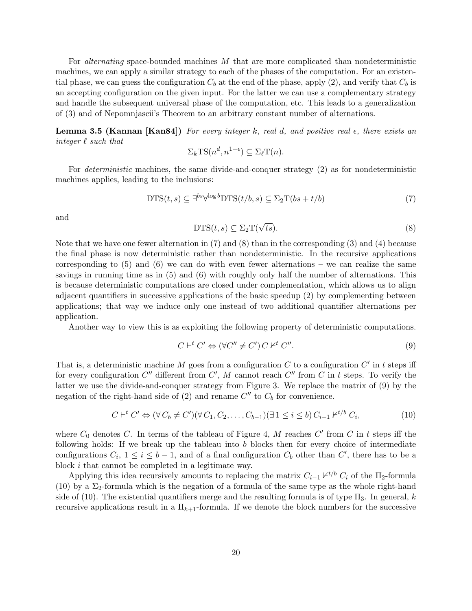For *alternating* space-bounded machines M that are more complicated than nondeterministic machines, we can apply a similar strategy to each of the phases of the computation. For an existential phase, we can guess the configuration  $C_b$  at the end of the phase, apply (2), and verify that  $C_b$  is an accepting configuration on the given input. For the latter we can use a complementary strategy and handle the subsequent universal phase of the computation, etc. This leads to a generalization of (3) and of Nepomnjascii's Theorem to an arbitrary constant number of alternations.

**Lemma 3.5 (Kannan [Kan84])** For every integer k, real d, and positive real  $\epsilon$ , there exists an integer  $\ell$  such that

$$
\Sigma_k TS(n^d, n^{1-\epsilon}) \subseteq \Sigma_{\ell} T(n).
$$

For deterministic machines, the same divide-and-conquer strategy (2) as for nondeterministic machines applies, leading to the inclusions:

$$
DTS(t,s) \subseteq \exists^{bs} \forall^{\log b} DTS(t/b,s) \subseteq \Sigma_2 T(bs+t/b)
$$
\n(7)

and

$$
DTS(t,s) \subseteq \Sigma_2 T(\sqrt{ts}).\tag{8}
$$

Note that we have one fewer alternation in (7) and (8) than in the corresponding (3) and (4) because the final phase is now deterministic rather than nondeterministic. In the recursive applications corresponding to  $(5)$  and  $(6)$  we can do with even fewer alternations – we can realize the same savings in running time as in (5) and (6) with roughly only half the number of alternations. This is because deterministic computations are closed under complementation, which allows us to align adjacent quantifiers in successive applications of the basic speedup (2) by complementing between applications; that way we induce only one instead of two additional quantifier alternations per application.

Another way to view this is as exploiting the following property of deterministic computations.

$$
C \vdash^{t} C' \Leftrightarrow (\forall C'' \neq C') \, C \not\vdash^{t} C''. \tag{9}
$$

That is, a deterministic machine M goes from a configuration C to a configuration  $C'$  in t steps iff for every configuration  $C''$  different from  $C'$ , M cannot reach  $C''$  from C in t steps. To verify the latter we use the divide-and-conquer strategy from Figure 3. We replace the matrix of (9) by the negation of the right-hand side of (2) and rename  $C''$  to  $C_b$  for convenience.

$$
C \vdash^{t} C' \Leftrightarrow (\forall C_{b} \neq C')(\forall C_{1}, C_{2}, \dots, C_{b-1})(\exists 1 \leq i \leq b) C_{i-1} \nvdash^{t/b} C_{i}, \tag{10}
$$

where  $C_0$  denotes C. In terms of the tableau of Figure 4, M reaches C' from C in t steps iff the following holds: If we break up the tableau into  $b$  blocks then for every choice of intermediate configurations  $C_i$ ,  $1 \leq i \leq b-1$ , and of a final configuration  $C_b$  other than  $C'$ , there has to be a block i that cannot be completed in a legitimate way.

Applying this idea recursively amounts to replacing the matrix  $C_{i-1}$   $\mu^{t/b}$   $C_i$  of the  $\Pi_2$ -formula (10) by a  $\Sigma_2$ -formula which is the negation of a formula of the same type as the whole right-hand side of (10). The existential quantifiers merge and the resulting formula is of type  $\Pi_3$ . In general, k recursive applications result in a  $\Pi_{k+1}$ -formula. If we denote the block numbers for the successive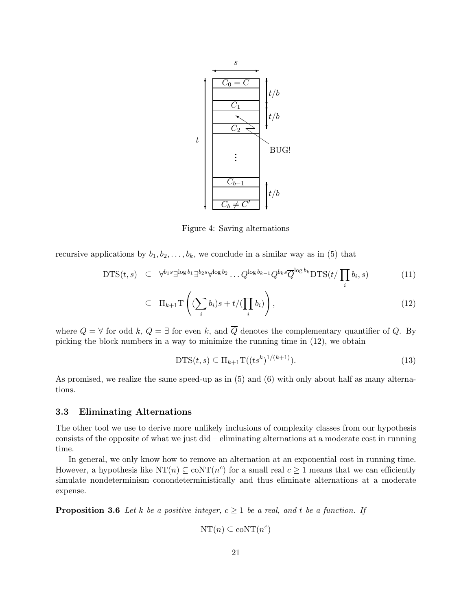

Figure 4: Saving alternations

recursive applications by  $b_1, b_2, \ldots, b_k$ , we conclude in a similar way as in (5) that

$$
DTS(t,s) \subseteq \forall^{b_1 s} \exists^{\log b_1} \exists^{b_2 s} \forall^{\log b_2} \dots Q^{\log b_{k-1}} Q^{b_k s} \overline{Q}^{\log b_k} DTS(t/\prod_i b_i, s)
$$
(11)

$$
\subseteq \Pi_{k+1} \mathcal{T}\left( (\sum_i b_i) s + t/(\prod_i b_i) \right), \tag{12}
$$

where  $Q = \forall$  for odd k,  $Q = \exists$  for even k, and  $\overline{Q}$  denotes the complementary quantifier of Q. By picking the block numbers in a way to minimize the running time in (12), we obtain

$$
DTS(t,s) \subseteq \Pi_{k+1} T((ts^k)^{1/(k+1)}).
$$
\n(13)

As promised, we realize the same speed-up as in (5) and (6) with only about half as many alternations.

### 3.3 Eliminating Alternations

The other tool we use to derive more unlikely inclusions of complexity classes from our hypothesis consists of the opposite of what we just did – eliminating alternations at a moderate cost in running time.

In general, we only know how to remove an alternation at an exponential cost in running time. However, a hypothesis like  $NT(n) \subseteq \text{coNT}(n^c)$  for a small real  $c \ge 1$  means that we can efficiently simulate nondeterminism conondeterministically and thus eliminate alternations at a moderate expense.

**Proposition 3.6** Let k be a positive integer,  $c \geq 1$  be a real, and t be a function. If

$$
NT(n) \subseteq coNT(n^c)
$$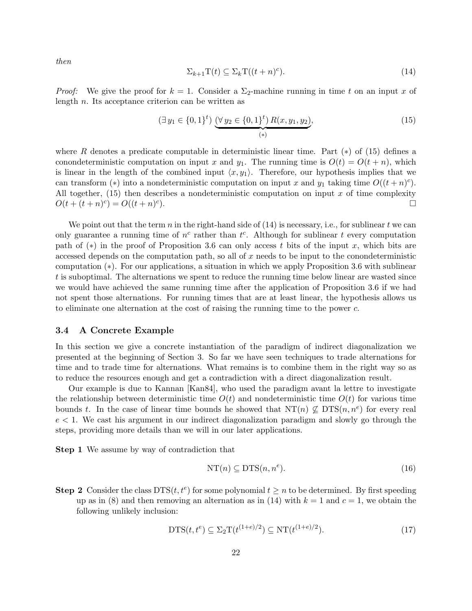then

$$
\Sigma_{k+1} \mathcal{T}(t) \subseteq \Sigma_k \mathcal{T}((t+n)^c). \tag{14}
$$

*Proof:* We give the proof for  $k = 1$ . Consider a  $\Sigma_2$ -machine running in time t on an input x of length n. Its acceptance criterion can be written as

$$
(\exists y_1 \in \{0,1\}^t) \underbrace{(\forall y_2 \in \{0,1\}^t) R(x, y_1, y_2)}_{(*)},
$$
\n(15)

where R denotes a predicate computable in deterministic linear time. Part  $(*)$  of (15) defines a conondeterministic computation on input x and  $y_1$ . The running time is  $O(t) = O(t + n)$ , which is linear in the length of the combined input  $\langle x, y_1 \rangle$ . Therefore, our hypothesis implies that we can transform (\*) into a nondeterministic computation on input x and  $y_1$  taking time  $O((t + n)^c)$ . All together,  $(15)$  then describes a nondeterministic computation on input x of time complexity  $O(t + (t + n)^c) = O((t + n)^c)$  $\Box$ 

We point out that the term  $n$  in the right-hand side of  $(14)$  is necessary, i.e., for sublinear t we can only guarantee a running time of  $n^c$  rather than  $t^c$ . Although for sublinear t every computation path of  $(*)$  in the proof of Proposition 3.6 can only access t bits of the input x, which bits are accessed depends on the computation path, so all of  $x$  needs to be input to the conondeterministic computation (∗). For our applications, a situation in which we apply Proposition 3.6 with sublinear t is suboptimal. The alternations we spent to reduce the running time below linear are wasted since we would have achieved the same running time after the application of Proposition 3.6 if we had not spent those alternations. For running times that are at least linear, the hypothesis allows us to eliminate one alternation at the cost of raising the running time to the power c.

### 3.4 A Concrete Example

In this section we give a concrete instantiation of the paradigm of indirect diagonalization we presented at the beginning of Section 3. So far we have seen techniques to trade alternations for time and to trade time for alternations. What remains is to combine them in the right way so as to reduce the resources enough and get a contradiction with a direct diagonalization result.

Our example is due to Kannan [Kan84], who used the paradigm avant la lettre to investigate the relationship between deterministic time  $O(t)$  and nondeterministic time  $O(t)$  for various time bounds t. In the case of linear time bounds he showed that  $NT(n) \nsubseteq DTS(n, n^e)$  for every real  $e < 1$ . We cast his argument in our indirect diagonalization paradigm and slowly go through the steps, providing more details than we will in our later applications.

Step 1 We assume by way of contradiction that

$$
NT(n) \subseteq DTS(n, n^e). \tag{16}
$$

**Step 2** Consider the class  $DTS(t, t^e)$  for some polynomial  $t \geq n$  to be determined. By first speeding up as in (8) and then removing an alternation as in (14) with  $k = 1$  and  $c = 1$ , we obtain the following unlikely inclusion:

$$
DTS(t, t^e) \subseteq \Sigma_2 T(t^{(1+e)/2}) \subseteq NT(t^{(1+e)/2}). \tag{17}
$$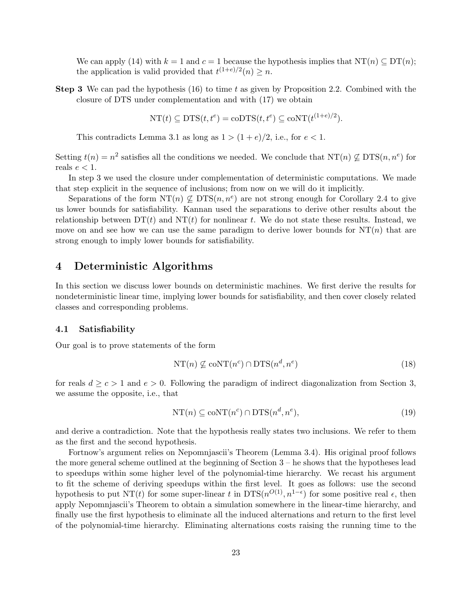We can apply (14) with  $k = 1$  and  $c = 1$  because the hypothesis implies that  $NT(n) \subseteq DT(n)$ ; the application is valid provided that  $t^{(1+e)/2}(n) \geq n$ .

**Step 3** We can pad the hypothesis  $(16)$  to time t as given by Proposition 2.2. Combined with the closure of DTS under complementation and with (17) we obtain

$$
NT(t) \subseteq DTS(t, t^e) = \text{coDTS}(t, t^e) \subseteq \text{coNT}(t^{(1+e)/2}).
$$

This contradicts Lemma 3.1 as long as  $1 > (1+e)/2$ , i.e., for  $e < 1$ .

Setting  $t(n) = n^2$  satisfies all the conditions we needed. We conclude that  $NT(n) \nsubseteq DTS(n, n^e)$  for reals  $e < 1$ .

In step 3 we used the closure under complementation of deterministic computations. We made that step explicit in the sequence of inclusions; from now on we will do it implicitly.

Separations of the form  $NT(n) \nsubseteq DTS(n, n^e)$  are not strong enough for Corollary 2.4 to give us lower bounds for satisfiability. Kannan used the separations to derive other results about the relationship between  $DT(t)$  and  $NT(t)$  for nonlinear t. We do not state these results. Instead, we move on and see how we can use the same paradigm to derive lower bounds for  $NT(n)$  that are strong enough to imply lower bounds for satisfiability.

# 4 Deterministic Algorithms

In this section we discuss lower bounds on deterministic machines. We first derive the results for nondeterministic linear time, implying lower bounds for satisfiability, and then cover closely related classes and corresponding problems.

### 4.1 Satisfiability

Our goal is to prove statements of the form

$$
NT(n) \nsubseteq \text{coNT}(n^c) \cap DTS(n^d, n^e)
$$
\n(18)

for reals  $d \geq c > 1$  and  $e > 0$ . Following the paradigm of indirect diagonalization from Section 3, we assume the opposite, i.e., that

$$
NT(n) \subseteq \text{coNT}(n^c) \cap DTS(n^d, n^e),\tag{19}
$$

and derive a contradiction. Note that the hypothesis really states two inclusions. We refer to them as the first and the second hypothesis.

Fortnow's argument relies on Nepomnjascii's Theorem (Lemma 3.4). His original proof follows the more general scheme outlined at the beginning of Section 3 – he shows that the hypotheses lead to speedups within some higher level of the polynomial-time hierarchy. We recast his argument to fit the scheme of deriving speedups within the first level. It goes as follows: use the second hypothesis to put NT(t) for some super-linear t in  $DTS(n^{O(1)}, n^{1-\epsilon})$  for some positive real  $\epsilon$ , then apply Nepomnjascii's Theorem to obtain a simulation somewhere in the linear-time hierarchy, and finally use the first hypothesis to eliminate all the induced alternations and return to the first level of the polynomial-time hierarchy. Eliminating alternations costs raising the running time to the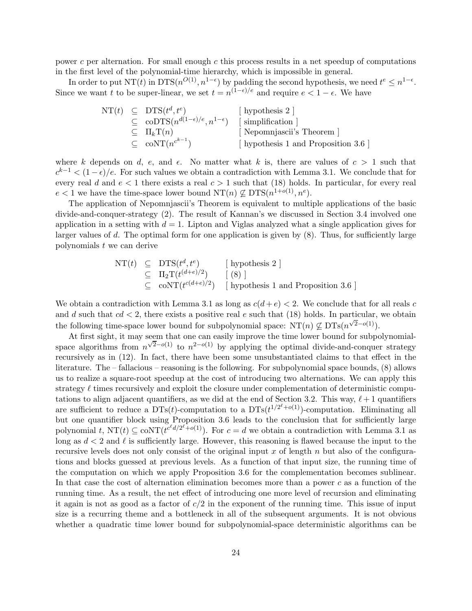power c per alternation. For small enough c this process results in a net speedup of computations in the first level of the polynomial-time hierarchy, which is impossible in general.

In order to put  $NT(t)$  in  $DTS(n^{O(1)}, n^{1-\epsilon})$  by padding the second hypothesis, we need  $t^e \leq n^{1-\epsilon}$ . Since we want t to be super-linear, we set  $t = n^{(1-\epsilon)/e}$  and require  $e < 1 - \epsilon$ . We have

|  | [ hypothesis 2 ]                                                                                                                                                      |
|--|-----------------------------------------------------------------------------------------------------------------------------------------------------------------------|
|  | [simplification]                                                                                                                                                      |
|  | [Nepomnjascii's Theorem]                                                                                                                                              |
|  | [hypothesis 1 and Proposition 3.6]                                                                                                                                    |
|  | $NT(t) \subseteq DTS(t^d, t^e)$<br>$\subset \text{coDTS}(n^{d(1-\epsilon)/e}, n^{1-\epsilon})$<br>$\subseteq \Pi_k \mathrm{T}(n)$<br>$\subseteq$ coNT $(n^{c^{k-1}})$ |

where k depends on d, e, and  $\epsilon$ . No matter what k is, there are values of  $c > 1$  such that  $c^{k-1}$  <  $(1 - \epsilon)/e$ . For such values we obtain a contradiction with Lemma 3.1. We conclude that for every real d and  $e < 1$  there exists a real  $c > 1$  such that (18) holds. In particular, for every real  $e < 1$  we have the time-space lower bound  $NT(n) \nsubseteq \text{DTS}(n^{1+o(1)}, n^e)$ .

The application of Nepomnjascii's Theorem is equivalent to multiple applications of the basic divide-and-conquer-strategy (2). The result of Kannan's we discussed in Section 3.4 involved one application in a setting with  $d = 1$ . Lipton and Viglas analyzed what a single application gives for larger values of d. The optimal form for one application is given by  $(8)$ . Thus, for sufficiently large polynomials t we can derive

> $NT(t) \subseteq DTS(t^d, t^e)$  [ hypothesis 2 ]  $\subseteq \Pi_2 T(t^{(d+e)/2})$  [(8)]  $\subseteq$  coNT( $t^{c(d+e)/2}$ ) [ hypothesis 1 and Proposition 3.6 ]

We obtain a contradiction with Lemma 3.1 as long as  $c(d+e) < 2$ . We conclude that for all reals c and d such that  $cd < 2$ , there exists a positive real e such that (18) holds. In particular, we obtain the following time-space lower bound for subpolynomial space:  $NT(n) \nsubseteq DTs(n^{\sqrt{2}-o(1)})$ .

At first sight, it may seem that one can easily improve the time lower bound for subpolynomialspace algorithms from  $n^{\sqrt{2}-o(1)}$  to  $n^{2-o(1)}$  by applying the optimal divide-and-conquer strategy recursively as in (12). In fact, there have been some unsubstantiated claims to that effect in the literature. The – fallacious – reasoning is the following. For subpolynomial space bounds, (8) allows us to realize a square-root speedup at the cost of introducing two alternations. We can apply this strategy  $\ell$  times recursively and exploit the closure under complementation of deterministic computations to align adjacent quantifiers, as we did at the end of Section 3.2. This way,  $\ell+1$  quantifiers are sufficient to reduce a  $DTs(t)$ -computation to a  $DTs(t^{1/2^{\ell}+o(1)})$ -computation. Eliminating all but one quantifier block using Proposition 3.6 leads to the conclusion that for sufficiently large polynomial t,  $NT(t) \subseteq \text{coNT}(t^{c^{\ell}d/2^{\ell}+o(1)})$ . For  $c = d$  we obtain a contradiction with Lemma 3.1 as long as  $d < 2$  and  $\ell$  is sufficiently large. However, this reasoning is flawed because the input to the recursive levels does not only consist of the original input x of length n but also of the configurations and blocks guessed at previous levels. As a function of that input size, the running time of the computation on which we apply Proposition 3.6 for the complementation becomes sublinear. In that case the cost of alternation elimination becomes more than a power  $c$  as a function of the running time. As a result, the net effect of introducing one more level of recursion and eliminating it again is not as good as a factor of  $c/2$  in the exponent of the running time. This issue of input size is a recurring theme and a bottleneck in all of the subsequent arguments. It is not obvious whether a quadratic time lower bound for subpolynomial-space deterministic algorithms can be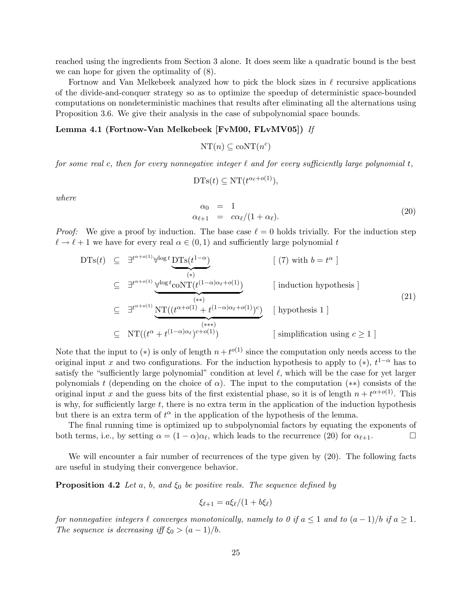reached using the ingredients from Section 3 alone. It does seem like a quadratic bound is the best we can hope for given the optimality of (8).

Fortnow and Van Melkebeek analyzed how to pick the block sizes in  $\ell$  recursive applications of the divide-and-conquer strategy so as to optimize the speedup of deterministic space-bounded computations on nondeterministic machines that results after eliminating all the alternations using Proposition 3.6. We give their analysis in the case of subpolynomial space bounds.

### Lemma 4.1 (Fortnow-Van Melkebeek [FvM00, FLvMV05]) If

 $NT(n) \subseteq \text{coNT}(n^c)$ 

for some real c, then for every nonnegative integer  $\ell$  and for every sufficiently large polynomial t,

$$
\mathrm{DTs}(t) \subseteq \mathrm{NT}(t^{\alpha_{\ell}+o(1)}),
$$

where

$$
\begin{array}{rcl}\n\alpha_0 &=& 1 \\
\alpha_{\ell+1} &=& \alpha_{\ell}/(1+\alpha_{\ell}).\n\end{array} \tag{20}
$$

*Proof:* We give a proof by induction. The base case  $\ell = 0$  holds trivially. For the induction step  $\ell \to \ell + 1$  we have for every real  $\alpha \in (0,1)$  and sufficiently large polynomial t

$$
\begin{array}{rcl}\n\text{DTs}(t) & \subseteq & \exists^{t^{\alpha+o(1)}} \forall^{\log t} \underbrace{\text{DTs}(t^{1-\alpha})}_{(*)} & \qquad [\text{ (7) with } b = t^{\alpha} \text{ ]} \\
& \subseteq & \exists^{t^{\alpha+o(1)}} \underbrace{\forall^{\log t} \text{coNT}(t^{(1-\alpha)\alpha_{\ell}+o(1)})}_{(**)} & \qquad [\text{ induction hypothesis} \text{ ]} \\
& \subseteq & \exists^{t^{\alpha+o(1)}} \underbrace{\text{NT}((t^{\alpha+o(1)} + t^{(1-\alpha)\alpha_{\ell}+o(1)})^c)}_{(**)} & \qquad [\text{ hypothesis 1} \text{ ]} \\
& \subseteq & \text{NT}((t^{\alpha} + t^{(1-\alpha)\alpha_{\ell}})^{c+o(1)}) & \qquad [\text{ simplification using } c \ge 1 \text{ ]}\n\end{array}
$$

Note that the input to (\*) is only of length  $n + t^{o(1)}$  since the computation only needs access to the original input x and two configurations. For the induction hypothesis to apply to  $(*)$ ,  $t^{1-\alpha}$  has to satisfy the "sufficiently large polynomial" condition at level  $\ell$ , which will be the case for yet larger polynomials t (depending on the choice of  $\alpha$ ). The input to the computation (\*\*) consists of the original input x and the guess bits of the first existential phase, so it is of length  $n + t^{\alpha+o(1)}$ . This is why, for sufficiently large  $t$ , there is no extra term in the application of the induction hypothesis but there is an extra term of  $t^{\alpha}$  in the application of the hypothesis of the lemma.

The final running time is optimized up to subpolynomial factors by equating the exponents of both terms, i.e., by setting  $\alpha = (1 - \alpha)\alpha_{\ell}$ , which leads to the recurrence (20) for  $\alpha_{\ell+1}$ .

We will encounter a fair number of recurrences of the type given by (20). The following facts are useful in studying their convergence behavior.

**Proposition 4.2** Let a, b, and  $\xi_0$  be positive reals. The sequence defined by

$$
\xi_{\ell+1} = a\xi_{\ell}/(1+b\xi_{\ell})
$$

for nonnegative integers  $\ell$  converges monotonically, namely to 0 if  $a \leq 1$  and to  $(a-1)/b$  if  $a \geq 1$ . The sequence is decreasing iff  $\xi_0 > (a-1)/b$ .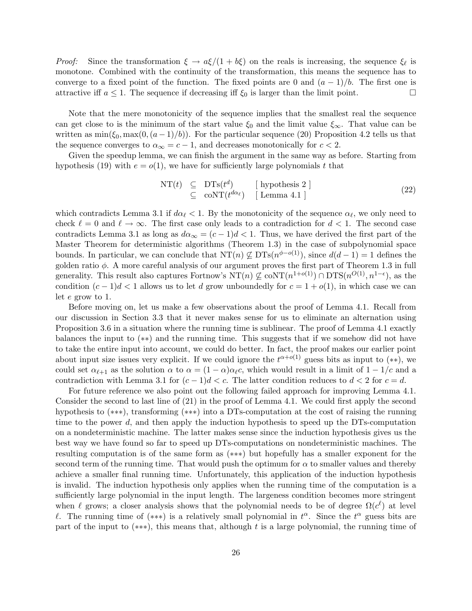*Proof:* Since the transformation  $\xi \to a\xi/(1 + b\xi)$  on the reals is increasing, the sequence  $\xi_{\ell}$  is monotone. Combined with the continuity of the transformation, this means the sequence has to converge to a fixed point of the function. The fixed points are 0 and  $(a-1)/b$ . The first one is attractive iff  $a \le 1$ . The sequence if decreasing iff  $\xi_0$  is larger than the limit point. attractive iff  $a \leq 1$ . The sequence if decreasing iff  $\xi_0$  is larger than the limit point.

Note that the mere monotonicity of the sequence implies that the smallest real the sequence can get close to is the minimum of the start value  $\xi_0$  and the limit value  $\xi_\infty$ . That value can be written as  $min(\xi_0, max(0, (a-1)/b))$ . For the particular sequence (20) Proposition 4.2 tells us that the sequence converges to  $\alpha_{\infty} = c - 1$ , and decreases monotonically for  $c < 2$ .

Given the speedup lemma, we can finish the argument in the same way as before. Starting from hypothesis (19) with  $e = o(1)$ , we have for sufficiently large polynomials t that

$$
NT(t) \subseteq DTs(t^d) \qquad \text{[ hypothesis 2]}
$$
  

$$
\subseteq \text{coNT}(t^{d\alpha_{\ell}}) \qquad \text{[ Lemma 4.1]}
$$
 (22)

which contradicts Lemma 3.1 if  $d\alpha_{\ell} < 1$ . By the monotonicity of the sequence  $\alpha_{\ell}$ , we only need to check  $\ell = 0$  and  $\ell \to \infty$ . The first case only leads to a contradiction for  $d < 1$ . The second case contradicts Lemma 3.1 as long as  $d\alpha_{\infty} = (c-1)d < 1$ . Thus, we have derived the first part of the Master Theorem for deterministic algorithms (Theorem 1.3) in the case of subpolynomial space bounds. In particular, we can conclude that  $NT(n) \not\subseteq DTs(n^{\phi - o(1)})$ , since  $d(d-1) = 1$  defines the golden ratio  $\phi$ . A more careful analysis of our argument proves the first part of Theorem 1.3 in full generality. This result also captures Fortnow's  $NT(n) \nsubseteq \text{coNT}(n^{1+o(1)}) \cap \text{DTS}(n^{O(1)}, n^{1-\epsilon})$ , as the condition  $(c-1)d < 1$  allows us to let d grow unboundedly for  $c = 1 + o(1)$ , in which case we can let e grow to 1.

Before moving on, let us make a few observations about the proof of Lemma 4.1. Recall from our discussion in Section 3.3 that it never makes sense for us to eliminate an alternation using Proposition 3.6 in a situation where the running time is sublinear. The proof of Lemma 4.1 exactly balances the input to (∗∗) and the running time. This suggests that if we somehow did not have to take the entire input into account, we could do better. In fact, the proof makes our earlier point about input size issues very explicit. If we could ignore the  $t^{\alpha+o(1)}$  guess bits as input to (\*\*), we could set  $\alpha_{\ell+1}$  as the solution  $\alpha$  to  $\alpha = (1 - \alpha)\alpha_{\ell}c$ , which would result in a limit of  $1 - 1/c$  and a contradiction with Lemma 3.1 for  $(c-1)d < c$ . The latter condition reduces to  $d < 2$  for  $c = d$ .

For future reference we also point out the following failed approach for improving Lemma 4.1. Consider the second to last line of (21) in the proof of Lemma 4.1. We could first apply the second hypothesis to (∗∗∗), transforming (∗∗∗) into a DTs-computation at the cost of raising the running time to the power  $d$ , and then apply the induction hypothesis to speed up the DTs-computation on a nondeterministic machine. The latter makes sense since the induction hypothesis gives us the best way we have found so far to speed up DTs-computations on nondeterministic machines. The resulting computation is of the same form as (∗∗∗) but hopefully has a smaller exponent for the second term of the running time. That would push the optimum for  $\alpha$  to smaller values and thereby achieve a smaller final running time. Unfortunately, this application of the induction hypothesis is invalid. The induction hypothesis only applies when the running time of the computation is a sufficiently large polynomial in the input length. The largeness condition becomes more stringent when  $\ell$  grows; a closer analysis shows that the polynomial needs to be of degree  $\Omega(c^{\ell})$  at level l. The running time of (\*\*\*) is a relatively small polynomial in  $t^{\alpha}$ . Since the  $t^{\alpha}$  guess bits are part of the input to  $(***)$ , this means that, although t is a large polynomial, the running time of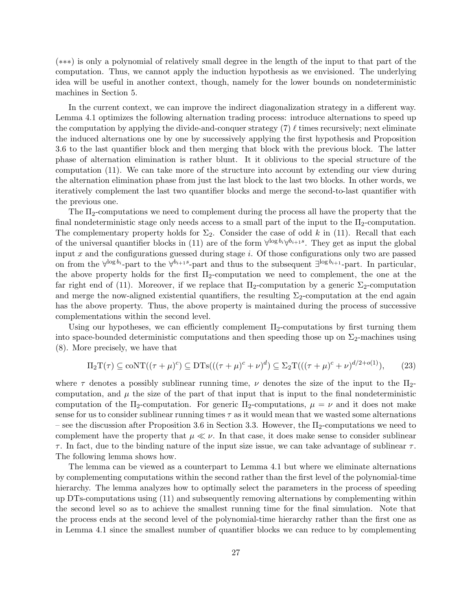(∗∗∗) is only a polynomial of relatively small degree in the length of the input to that part of the computation. Thus, we cannot apply the induction hypothesis as we envisioned. The underlying idea will be useful in another context, though, namely for the lower bounds on nondeterministic machines in Section 5.

In the current context, we can improve the indirect diagonalization strategy in a different way. Lemma 4.1 optimizes the following alternation trading process: introduce alternations to speed up the computation by applying the divide-and-conquer strategy  $(7) \ell$  times recursively; next eliminate the induced alternations one by one by successively applying the first hypothesis and Proposition 3.6 to the last quantifier block and then merging that block with the previous block. The latter phase of alternation elimination is rather blunt. It it oblivious to the special structure of the computation (11). We can take more of the structure into account by extending our view during the alternation elimination phase from just the last block to the last two blocks. In other words, we iteratively complement the last two quantifier blocks and merge the second-to-last quantifier with the previous one.

The Π2-computations we need to complement during the process all have the property that the final nondeterministic stage only needs access to a small part of the input to the  $\Pi_2$ -computation. The complementary property holds for  $\Sigma_2$ . Consider the case of odd k in (11). Recall that each of the universal quantifier blocks in (11) are of the form  $\forall^{\log b_i} \forall^{b_{i+1}s}$ . They get as input the global input  $x$  and the configurations guessed during stage  $i$ . Of those configurations only two are passed on from the  $\forall^{\log b_i}$ -part to the  $\forall^{b_{i+1}s}$ -part and thus to the subsequent  $\exists^{\log b_{i+1}}$ -part. In particular, the above property holds for the first  $\Pi_2$ -computation we need to complement, the one at the far right end of (11). Moreover, if we replace that  $\Pi_2$ -computation by a generic  $\Sigma_2$ -computation and merge the now-aligned existential quantifiers, the resulting  $\Sigma_2$ -computation at the end again has the above property. Thus, the above property is maintained during the process of successive complementations within the second level.

Using our hypotheses, we can efficiently complement  $\Pi_2$ -computations by first turning them into space-bounded deterministic computations and then speeding those up on  $\Sigma_2$ -machines using (8). More precisely, we have that

$$
\Pi_2 T(\tau) \subseteq \text{coNT}((\tau + \mu)^c) \subseteq \text{DTs}(( (\tau + \mu)^c + \nu)^d) \subseteq \Sigma_2 T(((\tau + \mu)^c + \nu)^{d/2 + o(1)}),\tag{23}
$$

where  $\tau$  denotes a possibly sublinear running time,  $\nu$  denotes the size of the input to the  $\Pi_{2}$ computation, and  $\mu$  the size of the part of that input that is input to the final nondeterministic computation of the  $\Pi_2$ -computation. For generic  $\Pi_2$ -computations,  $\mu = \nu$  and it does not make sense for us to consider sublinear running times  $\tau$  as it would mean that we wasted some alternations – see the discussion after Proposition 3.6 in Section 3.3. However, the  $\Pi_2$ -computations we need to complement have the property that  $\mu \ll \nu$ . In that case, it does make sense to consider sublinear  $\tau$ . In fact, due to the binding nature of the input size issue, we can take advantage of sublinear  $\tau$ . The following lemma shows how.

The lemma can be viewed as a counterpart to Lemma 4.1 but where we eliminate alternations by complementing computations within the second rather than the first level of the polynomial-time hierarchy. The lemma analyzes how to optimally select the parameters in the process of speeding up DTs-computations using (11) and subsequently removing alternations by complementing within the second level so as to achieve the smallest running time for the final simulation. Note that the process ends at the second level of the polynomial-time hierarchy rather than the first one as in Lemma 4.1 since the smallest number of quantifier blocks we can reduce to by complementing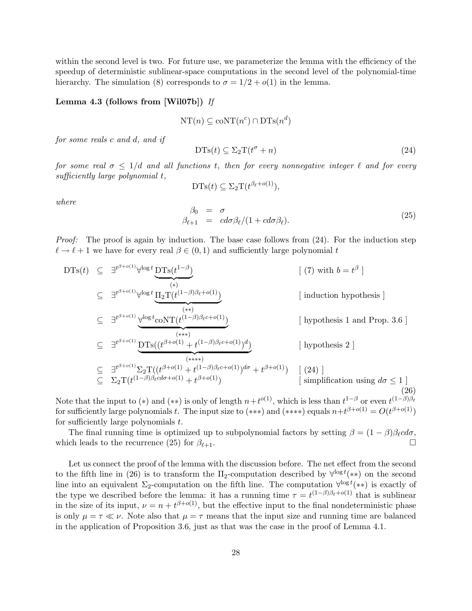within the second level is two. For future use, we parameterize the lemma with the efficiency of the speedup of deterministic sublinear-space computations in the second level of the polynomial-time hierarchy. The simulation (8) corresponds to  $\sigma = 1/2 + o(1)$  in the lemma.

### Lemma 4.3 (follows from [Wil07b]) If

$$
NT(n) \subseteq \text{coNT}(n^c) \cap DTs(n^d)
$$

for some reals c and d, and if

$$
DTs(t) \subseteq \Sigma_2 T(t^{\sigma} + n)
$$
\n(24)

for some real  $\sigma \leq 1/d$  and all functions t, then for every nonnegative integer  $\ell$  and for every sufficiently large polynomial t,

$$
DTs(t) \subseteq \Sigma_2 T(t^{\beta_{\ell} + o(1)}),
$$

where

$$
\begin{array}{rcl}\n\beta_0 & = & \sigma \\
\beta_{\ell+1} & = & cd\sigma\beta_{\ell}/(1+cd\sigma\beta_{\ell}).\n\end{array} \tag{25}
$$

*Proof:* The proof is again by induction. The base case follows from  $(24)$ . For the induction step  $\ell \to \ell + 1$  we have for every real  $\beta \in (0,1)$  and sufficiently large polynomial t

$$
DTs(t) \subseteq \exists^{t^{\beta+o(1)}}\forall^{\log t} \underbrace{\text{DTs}(t^{1-\beta})}_{(*)} \qquad \text{[ (7) with } b = t^{\beta} \text{]}
$$
\n
$$
\subseteq \exists^{t^{\beta+o(1)}}\forall^{\log t} \underbrace{\text{DTs}(t^{(1-\beta)\beta_{\ell}+o(1)})}_{(**)}
$$
\n
$$
\subseteq \exists^{t^{\beta+o(1)}}\underbrace{\text{Var}(t^{(1-\beta)\beta_{\ell}+o(1)})}_{(***)} \qquad \text{[ hypothesis 1 and Prop. 3.6 ]}
$$
\n
$$
\subseteq \exists^{t^{\beta+o(1)}}\underbrace{\text{DTs}((t^{\beta+o(1)}+t^{(1-\beta)\beta_{\ell}c+o(1)})^d)}_{(****}
$$
\n
$$
\subseteq \exists^{t^{\beta+o(1)}}\sum_{2}T((t^{\beta+o(1)}+t^{(1-\beta)\beta_{\ell}c+o(1)})^{d\sigma}+t^{\beta+o(1)}) \qquad \text{[ (24) ]}
$$
\n
$$
\subseteq \sum_{2}T(t^{(1-\beta)\beta_{\ell}cd\sigma+o(1)}+t^{\beta+o(1)}) \qquad \text{[ simplification using } d\sigma \leq 1 \text{]}
$$
\n
$$
(26)
$$

Note that the input to (\*) and (\*\*) is only of length  $n+t^{o(1)}$ , which is less than  $t^{1-\beta}$  or even  $t^{(1-\beta)\beta_\ell}$ for sufficiently large polynomials t. The input size to (\*\*\*) and (\*\*\*\*) equals  $n+t^{\beta+o(1)} = O(t^{\beta+o(1)})$ for sufficiently large polynomials t.

The final running time is optimized up to subpolynomial factors by setting  $\beta = (1 - \beta)\beta_{\ell}cd\sigma$ ,<br>ich leads to the recurrence (25) for  $\beta_{\ell+1}$ . which leads to the recurrence (25) for  $\beta_{\ell+1}$ .

Let us connect the proof of the lemma with the discussion before. The net effect from the second to the fifth line in (26) is to transform the  $\Pi_2$ -computation described by  $\forall^{\log t}(**)$  on the second line into an equivalent  $\Sigma_2$ -computation on the fifth line. The computation  $\forall^{\log t}(*)$  is exactly of the type we described before the lemma: it has a running time  $\tau = t^{(1-\beta)\beta_{\ell}+o(1)}$  that is sublinear in the size of its input,  $\nu = n + t^{\beta+o(1)}$ , but the effective input to the final nondeterministic phase is only  $\mu = \tau \ll \nu$ . Note also that  $\mu = \tau$  means that the input size and running time are balanced in the application of Proposition 3.6, just as that was the case in the proof of Lemma 4.1.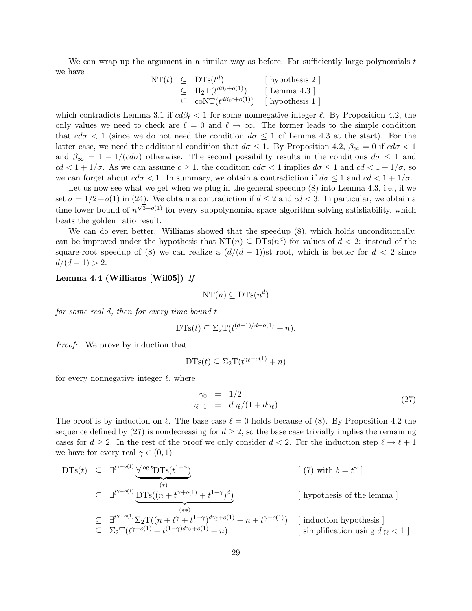We can wrap up the argument in a similar way as before. For sufficiently large polynomials  $t$ we have

$$
\begin{array}{rcl}\n\text{NT}(t) & \subseteq & \text{DTs}(t^d) & \text{[ hypothesis 2]} \\
& \subseteq & \text{II}_2 \text{T}(t^{d\beta_{\ell} + o(1)}) & \text{[ Lemma 4.3]} \\
& \subseteq & \text{coNT}(t^{d\beta_{\ell}c + o(1)}) & \text{[ hypothesis 1]}\n\end{array}
$$

which contradicts Lemma 3.1 if  $cd\beta_\ell < 1$  for some nonnegative integer  $\ell$ . By Proposition 4.2, the only values we need to check are  $\ell = 0$  and  $\ell \to \infty$ . The former leads to the simple condition that  $cd\sigma < 1$  (since we do not need the condition  $d\sigma \leq 1$  of Lemma 4.3 at the start). For the latter case, we need the additional condition that  $d\sigma \leq 1$ . By Proposition 4.2,  $\beta_{\infty} = 0$  if  $c d\sigma < 1$ and  $\beta_{\infty} = 1 - 1/(cd\sigma)$  otherwise. The second possibility results in the conditions  $d\sigma \leq 1$  and  $cd < 1 + 1/\sigma$ . As we can assume  $c \ge 1$ , the condition  $cd\sigma < 1$  implies  $d\sigma \le 1$  and  $cd < 1 + 1/\sigma$ , so we can forget about  $cd\sigma < 1$ . In summary, we obtain a contradiction if  $d\sigma \leq 1$  and  $cd < 1 + 1/\sigma$ .

Let us now see what we get when we plug in the general speedup  $(8)$  into Lemma 4.3, i.e., if we set  $\sigma = 1/2 + o(1)$  in (24). We obtain a contradiction if  $d \leq 2$  and  $cd < 3$ . In particular, we obtain a time lower bound of  $n^{\sqrt{3}-o(1)}$  for every subpolynomial-space algorithm solving satisfiability, which beats the golden ratio result.

We can do even better. Williams showed that the speedup  $(8)$ , which holds unconditionally, can be improved under the hypothesis that  $NT(n) \subseteq DTs(n^d)$  for values of  $d < 2$ : instead of the square-root speedup of (8) we can realize a  $(d/(d-1))$ st root, which is better for  $d < 2$  since  $d/(d-1) > 2.$ 

Lemma 4.4 (Williams [Wil $05$ ]) If

$$
NT(n) \subseteq DTs(n^d)
$$

for some real d, then for every time bound t

$$
DTs(t) \subseteq \Sigma_2 T(t^{(d-1)/d + o(1)} + n).
$$

Proof: We prove by induction that

$$
\mathrm{DTs}(t) \subseteq \Sigma_2 \mathrm{T}(t^{\gamma_\ell + o(1)} + n)
$$

for every nonnegative integer  $\ell$ , where

$$
\begin{array}{rcl}\n\gamma_0 & = & 1/2 \\
\gamma_{\ell+1} & = & d\gamma_{\ell}/(1 + d\gamma_{\ell}).\n\end{array}\n\tag{27}
$$

The proof is by induction on  $\ell$ . The base case  $\ell = 0$  holds because of (8). By Proposition 4.2 the sequence defined by (27) is nondecreasing for  $d \geq 2$ , so the base case trivially implies the remaining cases for  $d \geq 2$ . In the rest of the proof we only consider  $d < 2$ . For the induction step  $\ell \to \ell + 1$ we have for every real  $\gamma \in (0,1)$ 

$$
\begin{array}{rcl}\n\text{DTs}(t) & \subseteq & \exists^{t^{\gamma+o(1)}} \underbrace{\forall^{\log t} \text{DTs}(t^{1-\gamma})}_{(*)} & \left[ \begin{array}{c} (7) \text{ with } b = t^{\gamma} \end{array} \right] \\
& \subseteq & \exists^{t^{\gamma+o(1)}} \underbrace{\text{DTs}((n+t^{\gamma+o(1)}+t^{1-\gamma})^d)}_{(**)} & \left[ \begin{array}{c} \text{hypothesis of the lemma} \end{array} \right] \\
& \subseteq & \exists^{t^{\gamma+o(1)}} \sum_{2} \text{T}((n+t^{\gamma}+t^{1-\gamma})^{d\gamma_{\ell}+o(1)} + n + t^{\gamma+o(1)}) & \left[ \begin{array}{c} \text{induction hypothesis} \end{array} \right] \\
& \subseteq & \sum_{2} \text{T}(t^{\gamma+o(1)}+t^{(1-\gamma)d\gamma_{\ell}+o(1)}+n) & \left[ \begin{array}{c} \text{induction hypothesis} \end{array} \right] \\
& \text{simpification using } d\gamma_{\ell} < 1 \end{array}
$$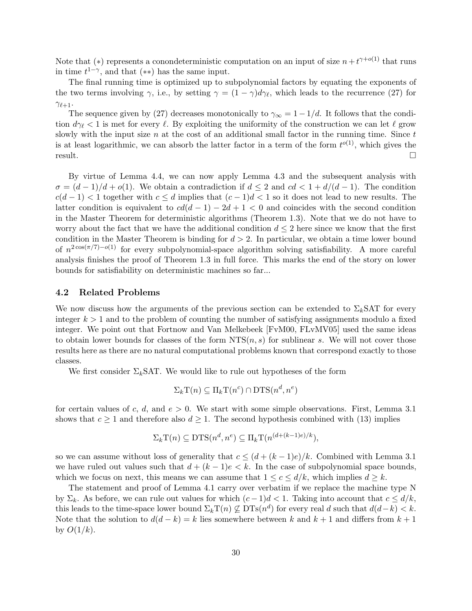Note that (\*) represents a conondeterministic computation on an input of size  $n+t^{\gamma+o(1)}$  that runs in time  $t^{1-\gamma}$ , and that  $(**)$  has the same input.

The final running time is optimized up to subpolynomial factors by equating the exponents of the two terms involving  $\gamma$ , i.e., by setting  $\gamma = (1 - \gamma)d\gamma_{\ell}$ , which leads to the recurrence (27) for  $\gamma_{\ell+1}$ .

The sequence given by (27) decreases monotonically to  $\gamma_{\infty} = 1 - 1/d$ . It follows that the condition  $d\gamma_\ell < 1$  is met for every  $\ell$ . By exploiting the uniformity of the construction we can let  $\ell$  grow slowly with the input size  $n$  at the cost of an additional small factor in the running time. Since  $t$ is at least logarithmic, we can absorb the latter factor in a term of the form  $t^{o(1)}$ , which gives the  $r$ esult.

By virtue of Lemma 4.4, we can now apply Lemma 4.3 and the subsequent analysis with  $\sigma = (d-1)/d + o(1)$ . We obtain a contradiction if  $d \leq 2$  and  $cd \leq 1 + d/(d-1)$ . The condition  $c(d-1)$  < 1 together with  $c \leq d$  implies that  $(c-1)d < 1$  so it does not lead to new results. The latter condition is equivalent to  $cd(d-1) - 2d + 1 < 0$  and coincides with the second condition in the Master Theorem for deterministic algorithms (Theorem 1.3). Note that we do not have to worry about the fact that we have the additional condition  $d \leq 2$  here since we know that the first condition in the Master Theorem is binding for  $d > 2$ . In particular, we obtain a time lower bound of  $n^{2\cos(\pi/7)-o(1)}$  for every subpolynomial-space algorithm solving satisfiability. A more careful analysis finishes the proof of Theorem 1.3 in full force. This marks the end of the story on lower bounds for satisfiability on deterministic machines so far...

#### 4.2 Related Problems

We now discuss how the arguments of the previous section can be extended to  $\Sigma_k$ SAT for every integer  $k > 1$  and to the problem of counting the number of satisfying assignments modulo a fixed integer. We point out that Fortnow and Van Melkebeek [FvM00, FLvMV05] used the same ideas to obtain lower bounds for classes of the form  $NTS(n, s)$  for sublinear s. We will not cover those results here as there are no natural computational problems known that correspond exactly to those classes.

We first consider  $\Sigma_k$ SAT. We would like to rule out hypotheses of the form

$$
\Sigma_k \mathrm{T}(n) \subseteq \Pi_k \mathrm{T}(n^c) \cap \mathrm{DTS}(n^d, n^e)
$$

for certain values of c, d, and  $e > 0$ . We start with some simple observations. First, Lemma 3.1 shows that  $c \ge 1$  and therefore also  $d \ge 1$ . The second hypothesis combined with (13) implies

$$
\Sigma_k \mathcal{T}(n) \subseteq \text{DTS}(n^d, n^e) \subseteq \Pi_k \mathcal{T}(n^{(d+(k-1)e)/k}),
$$

so we can assume without loss of generality that  $c \leq (d + (k-1)e)/k$ . Combined with Lemma 3.1 we have ruled out values such that  $d + (k - 1)e < k$ . In the case of subpolynomial space bounds, which we focus on next, this means we can assume that  $1 \leq c \leq d/k$ , which implies  $d \geq k$ .

The statement and proof of Lemma 4.1 carry over verbatim if we replace the machine type N by  $\Sigma_k$ . As before, we can rule out values for which  $(c-1)d < 1$ . Taking into account that  $c \leq d/k$ , this leads to the time-space lower bound  $\Sigma_k \text{T}(n) \not\subseteq \text{DTs}(n^d)$  for every real d such that  $d(d-k) < k$ . Note that the solution to  $d(d-k) = k$  lies somewhere between k and  $k+1$  and differs from  $k+1$ by  $O(1/k)$ .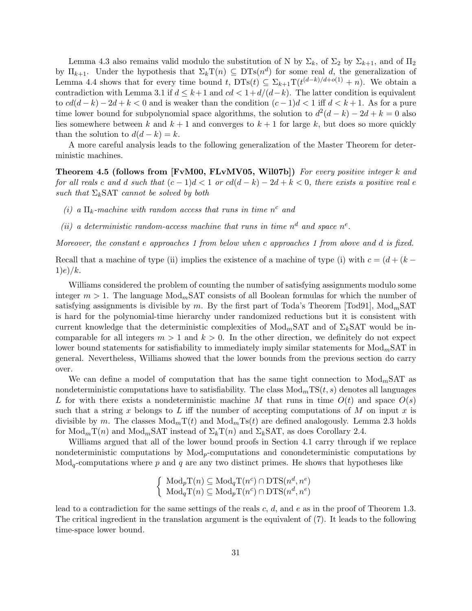Lemma 4.3 also remains valid modulo the substitution of N by  $\Sigma_k$ , of  $\Sigma_2$  by  $\Sigma_{k+1}$ , and of  $\Pi_2$ by  $\Pi_{k+1}$ . Under the hypothesis that  $\Sigma_k \Gamma(n) \subseteq DTs(n^d)$  for some real d, the generalization of Lemma 4.4 shows that for every time bound t,  $DTs(t) \subseteq \sum_{k+1} T(t^{(d-k)/d+o(1)} + n)$ . We obtain a contradiction with Lemma 3.1 if  $d \leq k+1$  and  $cd < 1+d/(d-k)$ . The latter condition is equivalent to  $cd(d-k) - 2d + k < 0$  and is weaker than the condition  $(c-1)d < 1$  iff  $d < k+1$ . As for a pure time lower bound for subpolynomial space algorithms, the solution to  $d^2(d-k) - 2d + k = 0$  also lies somewhere between k and  $k + 1$  and converges to  $k + 1$  for large k, but does so more quickly than the solution to  $d(d-k) = k$ .

A more careful analysis leads to the following generalization of the Master Theorem for deterministic machines.

Theorem 4.5 (follows from [FvM00, FLvMV05, Wil07b]) For every positive integer k and for all reals c and d such that  $(c-1)d < 1$  or  $cd(d-k) - 2d + k < 0$ , there exists a positive real e such that  $\Sigma_k$ SAT cannot be solved by both

- (i) a  $\Pi_k$ -machine with random access that runs in time  $n^c$  and
- (ii) a deterministic random-access machine that runs in time  $n^d$  and space  $n^e$ .

Moreover, the constant e approaches 1 from below when c approaches 1 from above and d is fixed.

Recall that a machine of type (ii) implies the existence of a machine of type (i) with  $c = (d + (k 1)e)/k.$ 

Williams considered the problem of counting the number of satisfying assignments modulo some integer  $m > 1$ . The language Mod<sub>m</sub>SAT consists of all Boolean formulas for which the number of satisfying assignments is divisible by m. By the first part of Toda's Theorem [Tod91],  $Mod<sub>m</sub>SAT$ is hard for the polynomial-time hierarchy under randomized reductions but it is consistent with current knowledge that the deterministic complexities of  $\text{Mod}_m\text{SAT}$  and of  $\Sigma_k\text{SAT}$  would be incomparable for all integers  $m > 1$  and  $k > 0$ . In the other direction, we definitely do not expect lower bound statements for satisfiability to immediately imply similar statements for  $Mod<sub>m</sub>SAT$  in general. Nevertheless, Williams showed that the lower bounds from the previous section do carry over.

We can define a model of computation that has the same tight connection to  $Mod<sub>m</sub>SAT$  as nondeterministic computations have to satisfiability. The class  $Mod<sub>m</sub> TS(t, s)$  denotes all languages L for with there exists a nondeterministic machine M that runs in time  $O(t)$  and space  $O(s)$ such that a string x belongs to L iff the number of accepting computations of M on input x is divisible by m. The classes  $Mod<sub>m</sub>T(t)$  and  $Mod<sub>m</sub>Ts(t)$  are defined analogously. Lemma 2.3 holds for  $Mod<sub>m</sub>T(n)$  and  $Mod<sub>m</sub>SAT$  instead of  $\Sigma<sub>k</sub>T(n)$  and  $\Sigma<sub>k</sub>SAT$ , as does Corollary 2.4.

Williams argued that all of the lower bound proofs in Section 4.1 carry through if we replace nondeterministic computations by  $Mod_p$ -computations and conondeterministic computations by  $Mod<sub>q</sub>$ -computations where p and q are any two distinct primes. He shows that hypotheses like

$$
\begin{cases} \text{Mod}_p \text{T}(n) \subseteq \text{Mod}_q \text{T}(n^c) \cap \text{DTS}(n^d, n^e) \\ \text{Mod}_q \text{T}(n) \subseteq \text{Mod}_p \text{T}(n^c) \cap \text{DTS}(n^d, n^e) \end{cases}
$$

lead to a contradiction for the same settings of the reals  $c, d$ , and  $e$  as in the proof of Theorem 1.3. The critical ingredient in the translation argument is the equivalent of (7). It leads to the following time-space lower bound.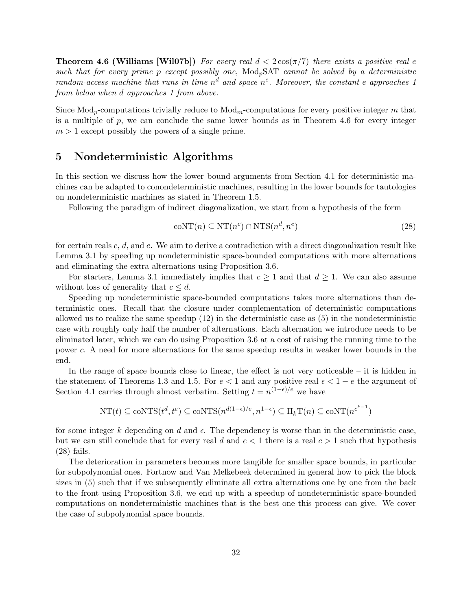**Theorem 4.6 (Williams [Wil07b])** For every real  $d < 2\cos(\pi/7)$  there exists a positive real e such that for every prime p except possibly one,  $Mod_pSAT$  cannot be solved by a deterministic random-access machine that runs in time  $n^d$  and space  $n^e$ . Moreover, the constant e approaches 1 from below when d approaches 1 from above.

Since  $\text{Mod}_p$ -computations trivially reduce to  $\text{Mod}_m$ -computations for every positive integer m that is a multiple of  $p$ , we can conclude the same lower bounds as in Theorem 4.6 for every integer  $m > 1$  except possibly the powers of a single prime.

# 5 Nondeterministic Algorithms

In this section we discuss how the lower bound arguments from Section 4.1 for deterministic machines can be adapted to conondeterministic machines, resulting in the lower bounds for tautologies on nondeterministic machines as stated in Theorem 1.5.

Following the paradigm of indirect diagonalization, we start from a hypothesis of the form

$$
coNT(n) \subseteq NT(n^c) \cap NTS(n^d, n^e)
$$
\n(28)

for certain reals  $c, d$ , and  $e$ . We aim to derive a contradiction with a direct diagonalization result like Lemma 3.1 by speeding up nondeterministic space-bounded computations with more alternations and eliminating the extra alternations using Proposition 3.6.

For starters, Lemma 3.1 immediately implies that  $c \geq 1$  and that  $d \geq 1$ . We can also assume without loss of generality that  $c \leq d$ .

Speeding up nondeterministic space-bounded computations takes more alternations than deterministic ones. Recall that the closure under complementation of deterministic computations allowed us to realize the same speedup (12) in the deterministic case as (5) in the nondeterministic case with roughly only half the number of alternations. Each alternation we introduce needs to be eliminated later, which we can do using Proposition 3.6 at a cost of raising the running time to the power c. A need for more alternations for the same speedup results in weaker lower bounds in the end.

In the range of space bounds close to linear, the effect is not very noticeable – it is hidden in the statement of Theorems 1.3 and 1.5. For  $e < 1$  and any positive real  $\epsilon < 1 - e$  the argument of Section 4.1 carries through almost verbatim. Setting  $t = n^{(1-\epsilon)/e}$  we have

$$
NT(t) \subseteq \text{coNTS}(t^d, t^e) \subseteq \text{coNTS}(n^{d(1-\epsilon)/e}, n^{1-\epsilon}) \subseteq \Pi_k T(n) \subseteq \text{coNT}(n^{c^{k-1}})
$$

for some integer k depending on d and  $\epsilon$ . The dependency is worse than in the deterministic case, but we can still conclude that for every real d and  $e < 1$  there is a real  $c > 1$  such that hypothesis (28) fails.

The deterioration in parameters becomes more tangible for smaller space bounds, in particular for subpolynomial ones. Fortnow and Van Melkebeek determined in general how to pick the block sizes in (5) such that if we subsequently eliminate all extra alternations one by one from the back to the front using Proposition 3.6, we end up with a speedup of nondeterministic space-bounded computations on nondeterministic machines that is the best one this process can give. We cover the case of subpolynomial space bounds.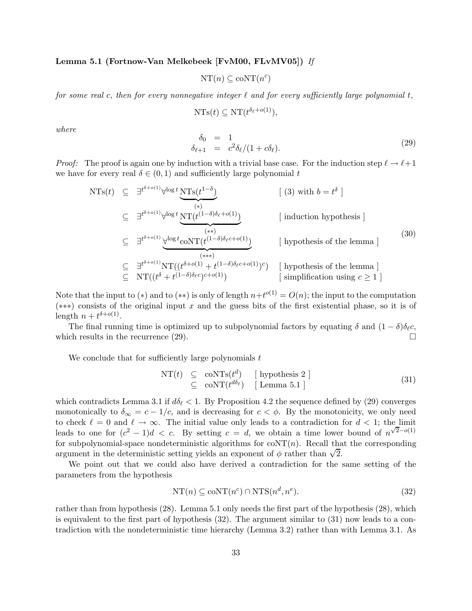### Lemma 5.1 (Fortnow-Van Melkebeek [FvM00, FLvMV05]) If

$$
NT(n) \subseteq coNT(n^c)
$$

for some real c, then for every nonnegative integer  $\ell$  and for every sufficiently large polynomial t,

$$
NTs(t) \subseteq NT(t^{\delta_{\ell} + o(1)}),
$$

where

$$
\begin{array}{rcl}\n\delta_0 & = & 1 \\
\delta_{\ell+1} & = & c^2 \delta_\ell / (1 + c \delta_\ell).\n\end{array} \tag{29}
$$

*Proof:* The proof is again one by induction with a trivial base case. For the induction step  $\ell \to \ell+1$ we have for every real  $\delta \in (0,1)$  and sufficiently large polynomial t

$$
NTs(t) \subseteq \exists^{t^{\delta+o(1)}} \forall^{\log t} \underbrace{NTs(t^{1-\delta})}_{(*)} \qquad \qquad [(3) \text{ with } b = t^{\delta}]
$$
\n
$$
\subseteq \exists^{t^{\delta+o(1)}} \forall^{\log t} \underbrace{NT(t^{(1-\delta)\delta_{\ell}+o(1)})}_{(**)}
$$
\n
$$
\subseteq \exists^{t^{\delta+o(1)}} \underbrace{Var(t^{(1-\delta)\delta_{\ell}+o(1)})}_{(**)}
$$
\n
$$
\subseteq \exists^{t^{\delta+o(1)}} \text{NT}((t^{\delta+o(1)} + t^{(1-\delta)\delta_{\ell}c+o(1)})^c) \quad \text{[hypothesis of the lemma]}
$$
\n
$$
\subseteq NT((t^{\delta} + t^{(1-\delta)\delta_{\ell}c})^{c+\delta(1)})
$$
\n
$$
\subseteq \text{N}T((t^{\delta} + t^{(1-\delta)\delta_{\ell}c})^{c+\delta(1)})
$$
\n
$$
\subseteq \text{isimpification using } c \ge 1
$$
\n
$$
\subseteq 1
$$

Note that the input to (\*) and to (\*\*) is only of length  $n+t^{o(1)}=O(n)$ ; the input to the computation (∗∗∗) consists of the original input x and the guess bits of the first existential phase, so it is of length  $n + t^{\delta + o(1)}$ .

The final running time is optimized up to subpolynomial factors by equating  $\delta$  and  $(1 - \delta)\delta_{\ell}c$ ,<br>ich results in the recurrence (29). which results in the recurrence  $(29)$ .

We conclude that for sufficiently large polynomials  $t$ 

$$
NT(t) \subseteq \text{coNTs}(t^d) \quad \text{[ hypothesis 2]}
$$
  

$$
\subseteq \text{coNT}(t^{d\delta_{\ell}}) \quad \text{[ Lemma 5.1]}
$$
 (31)

which contradicts Lemma 3.1 if  $d\delta_{\ell} < 1$ . By Proposition 4.2 the sequence defined by (29) converges monotonically to  $\delta_{\infty} = c - 1/c$ , and is decreasing for  $c < \phi$ . By the monotonicity, we only need to check  $\ell = 0$  and  $\ell \to \infty$ . The initial value only leads to a contradiction for  $d < 1$ ; the limit leads to one for  $(c^2 - 1)d < c$ . By setting  $c = d$ , we obtain a time lower bound of  $n^{\sqrt{2}-o(1)}$ for subpolynomial-space nondeterministic algorithms for  $\text{coNT}(n)$ . Recall that the corresponding argument in the deterministic setting yields an exponent of  $\phi$  rather than  $\sqrt{2}$ .

We point out that we could also have derived a contradiction for the same setting of the parameters from the hypothesis

$$
NT(n) \subseteq \text{coNT}(n^c) \cap NTS(n^d, n^e). \tag{32}
$$

rather than from hypothesis (28). Lemma 5.1 only needs the first part of the hypothesis (28), which is equivalent to the first part of hypothesis (32). The argument similar to (31) now leads to a contradiction with the nondeterministic time hierarchy (Lemma 3.2) rather than with Lemma 3.1. As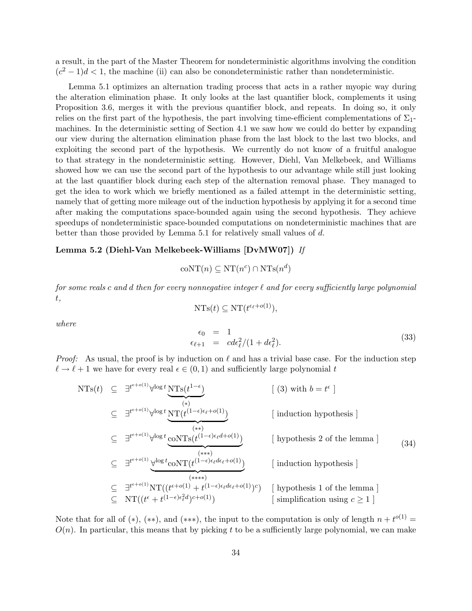a result, in the part of the Master Theorem for nondeterministic algorithms involving the condition  $(c<sup>2</sup> - 1)d < 1$ , the machine (ii) can also be conondeterministic rather than nondeterministic.

Lemma 5.1 optimizes an alternation trading process that acts in a rather myopic way during the alteration elimination phase. It only looks at the last quantifier block, complements it using Proposition 3.6, merges it with the previous quantifier block, and repeats. In doing so, it only relies on the first part of the hypothesis, the part involving time-efficient complementations of  $\Sigma_1$ machines. In the deterministic setting of Section 4.1 we saw how we could do better by expanding our view during the alternation elimination phase from the last block to the last two blocks, and exploiting the second part of the hypothesis. We currently do not know of a fruitful analogue to that strategy in the nondeterministic setting. However, Diehl, Van Melkebeek, and Williams showed how we can use the second part of the hypothesis to our advantage while still just looking at the last quantifier block during each step of the alternation removal phase. They managed to get the idea to work which we briefly mentioned as a failed attempt in the deterministic setting, namely that of getting more mileage out of the induction hypothesis by applying it for a second time after making the computations space-bounded again using the second hypothesis. They achieve speedups of nondeterministic space-bounded computations on nondeterministic machines that are better than those provided by Lemma 5.1 for relatively small values of d.

### Lemma 5.2 (Diehl-Van Melkebeek-Williams [DvMW07]) If

$$
coNT(n) \subseteq NT(n^c) \cap NTs(n^d)
$$

for some reals c and d then for every nonnegative integer  $\ell$  and for every sufficiently large polynomial t,

$$
NTs(t) \subseteq NT(t^{\epsilon_{\ell} + o(1)}),
$$

where

$$
\epsilon_0 = 1 \n\epsilon_{\ell+1} = c d \epsilon_{\ell}^2 / (1 + d \epsilon_{\ell}^2).
$$
\n(33)

*Proof:* As usual, the proof is by induction on  $\ell$  and has a trivial base case. For the induction step  $\ell \to \ell + 1$  we have for every real  $\epsilon \in (0,1)$  and sufficiently large polynomial t

$$
NTs(t) \subseteq \exists^{t^{\epsilon+o(1)}} \forall^{\log t} \underbrace{NTs(t^{1-\epsilon})}_{(*)} \qquad \qquad [(3) \text{ with } b = t^{\epsilon}]
$$
\n
$$
\subseteq \exists^{t^{\epsilon+o(1)}} \forall^{\log t} \underbrace{NT(t^{(1-\epsilon)\epsilon_{\ell}+o(1)})}_{(**)}
$$
\n
$$
\subseteq \exists^{t^{\epsilon+o(1)}} \forall^{\log t} \underbrace{covTs(t^{(1-\epsilon)\epsilon_{\ell}d+o(1)})}_{(***)} \qquad \qquad [ \text{hypothesis 2 of the lemma } ]
$$
\n
$$
\subseteq \exists^{t^{\epsilon+o(1)}} \underbrace{\forall^{\log t} covT(t^{(1-\epsilon)\epsilon_{\ell}d\epsilon_{\ell}+o(1)})}_{(***)}
$$
\n
$$
\subseteq \exists^{t^{\epsilon+o(1)}} \text{NT}((t^{\epsilon+o(1)} + t^{(1-\epsilon)\epsilon_{\ell}d\epsilon_{\ell}+o(1)})^c) \qquad \qquad [ \text{hypothesis 1 of the lemma } ]
$$
\n
$$
\subseteq NT((t^{\epsilon} + t^{(1-\epsilon)\epsilon_{\ell}d}c^{(1-\epsilon)(1)}) \qquad \qquad [ \text{simplification using } c \ge 1 ]
$$

Note that for all of  $(*)$ ,  $(**)$ , and  $(***)$ , the input to the computation is only of length  $n + t^{o(1)} =$  $O(n)$ . In particular, this means that by picking t to be a sufficiently large polynomial, we can make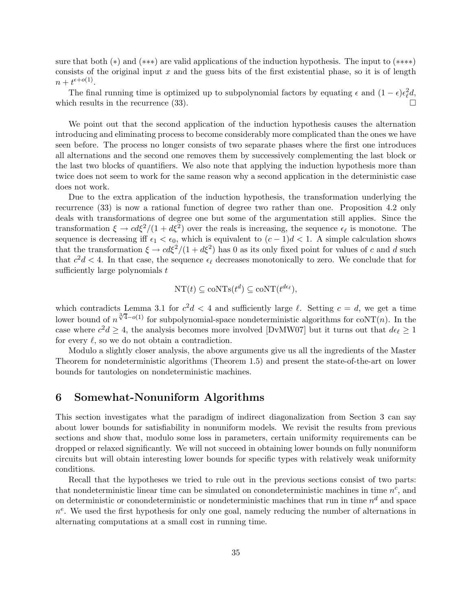sure that both (∗) and (\*\*\*) are valid applications of the induction hypothesis. The input to (\*\*\*\*) consists of the original input  $x$  and the guess bits of the first existential phase, so it is of length  $n + t^{\epsilon+o(1)}.$ 

The final running time is optimized up to subpolynomial factors by equating  $\epsilon$  and  $(1 - \epsilon)\epsilon_{\ell}^2 d$ , which results in the recurrence  $(33)$ .

We point out that the second application of the induction hypothesis causes the alternation introducing and eliminating process to become considerably more complicated than the ones we have seen before. The process no longer consists of two separate phases where the first one introduces all alternations and the second one removes them by successively complementing the last block or the last two blocks of quantifiers. We also note that applying the induction hypothesis more than twice does not seem to work for the same reason why a second application in the deterministic case does not work.

Due to the extra application of the induction hypothesis, the transformation underlying the recurrence (33) is now a rational function of degree two rather than one. Proposition 4.2 only deals with transformations of degree one but some of the argumentation still applies. Since the transformation  $\xi \to cd\xi^2/(1 + d\xi^2)$  over the reals is increasing, the sequence  $\epsilon_{\ell}$  is monotone. The sequence is decreasing iff  $\epsilon_1 < \epsilon_0$ , which is equivalent to  $(c-1)d < 1$ . A simple calculation shows that the transformation  $\xi \to cd\xi^2/(1 + d\xi^2)$  has 0 as its only fixed point for values of c and d such that  $c^2d < 4$ . In that case, the sequence  $\epsilon_{\ell}$  decreases monotonically to zero. We conclude that for sufficiently large polynomials  $t$ 

$$
NT(t) \subseteq \text{co}NTs(t^d) \subseteq \text{co}NT(t^{d\epsilon_\ell}),
$$

which contradicts Lemma 3.1 for  $c^2d < 4$  and sufficiently large  $\ell$ . Setting  $c = d$ , we get a time lower bound of  $n^{\sqrt[3]{4}-o(1)}$  for subpolynomial-space nondeterministic algorithms for coNT(*n*). In the case where  $c^2d \geq 4$ , the analysis becomes more involved [DvMW07] but it turns out that  $d\epsilon_{\ell} \geq 1$ for every  $\ell$ , so we do not obtain a contradiction.

Modulo a slightly closer analysis, the above arguments give us all the ingredients of the Master Theorem for nondeterministic algorithms (Theorem 1.5) and present the state-of-the-art on lower bounds for tautologies on nondeterministic machines.

# 6 Somewhat-Nonuniform Algorithms

This section investigates what the paradigm of indirect diagonalization from Section 3 can say about lower bounds for satisfiability in nonuniform models. We revisit the results from previous sections and show that, modulo some loss in parameters, certain uniformity requirements can be dropped or relaxed significantly. We will not succeed in obtaining lower bounds on fully nonuniform circuits but will obtain interesting lower bounds for specific types with relatively weak uniformity conditions.

Recall that the hypotheses we tried to rule out in the previous sections consist of two parts: that nondeterministic linear time can be simulated on conondeterministic machines in time  $n^c$ , and on deterministic or conondeterministic or nondeterministic machines that run in time  $n^d$  and space  $n<sup>e</sup>$ . We used the first hypothesis for only one goal, namely reducing the number of alternations in alternating computations at a small cost in running time.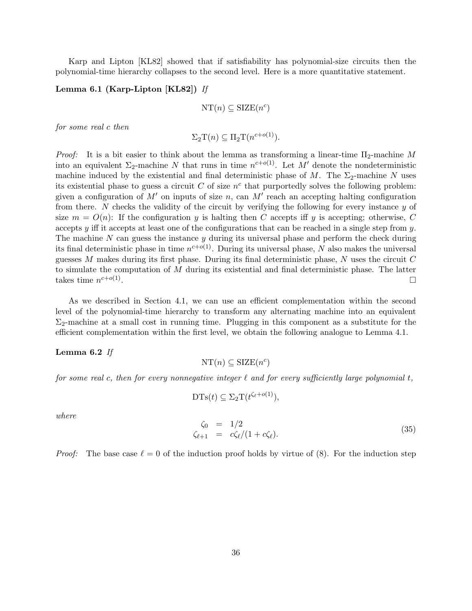Karp and Lipton [KL82] showed that if satisfiability has polynomial-size circuits then the polynomial-time hierarchy collapses to the second level. Here is a more quantitative statement.

#### Lemma 6.1 (Karp-Lipton [KL82]) If

 $NT(n) \subseteq SIZE(n^c)$ 

for some real c then

$$
\Sigma_2 T(n) \subseteq \Pi_2 T(n^{c+o(1)}).
$$

*Proof:* It is a bit easier to think about the lemma as transforming a linear-time  $\Pi_2$ -machine M into an equivalent  $\Sigma_2$ -machine N that runs in time  $n^{c+o(1)}$ . Let M' denote the nondeterministic machine induced by the existential and final deterministic phase of M. The  $\Sigma_2$ -machine N uses its existential phase to guess a circuit C of size  $n^c$  that purportedly solves the following problem: given a configuration of  $M'$  on inputs of size n, can  $M'$  reach an accepting halting configuration from there. N checks the validity of the circuit by verifying the following for every instance  $y$  of size  $m = O(n)$ : If the configuration y is halting then C accepts iff y is accepting; otherwise, C accepts y iff it accepts at least one of the configurations that can be reached in a single step from y. The machine  $N$  can guess the instance  $y$  during its universal phase and perform the check during its final deterministic phase in time  $n^{c+o(1)}$ . During its universal phase, N also makes the universal guesses M makes during its first phase. During its final deterministic phase,  $N$  uses the circuit  $C$ to simulate the computation of  $M$  during its existential and final deterministic phase. The latter takes time  $n^{c+o(1)}$ .

As we described in Section 4.1, we can use an efficient complementation within the second level of the polynomial-time hierarchy to transform any alternating machine into an equivalent  $\Sigma_2$ -machine at a small cost in running time. Plugging in this component as a substitute for the efficient complementation within the first level, we obtain the following analogue to Lemma 4.1.

#### Lemma  $6.2$  If

$$
NT(n) \subseteq SIZE(n^c)
$$

for some real c, then for every nonnegative integer  $\ell$  and for every sufficiently large polynomial t,

$$
\mathrm{DTs}(t) \subseteq \Sigma_2 \mathrm{T}(t^{\zeta_{\ell} + o(1)}),
$$

where

$$
\begin{array}{rcl}\n\zeta_0 & = & 1/2 \\
\zeta_{\ell+1} & = & c\zeta_{\ell}/(1 + c\zeta_{\ell}).\n\end{array} \tag{35}
$$

*Proof:* The base case  $\ell = 0$  of the induction proof holds by virtue of (8). For the induction step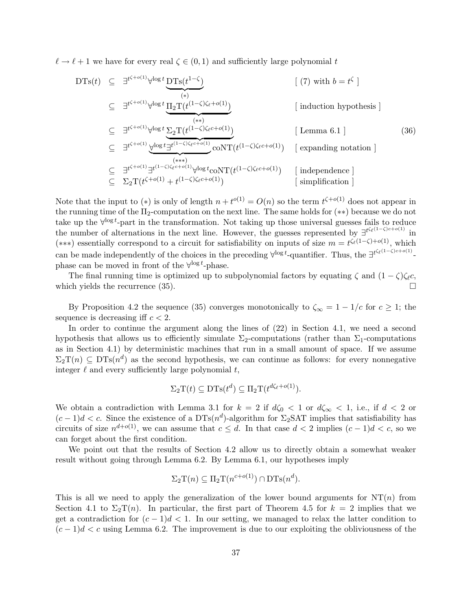$\ell \to \ell + 1$  we have for every real  $\zeta \in (0,1)$  and sufficiently large polynomial t

$$
DTs(t) \subseteq \exists^{t^{\zeta + o(1)}} \forall^{\log t} \underbrace{\text{DTs}(t^{1-\zeta})}_{(*)} \qquad \qquad [\text{(7) with } b = t^{\zeta} ]
$$
\n
$$
\subseteq \exists^{t^{\zeta + o(1)}} \forall^{\log t} \underbrace{\text{U}_2 T(t^{(1-\zeta)\zeta_{\ell}+o(1)})}_{(**)} \qquad \qquad [\text{induction hypothesis}]
$$
\n
$$
\subseteq \exists^{t^{\zeta + o(1)}} \forall^{\log t} \underbrace{\Sigma_2 T(t^{(1-\zeta)\zeta_{\ell}c+o(1)})}_{(**)} \text{coNT}(t^{(1-\zeta)\zeta_{\ell}c+o(1)}) \qquad \qquad [\text{expanding notation}]
$$
\n
$$
\subseteq \exists^{t^{\zeta + o(1)}} \exists^{t^{(1-\zeta)\zeta_{\ell}c+o(1)}} \forall^{\log t} \text{coNT}(t^{(1-\zeta)\zeta_{\ell}c+o(1)}) \qquad \qquad [\text{independence}]
$$
\n
$$
\subseteq \Sigma_2 T(t^{\zeta + o(1)} + t^{(1-\zeta)\zeta_{\ell}c+o(1)}) \qquad \qquad [\text{independence}]
$$
\n
$$
\subseteq \text{Simplify} \qquad \qquad [\text{independence}]
$$
\n
$$
\subseteq \Sigma_2 T(t^{\zeta + o(1)} + t^{(1-\zeta)\zeta_{\ell}c+o(1)}) \qquad \qquad [\text{independence}]
$$

Note that the input to (\*) is only of length  $n + t^{o(1)} = O(n)$  so the term  $t^{\zeta + o(1)}$  does not appear in the running time of the  $\Pi_2$ -computation on the next line. The same holds for  $(**)$  because we do not take up the  $\forall^{\log t}$ -part in the transformation. Not taking up those universal guesses fails to reduce the number of alternations in the next line. However, the guesses represented by  $\exists^{t \zeta_{\ell}(1-\zeta)c+o(1)}$  in (\*\*\*) essentially correspond to a circuit for satisfiability on inputs of size  $m = t^{\zeta_{\ell}(1-\zeta)+o(1)}$ , which can be made independently of the choices in the preceding  $\forall^{\log t}$ -quantifier. Thus, the  $\exists^{t \zeta_{\ell}(1-\zeta)c+o(1)}$ phase can be moved in front of the  $\forall^{\log t}$ -phase.

The final running time is optimized up to subpolynomial factors by equating  $\zeta$  and  $(1 - \zeta)\zeta_{\ell}c$ , which yields the recurrence  $(35)$ .

By Proposition 4.2 the sequence (35) converges monotonically to  $\zeta_{\infty} = 1 - 1/c$  for  $c \ge 1$ ; the sequence is decreasing iff  $c < 2$ .

In order to continue the argument along the lines of (22) in Section 4.1, we need a second hypothesis that allows us to efficiently simulate  $\Sigma_2$ -computations (rather than  $\Sigma_1$ -computations as in Section 4.1) by deterministic machines that run in a small amount of space. If we assume  $\Sigma_2\mathcal{T}(n) \subseteq \text{DTs}(n^d)$  as the second hypothesis, we can continue as follows: for every nonnegative integer  $\ell$  and every sufficiently large polynomial  $t$ ,

$$
\Sigma_2 \mathrm{T}(t) \subseteq \mathrm{DTs}(t^d) \subseteq \Pi_2 \mathrm{T}(t^{d\zeta_{\ell} + o(1)}).
$$

We obtain a contradiction with Lemma 3.1 for  $k = 2$  if  $d\zeta_0 < 1$  or  $d\zeta_\infty < 1$ , i.e., if  $d < 2$  or  $(c-1)d < c$ . Since the existence of a DTs $(n^d)$ -algorithm for  $\Sigma_2$ SAT implies that satisfiability has circuits of size  $n^{d+o(1)}$ , we can assume that  $c \leq d$ . In that case  $d < 2$  implies  $(c-1)d < c$ , so we can forget about the first condition.

We point out that the results of Section 4.2 allow us to directly obtain a somewhat weaker result without going through Lemma 6.2. By Lemma 6.1, our hypotheses imply

$$
\Sigma_2 \mathrm{T}(n) \subseteq \Pi_2 \mathrm{T}(n^{c+o(1)}) \cap \mathrm{DTs}(n^d).
$$

This is all we need to apply the generalization of the lower bound arguments for  $NT(n)$  from Section 4.1 to  $\Sigma_2T(n)$ . In particular, the first part of Theorem 4.5 for  $k = 2$  implies that we get a contradiction for  $(c-1)d < 1$ . In our setting, we managed to relax the latter condition to  $(c-1)d < c$  using Lemma 6.2. The improvement is due to our exploiting the obliviousness of the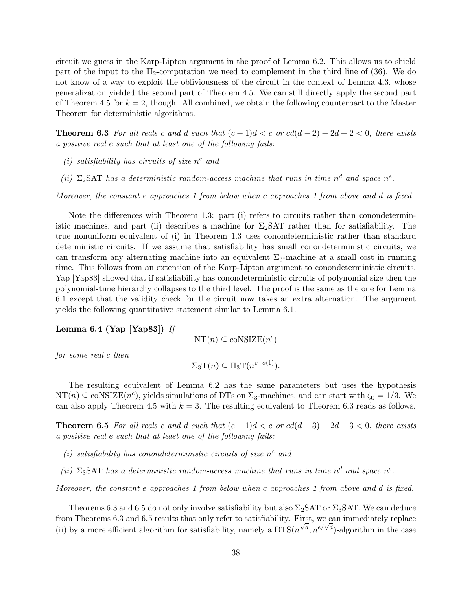circuit we guess in the Karp-Lipton argument in the proof of Lemma 6.2. This allows us to shield part of the input to the  $\Pi_2$ -computation we need to complement in the third line of (36). We do not know of a way to exploit the obliviousness of the circuit in the context of Lemma 4.3, whose generalization yielded the second part of Theorem 4.5. We can still directly apply the second part of Theorem 4.5 for  $k = 2$ , though. All combined, we obtain the following counterpart to the Master Theorem for deterministic algorithms.

**Theorem 6.3** For all reals c and d such that  $(c-1)d < c$  or  $cd(d-2) - 2d + 2 < 0$ , there exists a positive real e such that at least one of the following fails:

(i) satisfiability has circuits of size  $n^c$  and

(ii)  $\Sigma_2$ SAT has a deterministic random-access machine that runs in time  $n^d$  and space  $n^e$ .

Moreover, the constant e approaches 1 from below when c approaches 1 from above and d is fixed.

Note the differences with Theorem 1.3: part (i) refers to circuits rather than conondeterministic machines, and part (ii) describes a machine for  $\Sigma_2$ SAT rather than for satisfiability. The true nonuniform equivalent of (i) in Theorem 1.3 uses conondeterministic rather than standard deterministic circuits. If we assume that satisfiability has small conondeterministic circuits, we can transform any alternating machine into an equivalent  $\Sigma_3$ -machine at a small cost in running time. This follows from an extension of the Karp-Lipton argument to conondeterministic circuits. Yap [Yap83] showed that if satisfiability has conondeterministic circuits of polynomial size then the polynomial-time hierarchy collapses to the third level. The proof is the same as the one for Lemma 6.1 except that the validity check for the circuit now takes an extra alternation. The argument yields the following quantitative statement similar to Lemma 6.1.

### Lemma 6.4 (Yap [Yap83]) If

 $NT(n) \subseteq \text{coNSIZE}(n^c)$ 

for some real c then

$$
\Sigma_3 T(n) \subseteq \Pi_3 T(n^{c+o(1)}).
$$

The resulting equivalent of Lemma 6.2 has the same parameters but uses the hypothesis  $NT(n) \subseteq \text{coNSIZE}(n^c)$ , yields simulations of DTs on  $\Sigma_3$ -machines, and can start with  $\zeta_0 = 1/3$ . We can also apply Theorem 4.5 with  $k = 3$ . The resulting equivalent to Theorem 6.3 reads as follows.

**Theorem 6.5** For all reals c and d such that  $(c-1)d < c$  or  $cd(d-3) - 2d + 3 < 0$ , there exists a positive real e such that at least one of the following fails:

- (i) satisfiability has conondeterministic circuits of size  $n^c$  and
- (ii)  $\Sigma_3$ SAT has a deterministic random-access machine that runs in time  $n^d$  and space  $n^e$ .

Moreover, the constant e approaches 1 from below when c approaches 1 from above and d is fixed.

Theorems 6.3 and 6.5 do not only involve satisfiability but also  $\Sigma_2$ SAT or  $\Sigma_3$ SAT. We can deduce from Theorems 6.3 and 6.5 results that only refer to satisfiability. First, we can immediately replace (ii) by a more efficient algorithm for satisfiability, namely a  $\text{DTS}(n^{\sqrt{d}}, n^{e/\sqrt{d}})$ -algorithm in the case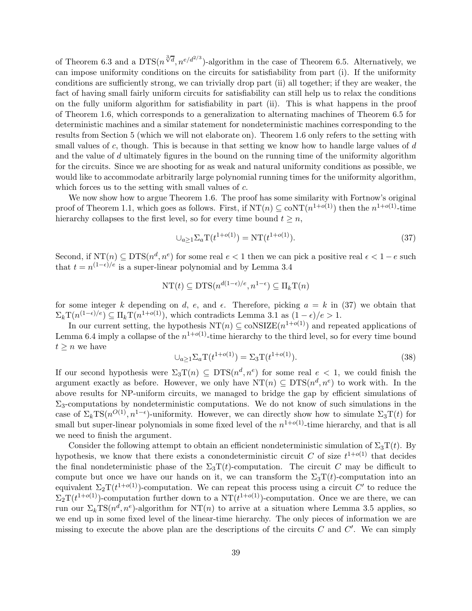of Theorem 6.3 and a  $DTS(n^{\sqrt[3]{d}}, n^{e/d^{2/3}})$ -algorithm in the case of Theorem 6.5. Alternatively, we can impose uniformity conditions on the circuits for satisfiability from part (i). If the uniformity conditions are sufficiently strong, we can trivially drop part (ii) all together; if they are weaker, the fact of having small fairly uniform circuits for satisfiability can still help us to relax the conditions on the fully uniform algorithm for satisfiability in part (ii). This is what happens in the proof of Theorem 1.6, which corresponds to a generalization to alternating machines of Theorem 6.5 for deterministic machines and a similar statement for nondeterministic machines corresponding to the results from Section 5 (which we will not elaborate on). Theorem 1.6 only refers to the setting with small values of c, though. This is because in that setting we know how to handle large values of  $d$ and the value of d ultimately figures in the bound on the running time of the uniformity algorithm for the circuits. Since we are shooting for as weak and natural uniformity conditions as possible, we would like to accommodate arbitrarily large polynomial running times for the uniformity algorithm, which forces us to the setting with small values of c.

We now show how to argue Theorem 1.6. The proof has some similarity with Fortnow's original proof of Theorem 1.1, which goes as follows. First, if  $NT(n) \subseteq \text{coNT}(n^{1+o(1)})$  then the  $n^{1+o(1)}$ -time hierarchy collapses to the first level, so for every time bound  $t \geq n$ ,

$$
\bigcup_{a \ge 1} \sum_{a} T(t^{1+o(1)}) = NT(t^{1+o(1)}). \tag{37}
$$

Second, if  $NT(n) \subseteq DTS(n^d, n^e)$  for some real  $e < 1$  then we can pick a positive real  $\epsilon < 1 - e$  such that  $t = n^{(1-\epsilon)/e}$  is a super-linear polynomial and by Lemma 3.4

$$
NT(t) \subseteq DTS(n^{d(1-\epsilon)/e}, n^{1-\epsilon}) \subseteq \Pi_k T(n)
$$

for some integer k depending on d, e, and  $\epsilon$ . Therefore, picking  $a = k$  in (37) we obtain that  $\Sigma_k \mathrm{T}(n^{(1-\epsilon)/e}) \subseteq \Pi_k \mathrm{T}(n^{1+o(1)})$ , which contradicts Lemma 3.1 as  $(1-\epsilon)/e > 1$ .

In our current setting, the hypothesis  $NT(n) \subseteq \text{coNSIZE}(n^{1+o(1)})$  and repeated applications of Lemma 6.4 imply a collapse of the  $n^{1+o(1)}$ -time hierarchy to the third level, so for every time bound  $t \geq n$  we have

$$
\bigcup_{a \ge 1} \sum_{a} T(t^{1+o(1)}) = \sum_{3} T(t^{1+o(1)}).
$$
\n(38)

If our second hypothesis were  $\Sigma_3T(n) \subseteq DTS(n^d, n^e)$  for some real  $e < 1$ , we could finish the argument exactly as before. However, we only have  $NT(n) \subseteq DTS(n^d, n^e)$  to work with. In the above results for NP-uniform circuits, we managed to bridge the gap by efficient simulations of  $\Sigma_3$ -computations by nondeterministic computations. We do not know of such simulations in the case of  $\Sigma_k TS(n^{O(1)}, n^{1-\epsilon})$ -uniformity. However, we can directly show how to simulate  $\Sigma_3T(t)$  for small but super-linear polynomials in some fixed level of the  $n^{1+o(1)}$ -time hierarchy, and that is all we need to finish the argument.

Consider the following attempt to obtain an efficient nondeterministic simulation of  $\Sigma_3T(t)$ . By hypothesis, we know that there exists a conondeterministic circuit C of size  $t^{1+o(1)}$  that decides the final nondeterministic phase of the  $\Sigma_3T(t)$ -computation. The circuit C may be difficult to compute but once we have our hands on it, we can transform the  $\Sigma_3T(t)$ -computation into an equivalent  $\Sigma_2 T(t^{1+o(1)})$ -computation. We can repeat this process using a circuit C' to reduce the  $\Sigma_2 T(t^{1+o(1)})$ -computation further down to a  $NT(t^{1+o(1)})$ -computation. Once we are there, we can run our  $\Sigma_k \text{TS}(n^d, n^e)$ -algorithm for NT $(n)$  to arrive at a situation where Lemma 3.5 applies, so we end up in some fixed level of the linear-time hierarchy. The only pieces of information we are missing to execute the above plan are the descriptions of the circuits  $C$  and  $C'$ . We can simply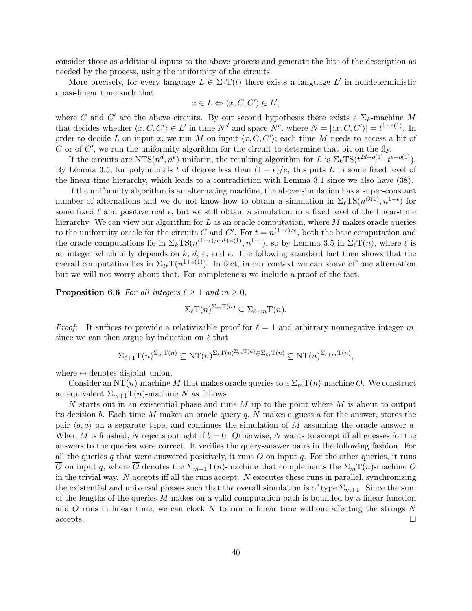consider those as additional inputs to the above process and generate the bits of the description as needed by the process, using the uniformity of the circuits.

More precisely, for every language  $L \in \Sigma_3 T(t)$  there exists a language  $L'$  in nondeterministic quasi-linear time such that

$$
x \in L \Leftrightarrow \langle x, C, C' \rangle \in L',
$$

where C and C' are the above circuits. By our second hypothesis there exists a  $\Sigma_k$ -machine M that decides whether  $\langle x, C, C' \rangle \in L'$  in time  $N^d$  and space  $N^e$ , where  $N = |\langle x, C, C' \rangle| = t^{1+o(1)}$ . In order to decide L on input x, we run M on input  $\langle x, C, C' \rangle$ ; each time M needs to access a bit of  $C$  or of  $C'$ , we run the uniformity algorithm for the circuit to determine that bit on the fly.

If the circuits are NTS $(n^d, n^e)$ -uniform, the resulting algorithm for L is  $\Sigma_k \text{TS}(t^{2d+o(1)}, t^{e+o(1)})$ . By Lemma 3.5, for polynomials t of degree less than  $(1 - \epsilon)/e$ , this puts L in some fixed level of the linear-time hierarchy, which leads to a contradiction with Lemma 3.1 since we also have (38).

If the uniformity algorithm is an alternating machine, the above simulation has a super-constant number of alternations and we do not know how to obtain a simulation in  $\Sigma_{\ell}TS(n^{O(1)}, n^{1-\epsilon})$  for some fixed  $\ell$  and positive real  $\epsilon$ , but we still obtain a simulation in a fixed level of the linear-time hierarchy. We can view our algorithm for  $L$  as an oracle computation, where  $M$  makes oracle queries to the uniformity oracle for the circuits C and C'. For  $t = n^{(1-\epsilon)/e}$ , both the base computation and the oracle computations lie in  $\Sigma_k TS(n^{(1-\epsilon)/e \cdot d + o(1)}, n^{1-\epsilon})$ , so by Lemma 3.5 in  $\Sigma_{\ell} T(n)$ , where  $\ell$  is an integer which only depends on  $k, d, e$ , and  $\epsilon$ . The following standard fact then shows that the overall computation lies in  $\Sigma_{2\ell} T(n^{1+o(1)})$ . In fact, in our context we can shave off one alternation but we will not worry about that. For completeness we include a proof of the fact.

**Proposition 6.6** For all integers  $\ell \geq 1$  and  $m \geq 0$ ,

$$
\Sigma_{\ell} \mathrm{T}(n)^{\Sigma_m \mathrm{T}(n)} \subseteq \Sigma_{\ell+m} \mathrm{T}(n).
$$

*Proof:* It suffices to provide a relativizable proof for  $\ell = 1$  and arbitrary nonnegative integer m, since we can then argue by induction on  $\ell$  that

$$
\Sigma_{\ell+1} \mathrm{T}(n)^{\Sigma_m \mathrm{T}(n)} \subseteq \mathrm{NT}(n)^{\Sigma_{\ell} \mathrm{T}(n)^{\Sigma_m \mathrm{T}(n)}} \oplus \Sigma_m \mathrm{T}(n) \subseteq \mathrm{NT}(n)^{\Sigma_{\ell+m} \mathrm{T}(n)}
$$

,

where ⊕ denotes disjoint union.

Consider an NT(n)-machine M that makes oracle queries to a  $\Sigma_m T(n)$ -machine O. We construct an equivalent  $\Sigma_{m+1}T(n)$ -machine N as follows.

N starts out in an existential phase and runs M up to the point where M is about to output its decision b. Each time  $M$  makes an oracle query  $q$ ,  $N$  makes a guess  $a$  for the answer, stores the pair  $\langle q, a \rangle$  on a separate tape, and continues the simulation of M assuming the oracle answer a. When M is finished, N rejects outright if  $b = 0$ . Otherwise, N wants to accept iff all guesses for the answers to the queries were correct. It verifies the query-answer pairs in the following fashion. For all the queries q that were answered positively, it runs  $O$  on input q. For the other queries, it runs  $\overline{O}$  on input q, where  $\overline{O}$  denotes the  $\Sigma_{m+1}\Gamma(n)$ -machine that complements the  $\Sigma_m\Gamma(n)$ -machine O in the trivial way.  $N$  accepts iff all the runs accept.  $N$  executes these runs in parallel, synchronizing the existential and universal phases such that the overall simulation is of type  $\Sigma_{m+1}$ . Since the sum of the lengths of the queries  $M$  makes on a valid computation path is bounded by a linear function and  $O$  runs in linear time, we can clock  $N$  to run in linear time without affecting the strings  $N$  $accepts.$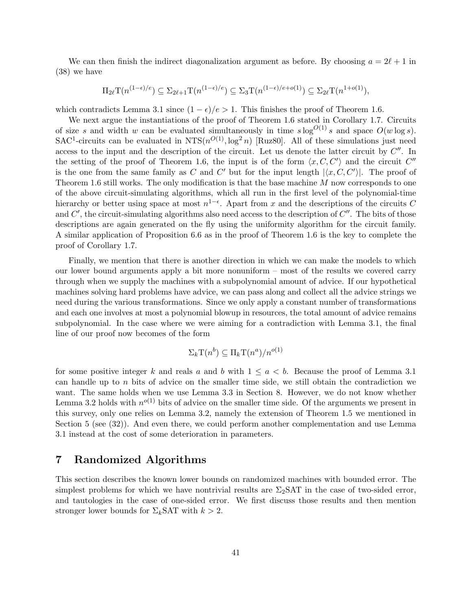We can then finish the indirect diagonalization argument as before. By choosing  $a = 2\ell + 1$  in (38) we have

$$
\Pi_{2\ell} \mathrm{T}(n^{(1-\epsilon)/e}) \subseteq \Sigma_{2\ell+1} \mathrm{T}(n^{(1-\epsilon)/e}) \subseteq \Sigma_3 \mathrm{T}(n^{(1-\epsilon)/e+o(1)}) \subseteq \Sigma_{2\ell} \mathrm{T}(n^{1+o(1)}),
$$

which contradicts Lemma 3.1 since  $(1 - \epsilon)/e > 1$ . This finishes the proof of Theorem 1.6.

We next argue the instantiations of the proof of Theorem 1.6 stated in Corollary 1.7. Circuits of size s and width w can be evaluated simultaneously in time  $s \log^{O(1)} s$  and space  $O(w \log s)$ . SAC<sup>1</sup>-circuits can be evaluated in  $NTS(n^{O(1)}, \log^2 n)$  [Ruz80]. All of these simulations just need access to the input and the description of the circuit. Let us denote the latter circuit by  $C''$ . In the setting of the proof of Theorem 1.6, the input is of the form  $\langle x, C, C' \rangle$  and the circuit  $C''$ is the one from the same family as C and C' but for the input length  $|\langle x, C, C' \rangle|$ . The proof of Theorem 1.6 still works. The only modification is that the base machine M now corresponds to one of the above circuit-simulating algorithms, which all run in the first level of the polynomial-time hierarchy or better using space at most  $n^{1-\epsilon}$ . Apart from x and the descriptions of the circuits C and  $C'$ , the circuit-simulating algorithms also need access to the description of  $C''$ . The bits of those descriptions are again generated on the fly using the uniformity algorithm for the circuit family. A similar application of Proposition 6.6 as in the proof of Theorem 1.6 is the key to complete the proof of Corollary 1.7.

Finally, we mention that there is another direction in which we can make the models to which our lower bound arguments apply a bit more nonuniform – most of the results we covered carry through when we supply the machines with a subpolynomial amount of advice. If our hypothetical machines solving hard problems have advice, we can pass along and collect all the advice strings we need during the various transformations. Since we only apply a constant number of transformations and each one involves at most a polynomial blowup in resources, the total amount of advice remains subpolynomial. In the case where we were aiming for a contradiction with Lemma 3.1, the final line of our proof now becomes of the form

$$
\Sigma_k \mathrm{T}(n^b) \subseteq \Pi_k \mathrm{T}(n^a)/n^{o(1)}
$$

for some positive integer k and reals a and b with  $1 \le a \le b$ . Because the proof of Lemma 3.1 can handle up to  $n$  bits of advice on the smaller time side, we still obtain the contradiction we want. The same holds when we use Lemma 3.3 in Section 8. However, we do not know whether Lemma 3.2 holds with  $n^{o(1)}$  bits of advice on the smaller time side. Of the arguments we present in this survey, only one relies on Lemma 3.2, namely the extension of Theorem 1.5 we mentioned in Section 5 (see (32)). And even there, we could perform another complementation and use Lemma 3.1 instead at the cost of some deterioration in parameters.

# 7 Randomized Algorithms

This section describes the known lower bounds on randomized machines with bounded error. The simplest problems for which we have nontrivial results are  $\Sigma_2$ SAT in the case of two-sided error, and tautologies in the case of one-sided error. We first discuss those results and then mention stronger lower bounds for  $\Sigma_k$ SAT with  $k > 2$ .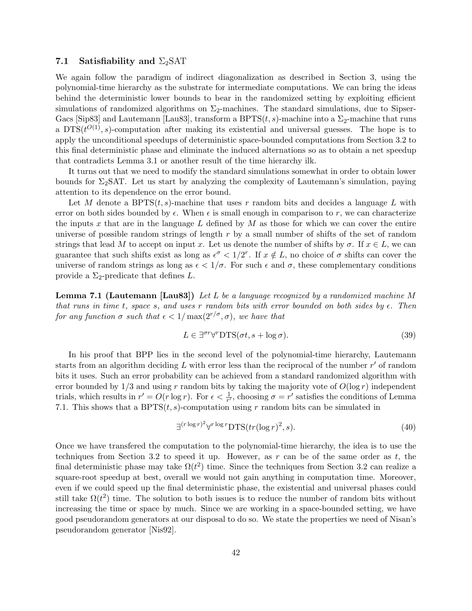### 7.1 Satisfiability and  $\Sigma_2$ SAT

We again follow the paradigm of indirect diagonalization as described in Section 3, using the polynomial-time hierarchy as the substrate for intermediate computations. We can bring the ideas behind the deterministic lower bounds to bear in the randomized setting by exploiting efficient simulations of randomized algorithms on  $\Sigma_2$ -machines. The standard simulations, due to Sipser-Gacs [Sip83] and Lautemann [Lau83], transform a BPTS $(t, s)$ -machine into a  $\Sigma_2$ -machine that runs a  $DTS(t^{O(1)}, s)$ -computation after making its existential and universal guesses. The hope is to apply the unconditional speedups of deterministic space-bounded computations from Section 3.2 to this final deterministic phase and eliminate the induced alternations so as to obtain a net speedup that contradicts Lemma 3.1 or another result of the time hierarchy ilk.

It turns out that we need to modify the standard simulations somewhat in order to obtain lower bounds for  $\Sigma_2$ SAT. Let us start by analyzing the complexity of Lautemann's simulation, paying attention to its dependence on the error bound.

Let M denote a  $BPTS(t, s)$ -machine that uses r random bits and decides a language L with error on both sides bounded by  $\epsilon$ . When  $\epsilon$  is small enough in comparison to r, we can characterize the inputs x that are in the language L defined by  $M$  as those for which we can cover the entire universe of possible random strings of length  $r$  by a small number of shifts of the set of random strings that lead M to accept on input x. Let us denote the number of shifts by  $\sigma$ . If  $x \in L$ , we can guarantee that such shifts exist as long as  $\epsilon^{\sigma} < 1/2^{r}$ . If  $x \notin L$ , no choice of  $\sigma$  shifts can cover the universe of random strings as long as  $\epsilon < 1/\sigma$ . For such  $\epsilon$  and  $\sigma$ , these complementary conditions provide a  $\Sigma_2$ -predicate that defines L.

**Lemma 7.1 (Lautemann [Lau83])** Let L be a language recognized by a randomized machine M that runs in time t, space s, and uses r random bits with error bounded on both sides by  $\epsilon$ . Then for any function  $\sigma$  such that  $\epsilon < 1/\max(2^{r/\sigma}, \sigma)$ , we have that

$$
L \in \exists^{\sigma r} \forall^r \text{DTS}(\sigma t, s + \log \sigma). \tag{39}
$$

In his proof that BPP lies in the second level of the polynomial-time hierarchy, Lautemann starts from an algorithm deciding L with error less than the reciprocal of the number  $r'$  of random bits it uses. Such an error probability can be achieved from a standard randomized algorithm with error bounded by  $1/3$  and using r random bits by taking the majority vote of  $O(\log r)$  independent trials, which results in  $r' = O(r \log r)$ . For  $\epsilon < \frac{1}{r'}$ , choosing  $\sigma = r'$  satisfies the conditions of Lemma 7.1. This shows that a  $BPTS(t, s)$ -computation using r random bits can be simulated in

$$
\exists^{(r \log r)^2} \forall^{r \log r} \text{DTS}(tr(\log r)^2, s). \tag{40}
$$

Once we have transfered the computation to the polynomial-time hierarchy, the idea is to use the techniques from Section 3.2 to speed it up. However, as r can be of the same order as t, the final deterministic phase may take  $\Omega(t^2)$  time. Since the techniques from Section 3.2 can realize a square-root speedup at best, overall we would not gain anything in computation time. Moreover, even if we could speed up the final deterministic phase, the existential and universal phases could still take  $\Omega(t^2)$  time. The solution to both issues is to reduce the number of random bits without increasing the time or space by much. Since we are working in a space-bounded setting, we have good pseudorandom generators at our disposal to do so. We state the properties we need of Nisan's pseudorandom generator [Nis92].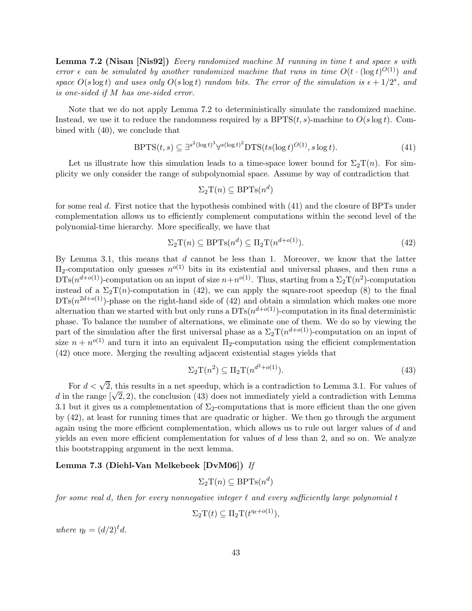Lemma 7.2 (Nisan [Nis92]) Every randomized machine M running in time t and space s with error  $\epsilon$  can be simulated by another randomized machine that runs in time  $O(t \cdot (\log t)^{O(1)})$  and space  $O(s \log t)$  and uses only  $O(s \log t)$  random bits. The error of the simulation is  $\epsilon + 1/2^s$ , and is one-sided if M has one-sided error.

Note that we do not apply Lemma 7.2 to deterministically simulate the randomized machine. Instead, we use it to reduce the randomness required by a  $BPTS(t, s)$ -machine to  $O(s \log t)$ . Combined with (40), we conclude that

$$
BPTS(t,s) \subseteq \exists^{s^2(\log t)^3} \forall^{s(\log t)^2} DTS(ts(\log t)^{O(1)}, s \log t). \tag{41}
$$

Let us illustrate how this simulation leads to a time-space lower bound for  $\Sigma_2\mathrm{T}(n)$ . For simplicity we only consider the range of subpolynomial space. Assume by way of contradiction that

$$
\Sigma_2 \mathrm{T}(n) \subseteq \mathrm{BPTs}(n^d)
$$

for some real d. First notice that the hypothesis combined with (41) and the closure of BPTs under complementation allows us to efficiently complement computations within the second level of the polynomial-time hierarchy. More specifically, we have that

$$
\Sigma_2 T(n) \subseteq BPTs(n^d) \subseteq \Pi_2 T(n^{d+o(1)}).
$$
\n(42)

By Lemma 3.1, this means that  $d$  cannot be less than 1. Moreover, we know that the latter  $\Pi_2$ -computation only guesses  $n^{o(1)}$  bits in its existential and universal phases, and then runs a  $DTs(n^{d+o(1)})$ -computation on an input of size  $n+n^{o(1)}$ . Thus, starting from a  $\Sigma_2T(n^2)$ -computation instead of a  $\Sigma_2 T(n)$ -computation in (42), we can apply the square-root speedup (8) to the final  $DTs(n^{2d+o(1)})$ -phase on the right-hand side of (42) and obtain a simulation which makes one more alternation than we started with but only runs a  $DTs(n^{d+o(1)})$ -computation in its final deterministic phase. To balance the number of alternations, we eliminate one of them. We do so by viewing the part of the simulation after the first universal phase as a  $\Sigma_2 T(n^{d+o(1)})$ -computation on an input of size  $n + n^{o(1)}$  and turn it into an equivalent  $\Pi_2$ -computation using the efficient complementation (42) once more. Merging the resulting adjacent existential stages yields that

$$
\Sigma_2 \mathcal{T}(n^2) \subseteq \Pi_2 \mathcal{T}(n^{d^2+o(1)}). \tag{43}
$$

For  $d < \sqrt{2}$ , this results in a net speedup, which is a contradiction to Lemma 3.1. For values of d in the range  $[\sqrt{2}, 2)$ , the conclusion (43) does not immediately yield a contradiction with Lemma 3.1 but it gives us a complementation of  $\Sigma_2$ -computations that is more efficient than the one given by (42), at least for running times that are quadratic or higher. We then go through the argument again using the more efficient complementation, which allows us to rule out larger values of d and yields an even more efficient complementation for values of  $d$  less than 2, and so on. We analyze this bootstrapping argument in the next lemma.

### Lemma 7.3 (Diehl-Van Melkebeek [DvM06]) If

$$
\Sigma_2 \mathrm{T}(n) \subseteq \mathrm{BPTs}(n^d)
$$

for some real d, then for every nonnegative integer  $\ell$  and every sufficiently large polynomial t

$$
\Sigma_2 T(t) \subseteq \Pi_2 T(t^{\eta_\ell + o(1)}),
$$

where  $\eta_{\ell} = (d/2)^{\ell} d$ .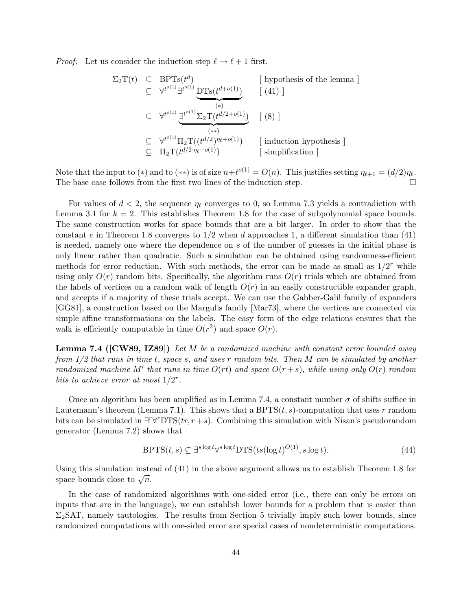*Proof:* Let us consider the induction step  $\ell \to \ell + 1$  first.

$$
\Sigma_2 T(t) \subseteq \text{BPTs}(t^d) \qquad \qquad \text{[ hypothesis of the lemma]}
$$
\n
$$
\subseteq \forall^{t^{o(1)}} \exists^{t^{o(1)}} \text{DTs}(t^{d+o(1)}) \qquad \qquad \text{[ (41)]}
$$
\n
$$
\subseteq \forall^{t^{o(1)}} \exists^{t^{o(1)}} \Sigma_2 T(t^{d/2+o(1)}) \qquad \qquad \text{[ (8)]}
$$
\n
$$
\subseteq \forall^{t^{o(1)}} \Pi_2 T((t^{d/2})^{\eta_t + o(1)}) \qquad \qquad \text{[ induction hypothesis]}
$$
\n
$$
\subseteq \Pi_2 T(t^{d/2 \cdot \eta_t + o(1)}) \qquad \qquad \text{[ simplification]}
$$

Note that the input to (\*) and to (\*\*) is of size  $n+t^{o(1)}=O(n)$ . This justifies setting  $\eta_{\ell+1}=(d/2)\eta_{\ell}$ . The base case follows from the first two lines of the induction step.  $\Box$ 

For values of  $d < 2$ , the sequence  $\eta_{\ell}$  converges to 0, so Lemma 7.3 yields a contradiction with Lemma 3.1 for  $k = 2$ . This establishes Theorem 1.8 for the case of subpolynomial space bounds. The same construction works for space bounds that are a bit larger. In order to show that the constant e in Theorem 1.8 converges to  $1/2$  when d approaches 1, a different simulation than (41) is needed, namely one where the dependence on s of the number of guesses in the initial phase is only linear rather than quadratic. Such a simulation can be obtained using randomness-efficient methods for error reduction. With such methods, the error can be made as small as  $1/2^r$  while using only  $O(r)$  random bits. Specifically, the algorithm runs  $O(r)$  trials which are obtained from the labels of vertices on a random walk of length  $O(r)$  in an easily constructible expander graph, and accepts if a majority of these trials accept. We can use the Gabber-Galil family of expanders [GG81], a construction based on the Margulis family [Mar73], where the vertices are connected via simple affine transformations on the labels. The easy form of the edge relations ensures that the walk is efficiently computable in time  $O(r^2)$  and space  $O(r)$ .

**Lemma 7.4 ([CW89, IZ89])** Let M be a randomized machine with constant error bounded away from  $1/2$  that runs in time t, space s, and uses r random bits. Then M can be simulated by another randomized machine M' that runs in time  $O(rt)$  and space  $O(r+s)$ , while using only  $O(r)$  random bits to achieve error at most  $1/2^r$ .

Once an algorithm has been amplified as in Lemma 7.4, a constant number  $\sigma$  of shifts suffice in Lautemann's theorem (Lemma 7.1). This shows that a  $BPTS(t, s)$ -computation that uses r random bits can be simulated in  $\exists^r \forall^r \text{DTS}(tr, r+s)$ . Combining this simulation with Nisan's pseudorandom generator (Lemma 7.2) shows that

$$
BPTS(t,s) \subseteq \exists^{s \log t} \forall^{s \log t} DTS(ts(\log t)^{O(1)}, s \log t). \tag{44}
$$

Using this simulation instead of (41) in the above argument allows us to establish Theorem 1.8 for space bounds close to  $\sqrt{n}$ .

In the case of randomized algorithms with one-sided error (i.e., there can only be errors on inputs that are in the language), we can establish lower bounds for a problem that is easier than  $\Sigma_2$ SAT, namely tautologies. The results from Section 5 trivially imply such lower bounds, since randomized computations with one-sided error are special cases of nondeterministic computations.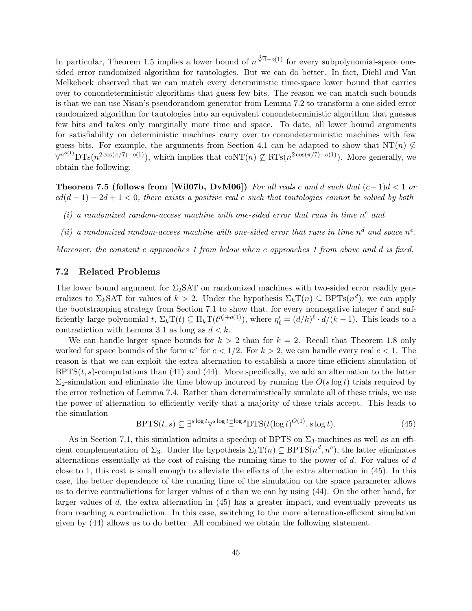In particular, Theorem 1.5 implies a lower bound of  $n^{\sqrt[3]{4}-o(1)}$  for every subpolynomial-space onesided error randomized algorithm for tautologies. But we can do better. In fact, Diehl and Van Melkebeek observed that we can match every deterministic time-space lower bound that carries over to conondeterministic algorithms that guess few bits. The reason we can match such bounds is that we can use Nisan's pseudorandom generator from Lemma 7.2 to transform a one-sided error randomized algorithm for tautologies into an equivalent conondeterministic algorithm that guesses few bits and takes only marginally more time and space. To date, all lower bound arguments for satisfiability on deterministic machines carry over to conondeterministic machines with few guess bits. For example, the arguments from Section 4.1 can be adapted to show that NT(n)  $\mathcal{Q}$  $\forall^{n^{o(1)}}\text{DTs}(n^{2\cos(\pi/7)-o(1)}),$  which implies that  $\text{coNT}(n) \not\subseteq \text{RTs}(n^{2\cos(\pi/7)-o(1)})$ . More generally, we obtain the following.

Theorem 7.5 (follows from [Wil07b, DvM06]) For all reals c and d such that  $(c-1)d < 1$  or  $cd(d-1) - 2d + 1 < 0$ , there exists a positive real e such that tautologies cannot be solved by both

- (i) a randomized random-access machine with one-sided error that runs in time  $n^c$  and
- (ii) a randomized random-access machine with one-sided error that runs in time  $n^d$  and space  $n^e$ .

Moreover, the constant e approaches 1 from below when c approaches 1 from above and d is fixed.

### 7.2 Related Problems

The lower bound argument for  $\Sigma_2$ SAT on randomized machines with two-sided error readily generalizes to  $\Sigma_k$ SAT for values of  $k > 2$ . Under the hypothesis  $\Sigma_k T(n) \subseteq BPTs(n^d)$ , we can apply the bootstrapping strategy from Section 7.1 to show that, for every nonnegative integer  $\ell$  and sufficiently large polynomial  $t, \Sigma_k \mathcal{T}(t) \subseteq \Pi_k \mathcal{T}(t^{\eta'_\ell + o(1)}),$  where  $\eta'_\ell = (d/k)^{\ell} \cdot d/(k-1)$ . This leads to a contradiction with Lemma 3.1 as long as  $d < k$ .

We can handle larger space bounds for  $k > 2$  than for  $k = 2$ . Recall that Theorem 1.8 only worked for space bounds of the form  $n^e$  for  $e < 1/2$ . For  $k > 2$ , we can handle every real  $e < 1$ . The reason is that we can exploit the extra alternation to establish a more time-efficient simulation of  $BPTS(t, s)$ -computations than (41) and (44). More specifically, we add an alternation to the latter  $\Sigma_2$ -simulation and eliminate the time blowup incurred by running the  $O(s \log t)$  trials required by the error reduction of Lemma 7.4. Rather than deterministically simulate all of these trials, we use the power of alternation to efficiently verify that a majority of these trials accept. This leads to the simulation

$$
BPTS(t,s) \subseteq \exists^{s \log t} \forall^{s \log t} \exists^{\log s} DTS(t(\log t)^{O(1)}, s \log t). \tag{45}
$$

As in Section 7.1, this simulation admits a speedup of BPTS on  $\Sigma_3$ -machines as well as an efficient complementation of  $\Sigma_3$ . Under the hypothesis  $\Sigma_k \text{T}(n) \subseteq \text{BPTS}(n^d, n^e)$ , the latter eliminates alternations essentially at the cost of raising the running time to the power of d. For values of d close to 1, this cost is small enough to alleviate the effects of the extra alternation in (45). In this case, the better dependence of the running time of the simulation on the space parameter allows us to derive contradictions for larger values of  $e$  than we can by using  $(44)$ . On the other hand, for larger values of d, the extra alternation in (45) has a greater impact, and eventually prevents us from reaching a contradiction. In this case, switching to the more alternation-efficient simulation given by (44) allows us to do better. All combined we obtain the following statement.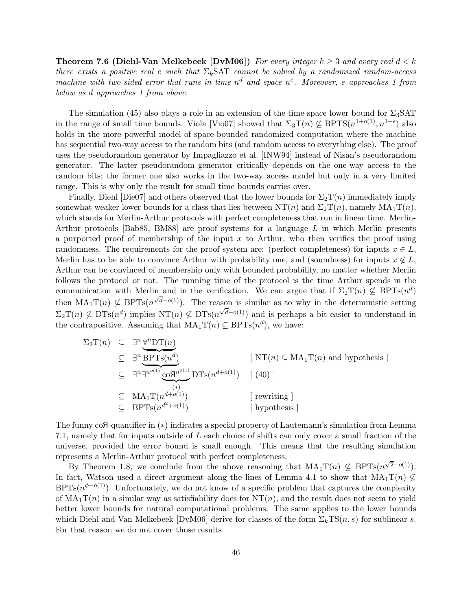**Theorem 7.6 (Diehl-Van Melkebeek [DvM06])** For every integer  $k \geq 3$  and every real  $d < k$ there exists a positive real e such that  $\Sigma_k$ SAT cannot be solved by a randomized random-access machine with two-sided error that runs in time  $n^d$  and space  $n^e$ . Moreover, e approaches 1 from below as d approaches 1 from above.

The simulation (45) also plays a role in an extension of the time-space lower bound for  $\Sigma_3\text{SAT}$ in the range of small time bounds. Viola [Vio07] showed that  $\Sigma_3T(n) \nsubseteq BPTS(n^{1+o(1)}, n^{1-\epsilon})$  also holds in the more powerful model of space-bounded randomized computation where the machine has sequential two-way access to the random bits (and random access to everything else). The proof uses the pseudorandom generator by Impagliazzo et al. [INW94] instead of Nisan's pseudorandom generator. The latter pseudorandom generator critically depends on the one-way access to the random bits; the former one also works in the two-way access model but only in a very limited range. This is why only the result for small time bounds carries over.

Finally, Diehl [Die07] and others observed that the lower bounds for  $\Sigma_2T(n)$  immediately imply somewhat weaker lower bounds for a class that lies between  $NT(n)$  and  $\Sigma_2T(n)$ , namely  $MA_1T(n)$ , which stands for Merlin-Arthur protocols with perfect completeness that run in linear time. Merlin-Arthur protocols [Bab85, BM88] are proof systems for a language L in which Merlin presents a purported proof of membership of the input  $x$  to Arthur, who then verifies the proof using randomness. The requirements for the proof system are: (perfect completeness) for inputs  $x \in L$ , Merlin has to be able to convince Arthur with probability one, and (soundness) for inputs  $x \notin L$ , Arthur can be convinced of membership only with bounded probability, no matter whether Merlin follows the protocol or not. The running time of the protocol is the time Arthur spends in the communication with Merlin and in the verification. We can argue that if  $\Sigma_2 T(n) \nsubseteq BPTs(n^d)$ then  $MA_1T(n) \nsubseteq BPTs(n^{\sqrt{d}-o(1)})$ . The reason is similar as to why in the deterministic setting  $\Sigma_2 T(n) \nsubseteq \text{DTs}(n^d)$  implies  $NT(n) \nsubseteq \text{DTs}(n^{\sqrt{d}-o(1)})$  and is perhaps a bit easier to understand in the contrapositive. Assuming that  $MA_1T(n) \subseteq BPTs(n^d)$ , we have:

$$
\Sigma_2 T(n) \subseteq \exists^n \underbrace{\forall^n DT(n)}_{\subseteq} \text{BPTs}(n^d) \qquad [\text{NT}(n) \subseteq \text{MA}_1 T(n) \text{ and hypothesis}]
$$
  

$$
\subseteq \exists^n \exists^{n^{o(1)}} \underbrace{\text{co} \mathcal{H}^{n^{o(1)}}}_{(*)} \text{DTs}(n^{d+o(1)}) \qquad [\text{ (40)}]
$$
  

$$
\subseteq \text{MA}_1 T(n^{d+o(1)}) \qquad [\text{ rewriting}]
$$
  

$$
\subseteq \text{BPTs}(n^{d^2+o(1)}) \qquad [\text{hypothesis}]
$$

The funny contact -quantifier in (\*) indicates a special property of Lautemann's simulation from Lemma 7.1, namely that for inputs outside of L each choice of shifts can only cover a small fraction of the universe, provided the error bound is small enough. This means that the resulting simulation represents a Merlin-Arthur protocol with perfect completeness.

By Theorem 1.8, we conclude from the above reasoning that  $MA_1T(n) \not\subseteq BPTs(n^{\sqrt{2}-o(1)})$ . In fact, Watson used a direct argument along the lines of Lemma 4.1 to show that  $MA_1T(n) \nsubseteq$  $BPTs(n^{\phi-o(1)})$ . Unfortunately, we do not know of a specific problem that captures the complexity of  $MA_1T(n)$  in a similar way as satisfiability does for  $NT(n)$ , and the result does not seem to yield better lower bounds for natural computational problems. The same applies to the lower bounds which Diehl and Van Melkebeek [DvM06] derive for classes of the form  $\Sigma_k TS(n, s)$  for sublinear s. For that reason we do not cover those results.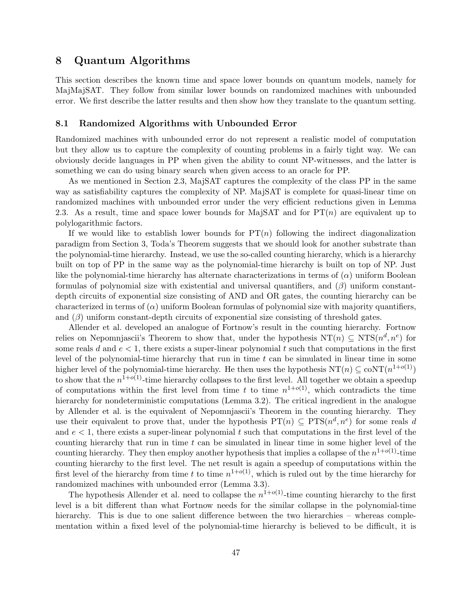# 8 Quantum Algorithms

This section describes the known time and space lower bounds on quantum models, namely for MajMajSAT. They follow from similar lower bounds on randomized machines with unbounded error. We first describe the latter results and then show how they translate to the quantum setting.

### 8.1 Randomized Algorithms with Unbounded Error

Randomized machines with unbounded error do not represent a realistic model of computation but they allow us to capture the complexity of counting problems in a fairly tight way. We can obviously decide languages in PP when given the ability to count NP-witnesses, and the latter is something we can do using binary search when given access to an oracle for PP.

As we mentioned in Section 2.3, MajSAT captures the complexity of the class PP in the same way as satisfiability captures the complexity of NP. MajSAT is complete for quasi-linear time on randomized machines with unbounded error under the very efficient reductions given in Lemma 2.3. As a result, time and space lower bounds for MajSAT and for  $PT(n)$  are equivalent up to polylogarithmic factors.

If we would like to establish lower bounds for  $PT(n)$  following the indirect diagonalization paradigm from Section 3, Toda's Theorem suggests that we should look for another substrate than the polynomial-time hierarchy. Instead, we use the so-called counting hierarchy, which is a hierarchy built on top of PP in the same way as the polynomial-time hierarchy is built on top of NP. Just like the polynomial-time hierarchy has alternate characterizations in terms of  $(\alpha)$  uniform Boolean formulas of polynomial size with existential and universal quantifiers, and  $(\beta)$  uniform constantdepth circuits of exponential size consisting of AND and OR gates, the counting hierarchy can be characterized in terms of  $(\alpha)$  uniform Boolean formulas of polynomial size with majority quantifiers, and  $(\beta)$  uniform constant-depth circuits of exponential size consisting of threshold gates.

Allender et al. developed an analogue of Fortnow's result in the counting hierarchy. Fortnow relies on Nepomnjascii's Theorem to show that, under the hypothesis  $NT(n) \subseteq NTS(n^d, n^e)$  for some reals d and  $e < 1$ , there exists a super-linear polynomial t such that computations in the first level of the polynomial-time hierarchy that run in time  $t$  can be simulated in linear time in some higher level of the polynomial-time hierarchy. He then uses the hypothesis  $NT(n) \subseteq \text{coNT}(n^{1+o(1)})$ to show that the  $n^{1+o(1)}$ -time hierarchy collapses to the first level. All together we obtain a speedup of computations within the first level from time t to time  $n^{1+o(1)}$ , which contradicts the time hierarchy for nondeterministic computations (Lemma 3.2). The critical ingredient in the analogue by Allender et al. is the equivalent of Nepomnjascii's Theorem in the counting hierarchy. They use their equivalent to prove that, under the hypothesis  $PT(n) \subseteq PTS(n^d, n^e)$  for some reals d and  $e < 1$ , there exists a super-linear polynomial t such that computations in the first level of the counting hierarchy that run in time  $t$  can be simulated in linear time in some higher level of the counting hierarchy. They then employ another hypothesis that implies a collapse of the  $n^{1+o(1)}$ -time counting hierarchy to the first level. The net result is again a speedup of computations within the first level of the hierarchy from time t to time  $n^{1+o(1)}$ , which is ruled out by the time hierarchy for randomized machines with unbounded error (Lemma 3.3).

The hypothesis Allender et al. need to collapse the  $n^{1+o(1)}$ -time counting hierarchy to the first level is a bit different than what Fortnow needs for the similar collapse in the polynomial-time hierarchy. This is due to one salient difference between the two hierarchies – whereas complementation within a fixed level of the polynomial-time hierarchy is believed to be difficult, it is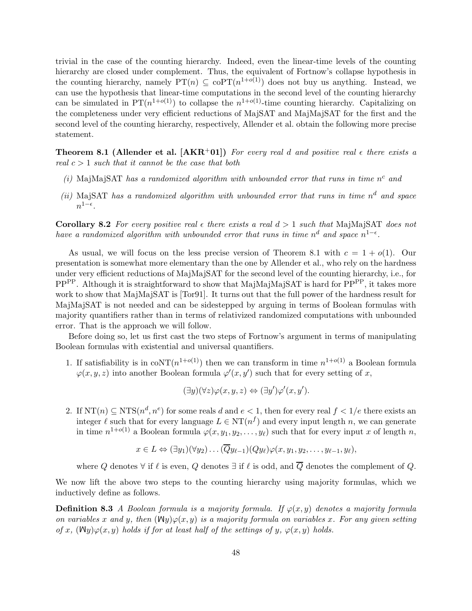trivial in the case of the counting hierarchy. Indeed, even the linear-time levels of the counting hierarchy are closed under complement. Thus, the equivalent of Fortnow's collapse hypothesis in the counting hierarchy, namely  $PT(n) \subseteq coPT(n^{1+o(1)})$  does not buy us anything. Instead, we can use the hypothesis that linear-time computations in the second level of the counting hierarchy can be simulated in  $PT(n^{1+o(1)})$  to collapse the  $n^{1+o(1)}$ -time counting hierarchy. Capitalizing on the completeness under very efficient reductions of MajSAT and MajMajSAT for the first and the second level of the counting hierarchy, respectively, Allender et al. obtain the following more precise statement.

**Theorem 8.1 (Allender et al. [AKR<sup>+</sup>01])** For every real d and positive real  $\epsilon$  there exists a real  $c > 1$  such that it cannot be the case that both

- (i) MajMajSAT has a randomized algorithm with unbounded error that runs in time  $n<sup>c</sup>$  and
- (ii) MajSAT has a randomized algorithm with unbounded error that runs in time  $n^d$  and space  $n^{1-\epsilon}.$

**Corollary 8.2** For every positive real  $\epsilon$  there exists a real  $d > 1$  such that MajMajSAT does not have a randomized algorithm with unbounded error that runs in time  $n^d$  and space  $n^{1-\epsilon}$ .

As usual, we will focus on the less precise version of Theorem 8.1 with  $c = 1 + o(1)$ . Our presentation is somewhat more elementary than the one by Allender et al., who rely on the hardness under very efficient reductions of MajMajSAT for the second level of the counting hierarchy, i.e., for PP<sup>PP</sup>. Although it is straightforward to show that MajMajMajSAT is hard for PP<sup>PP</sup>, it takes more work to show that MajMajSAT is [Tor91]. It turns out that the full power of the hardness result for MajMajSAT is not needed and can be sidestepped by arguing in terms of Boolean formulas with majority quantifiers rather than in terms of relativized randomized computations with unbounded error. That is the approach we will follow.

Before doing so, let us first cast the two steps of Fortnow's argument in terms of manipulating Boolean formulas with existential and universal quantifiers.

1. If satisfiability is in  $\text{coNT}(n^{1+o(1)})$  then we can transform in time  $n^{1+o(1)}$  a Boolean formula  $\varphi(x, y, z)$  into another Boolean formula  $\varphi'(x, y')$  such that for every setting of x,

$$
(\exists y)(\forall z)\varphi(x,y,z)\Leftrightarrow(\exists y')\varphi'(x,y').
$$

2. If  $NT(n) \subseteq NTS(n^d, n^e)$  for some reals d and  $e < 1$ , then for every real  $f < 1/e$  there exists an integer  $\ell$  such that for every language  $L \in \text{NT}(n^f)$  and every input length n, we can generate in time  $n^{1+o(1)}$  a Boolean formula  $\varphi(x, y_1, y_2, \ldots, y_\ell)$  such that for every input x of length n,

$$
x\in L \Leftrightarrow (\exists y_1)(\forall y_2)\ldots(\overline{Q}y_{\ell-1})(Qy_{\ell})\varphi(x,y_1,y_2,\ldots,y_{\ell-1},y_{\ell}),
$$

where Q denotes  $\forall$  if  $\ell$  is even, Q denotes  $\exists$  if  $\ell$  is odd, and  $\overline{Q}$  denotes the complement of Q.

We now lift the above two steps to the counting hierarchy using majority formulas, which we inductively define as follows.

**Definition 8.3** A Boolean formula is a majority formula. If  $\varphi(x, y)$  denotes a majority formula on variables x and y, then  $(Wy)\varphi(x,y)$  is a majority formula on variables x. For any given setting of x,  $(\mathsf{N} y)\varphi(x,y)$  holds if for at least half of the settings of y,  $\varphi(x,y)$  holds.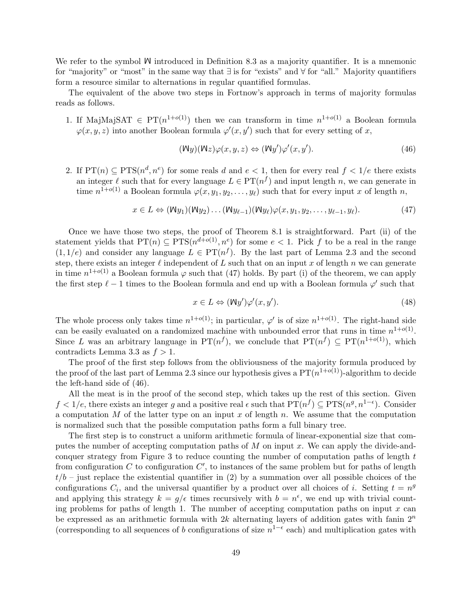We refer to the symbol W introduced in Definition 8.3 as a majority quantifier. It is a mnemonic for "majority" or "most" in the same way that ∃ is for "exists" and ∀ for "all." Majority quantifiers form a resource similar to alternations in regular quantified formulas.

The equivalent of the above two steps in Fortnow's approach in terms of majority formulas reads as follows.

1. If MajMajSAT  $\in PT(n^{1+o(1)})$  then we can transform in time  $n^{1+o(1)}$  a Boolean formula  $\varphi(x, y, z)$  into another Boolean formula  $\varphi'(x, y')$  such that for every setting of x,

$$
(\mathsf{W}y)(\mathsf{W}z)\varphi(x,y,z)\Leftrightarrow (\mathsf{W}y')\varphi'(x,y').\tag{46}
$$

2. If  $PT(n) \subseteq PTS(n^d, n^e)$  for some reals d and  $e < 1$ , then for every real  $f < 1/e$  there exists an integer  $\ell$  such that for every language  $L \in PT(n^f)$  and input length n, we can generate in time  $n^{1+o(1)}$  a Boolean formula  $\varphi(x, y_1, y_2, \ldots, y_\ell)$  such that for every input x of length n,

$$
x \in L \Leftrightarrow (\mathsf{W}y_1)(\mathsf{W}y_2)\dots(\mathsf{W}y_{\ell-1})(\mathsf{W}y_{\ell})\varphi(x,y_1,y_2,\dots,y_{\ell-1},y_{\ell}).\tag{47}
$$

Once we have those two steps, the proof of Theorem 8.1 is straightforward. Part (ii) of the statement yields that  $PT(n) \subseteq PTS(n^{d+o(1)}, n^e)$  for some  $e < 1$ . Pick f to be a real in the range  $(1, 1/e)$  and consider any language  $L \in PT(n^f)$ . By the last part of Lemma 2.3 and the second step, there exists an integer  $\ell$  independent of L such that on an input x of length n we can generate in time  $n^{1+o(1)}$  a Boolean formula  $\varphi$  such that (47) holds. By part (i) of the theorem, we can apply the first step  $\ell - 1$  times to the Boolean formula and end up with a Boolean formula  $\varphi'$  such that

$$
x \in L \Leftrightarrow (\mathsf{N}y')\varphi'(x,y'). \tag{48}
$$

The whole process only takes time  $n^{1+o(1)}$ ; in particular,  $\varphi'$  is of size  $n^{1+o(1)}$ . The right-hand side can be easily evaluated on a randomized machine with unbounded error that runs in time  $n^{1+o(1)}$ . Since L was an arbitrary language in PT $(n^f)$ , we conclude that PT $(n^f) \subseteq PT(n^{1+o(1)})$ , which contradicts Lemma 3.3 as  $f > 1$ .

The proof of the first step follows from the obliviousness of the majority formula produced by the proof of the last part of Lemma 2.3 since our hypothesis gives a  $PT(n^{1+o(1)})$ -algorithm to decide the left-hand side of (46).

All the meat is in the proof of the second step, which takes up the rest of this section. Given  $f < 1/e$ , there exists an integer g and a positive real  $\epsilon$  such that  $PT(n^f) \subseteq PTS(n^g, n^{1-\epsilon})$ . Consider a computation M of the latter type on an input x of length n. We assume that the computation is normalized such that the possible computation paths form a full binary tree.

The first step is to construct a uniform arithmetic formula of linear-exponential size that computes the number of accepting computation paths of  $M$  on input  $x$ . We can apply the divide-andconquer strategy from Figure 3 to reduce counting the number of computation paths of length t from configuration C to configuration  $C'$ , to instances of the same problem but for paths of length  $t/b$  – just replace the existential quantifier in (2) by a summation over all possible choices of the configurations  $C_i$ , and the universal quantifier by a product over all choices of i. Setting  $t = n<sup>g</sup>$ and applying this strategy  $k = g/\epsilon$  times recursively with  $b = n^{\epsilon}$ , we end up with trivial counting problems for paths of length 1. The number of accepting computation paths on input  $x$  can be expressed as an arithmetic formula with  $2k$  alternating layers of addition gates with fanin  $2^n$ (corresponding to all sequences of b configurations of size  $n^{1-\epsilon}$  each) and multiplication gates with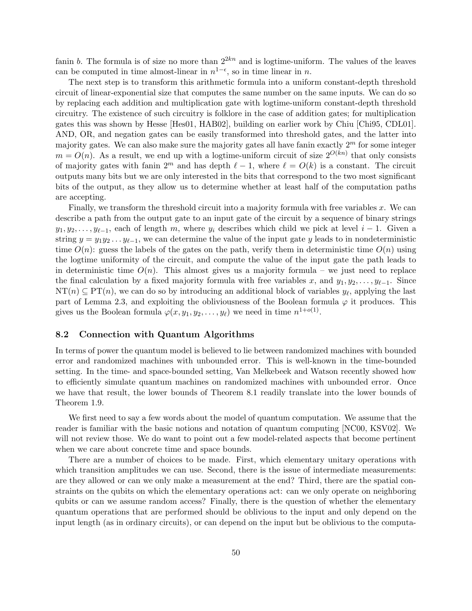fanin b. The formula is of size no more than  $2^{2kn}$  and is logtime-uniform. The values of the leaves can be computed in time almost-linear in  $n^{1-\epsilon}$ , so in time linear in n.

The next step is to transform this arithmetic formula into a uniform constant-depth threshold circuit of linear-exponential size that computes the same number on the same inputs. We can do so by replacing each addition and multiplication gate with logtime-uniform constant-depth threshold circuitry. The existence of such circuitry is folklore in the case of addition gates; for multiplication gates this was shown by Hesse [Hes01, HAB02], building on earlier work by Chiu [Chi95, CDL01]. AND, OR, and negation gates can be easily transformed into threshold gates, and the latter into majority gates. We can also make sure the majority gates all have fanin exactly  $2<sup>m</sup>$  for some integer  $m = O(n)$ . As a result, we end up with a logtime-uniform circuit of size  $2^{O(kn)}$  that only consists of majority gates with fanin  $2^m$  and has depth  $\ell - 1$ , where  $\ell = O(k)$  is a constant. The circuit outputs many bits but we are only interested in the bits that correspond to the two most significant bits of the output, as they allow us to determine whether at least half of the computation paths are accepting.

Finally, we transform the threshold circuit into a majority formula with free variables  $x$ . We can describe a path from the output gate to an input gate of the circuit by a sequence of binary strings  $y_1, y_2, \ldots, y_{\ell-1}$ , each of length m, where  $y_i$  describes which child we pick at level  $i-1$ . Given a string  $y = y_1y_2...y_{\ell-1}$ , we can determine the value of the input gate y leads to in nondeterministic time  $O(n)$ : guess the labels of the gates on the path, verify them in deterministic time  $O(n)$  using the logtime uniformity of the circuit, and compute the value of the input gate the path leads to in deterministic time  $O(n)$ . This almost gives us a majority formula – we just need to replace the final calculation by a fixed majority formula with free variables x, and  $y_1, y_2, \ldots, y_{\ell-1}$ . Since  $NT(n) \subseteq PT(n)$ , we can do so by introducing an additional block of variables  $y_{\ell}$ , applying the last part of Lemma 2.3, and exploiting the obliviousness of the Boolean formula  $\varphi$  it produces. This gives us the Boolean formula  $\varphi(x, y_1, y_2, \dots, y_\ell)$  we need in time  $n^{1+o(1)}$ .

### 8.2 Connection with Quantum Algorithms

In terms of power the quantum model is believed to lie between randomized machines with bounded error and randomized machines with unbounded error. This is well-known in the time-bounded setting. In the time- and space-bounded setting, Van Melkebeek and Watson recently showed how to efficiently simulate quantum machines on randomized machines with unbounded error. Once we have that result, the lower bounds of Theorem 8.1 readily translate into the lower bounds of Theorem 1.9.

We first need to say a few words about the model of quantum computation. We assume that the reader is familiar with the basic notions and notation of quantum computing [NC00, KSV02]. We will not review those. We do want to point out a few model-related aspects that become pertinent when we care about concrete time and space bounds.

There are a number of choices to be made. First, which elementary unitary operations with which transition amplitudes we can use. Second, there is the issue of intermediate measurements: are they allowed or can we only make a measurement at the end? Third, there are the spatial constraints on the qubits on which the elementary operations act: can we only operate on neighboring qubits or can we assume random access? Finally, there is the question of whether the elementary quantum operations that are performed should be oblivious to the input and only depend on the input length (as in ordinary circuits), or can depend on the input but be oblivious to the computa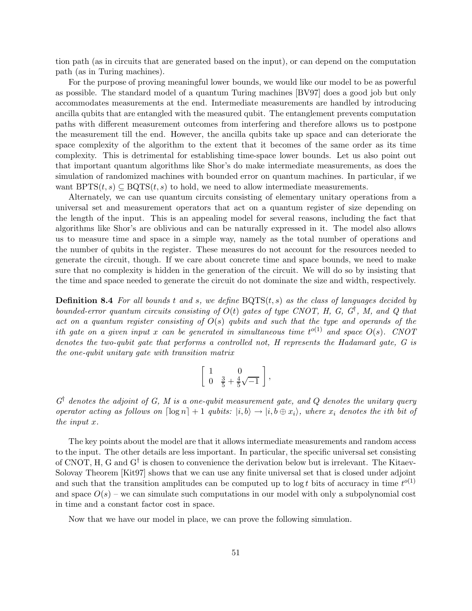tion path (as in circuits that are generated based on the input), or can depend on the computation path (as in Turing machines).

For the purpose of proving meaningful lower bounds, we would like our model to be as powerful as possible. The standard model of a quantum Turing machines [BV97] does a good job but only accommodates measurements at the end. Intermediate measurements are handled by introducing ancilla qubits that are entangled with the measured qubit. The entanglement prevents computation paths with different measurement outcomes from interfering and therefore allows us to postpone the measurement till the end. However, the ancilla qubits take up space and can deteriorate the space complexity of the algorithm to the extent that it becomes of the same order as its time complexity. This is detrimental for establishing time-space lower bounds. Let us also point out that important quantum algorithms like Shor's do make intermediate measurements, as does the simulation of randomized machines with bounded error on quantum machines. In particular, if we want  $BPTS(t, s) \subseteq BQTS(t, s)$  to hold, we need to allow intermediate measurements.

Alternately, we can use quantum circuits consisting of elementary unitary operations from a universal set and measurement operators that act on a quantum register of size depending on the length of the input. This is an appealing model for several reasons, including the fact that algorithms like Shor's are oblivious and can be naturally expressed in it. The model also allows us to measure time and space in a simple way, namely as the total number of operations and the number of qubits in the register. These measures do not account for the resources needed to generate the circuit, though. If we care about concrete time and space bounds, we need to make sure that no complexity is hidden in the generation of the circuit. We will do so by insisting that the time and space needed to generate the circuit do not dominate the size and width, respectively.

**Definition 8.4** For all bounds t and s, we define  $BQTS(t, s)$  as the class of languages decided by bounded-error quantum circuits consisting of  $O(t)$  gates of type CNOT, H, G, G<sup>†</sup>, M, and Q that act on a quantum register consisting of  $O(s)$  qubits and such that the type and operands of the ith gate on a given input x can be generated in simultaneous time  $t^{o(1)}$  and space  $O(s)$ . CNOT denotes the two-qubit gate that performs a controlled not, H represents the Hadamard gate, G is the one-qubit unitary gate with transition matrix

$$
\left[\begin{array}{cc} 1 & 0 \\ 0 & \frac{3}{5} + \frac{4}{5}\sqrt{-1} \end{array}\right],
$$

 $G^{\dagger}$  denotes the adjoint of G, M is a one-qubit measurement gate, and Q denotes the unitary query operator acting as follows on  $\lceil \log n \rceil + 1$  qubits:  $|i, b \rangle \rightarrow |i, b \oplus x_i \rangle$ , where  $x_i$  denotes the ith bit of the input x.

The key points about the model are that it allows intermediate measurements and random access to the input. The other details are less important. In particular, the specific universal set consisting of CNOT, H, G and G† is chosen to convenience the derivation below but is irrelevant. The Kitaev-Solovay Theorem [Kit97] shows that we can use any finite universal set that is closed under adjoint and such that the transition amplitudes can be computed up to  $\log t$  bits of accuracy in time  $t^{o(1)}$ and space  $O(s)$  – we can simulate such computations in our model with only a subpolynomial cost in time and a constant factor cost in space.

Now that we have our model in place, we can prove the following simulation.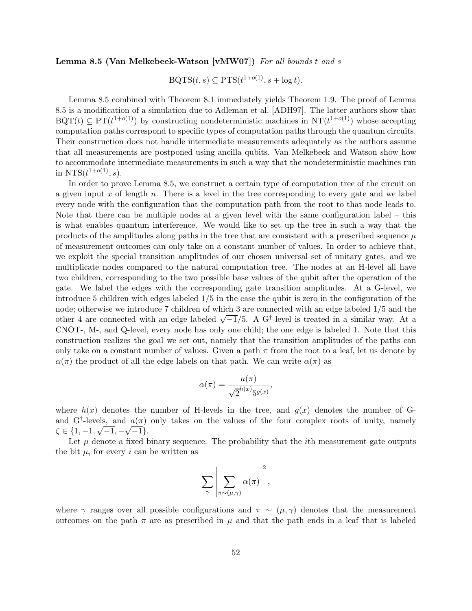### Lemma 8.5 (Van Melkebeek-Watson [vMW07]) For all bounds t and s

$$
\mathrm{BQTS}(t,s) \subseteq \mathrm{PTS}(t^{1+o(1)}, s + \log t).
$$

Lemma 8.5 combined with Theorem 8.1 immediately yields Theorem 1.9. The proof of Lemma 8.5 is a modification of a simulation due to Adleman et al. [ADH97]. The latter authors show that  $\text{BQT}(t) \subseteq \text{PT}(t^{1+o(1)})$  by constructing nondeterministic machines in  $\text{NT}(t^{1+o(1)})$  whose accepting computation paths correspond to specific types of computation paths through the quantum circuits. Their construction does not handle intermediate measurements adequately as the authors assume that all measurements are postponed using ancilla qubits. Van Melkebeek and Watson show how to accommodate intermediate measurements in such a way that the nondeterministic machines run in  $NTS(t^{1+o(1)}, s)$ .

In order to prove Lemma 8.5, we construct a certain type of computation tree of the circuit on a given input  $x$  of length  $n$ . There is a level in the tree corresponding to every gate and we label every node with the configuration that the computation path from the root to that node leads to. Note that there can be multiple nodes at a given level with the same configuration label – this is what enables quantum interference. We would like to set up the tree in such a way that the products of the amplitudes along paths in the tree that are consistent with a prescribed sequence  $\mu$ of measurement outcomes can only take on a constant number of values. In order to achieve that, we exploit the special transition amplitudes of our chosen universal set of unitary gates, and we multiplicate nodes compared to the natural computation tree. The nodes at an H-level all have two children, corresponding to the two possible base values of the qubit after the operation of the gate. We label the edges with the corresponding gate transition amplitudes. At a G-level, we introduce 5 children with edges labeled 1/5 in the case the qubit is zero in the configuration of the node; otherwise we introduce 7 children of which 3 are connected with an edge labeled 1/5 and the other 4 are connected with an edge labeled  $\sqrt{-1}/5$ . A G<sup>†</sup>-level is treated in a similar way. At a CNOT-, M-, and Q-level, every node has only one child; the one edge is labeled 1. Note that this construction realizes the goal we set out, namely that the transition amplitudes of the paths can only take on a constant number of values. Given a path  $\pi$  from the root to a leaf, let us denote by  $\alpha(\pi)$  the product of all the edge labels on that path. We can write  $\alpha(\pi)$  as

$$
\alpha(\pi) = \frac{a(\pi)}{\sqrt{2}^{h(x)} 5^{g(x)}},
$$

where  $h(x)$  denotes the number of H-levels in the tree, and  $g(x)$  denotes the number of Gand G<sup>†</sup>-levels, and  $a(\pi)$  only takes on the values of the four complex roots of unity, namely  $\zeta \in \{1, -1, \sqrt{-1}, -\sqrt{-1}\}.$ 

Let  $\mu$  denote a fixed binary sequence. The probability that the *i*th measurement gate outputs the bit  $\mu_i$  for every i can be written as

$$
\sum_{\gamma} \left| \sum_{\pi \sim (\mu, \gamma)} \alpha(\pi) \right|^2,
$$

where  $\gamma$  ranges over all possible configurations and  $\pi \sim (\mu, \gamma)$  denotes that the measurement outcomes on the path  $\pi$  are as prescribed in  $\mu$  and that the path ends in a leaf that is labeled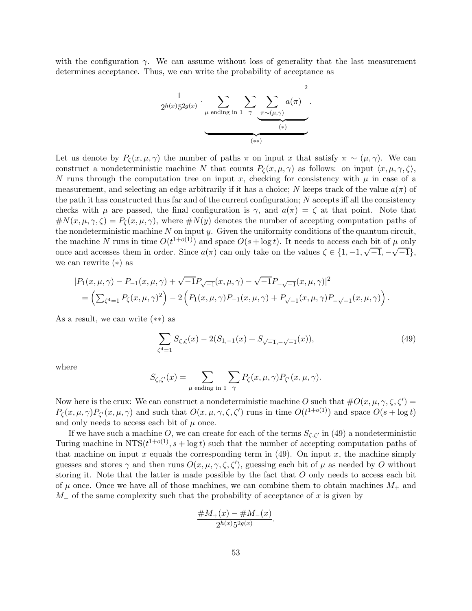with the configuration  $\gamma$ . We can assume without loss of generality that the last measurement determines acceptance. Thus, we can write the probability of acceptance as

$$
\frac{1}{2^{h(x)}5^{2g(x)}} \cdot \underbrace{\sum_{\mu \text{ ending in } 1} \sum_{\gamma} \left| \underbrace{\sum_{\pi \sim (\mu, \gamma)} a(\pi)}_{(*)} \right|^2}_{(*)}.
$$

Let us denote by  $P_{\zeta}(x,\mu,\gamma)$  the number of paths  $\pi$  on input x that satisfy  $\pi \sim (\mu,\gamma)$ . We can construct a nondeterministic machine N that counts  $P_{\zeta}(x, \mu, \gamma)$  as follows: on input  $\langle x, \mu, \gamma, \zeta \rangle$ , N runs through the computation tree on input x, checking for consistency with  $\mu$  in case of a measurement, and selecting an edge arbitrarily if it has a choice; N keeps track of the value  $a(\pi)$  of the path it has constructed thus far and of the current configuration;  $N$  accepts iff all the consistency checks with  $\mu$  are passed, the final configuration is  $\gamma$ , and  $a(\pi) = \zeta$  at that point. Note that  $\#N(x,\mu,\gamma,\zeta) = P_{\zeta}(x,\mu,\gamma)$ , where  $\#N(y)$  denotes the number of accepting computation paths of the nondeterministic machine  $N$  on input  $y$ . Given the uniformity conditions of the quantum circuit, the machine N runs in time  $O(t^{1+o(1)})$  and space  $O(s + \log t)$ . It needs to access each bit of  $\mu$  only once and accesses them in order. Since  $a(\pi)$  can only take on the values  $\zeta \in \{1, -1, \sqrt{-1}, -\sqrt{-1}\}$ , we can rewrite (∗) as

$$
|P_1(x,\mu,\gamma) - P_{-1}(x,\mu,\gamma) + \sqrt{-1}P_{\sqrt{-1}}(x,\mu,\gamma) - \sqrt{-1}P_{-\sqrt{-1}}(x,\mu,\gamma)|^2
$$
  
= 
$$
\left(\sum_{\zeta^4=1} P_{\zeta}(x,\mu,\gamma)^2\right) - 2\left(P_1(x,\mu,\gamma)P_{-1}(x,\mu,\gamma) + P_{\sqrt{-1}}(x,\mu,\gamma)P_{-\sqrt{-1}}(x,\mu,\gamma)\right).
$$

As a result, we can write (∗∗) as

$$
\sum_{\zeta^4=1} S_{\zeta,\zeta}(x) - 2(S_{1,-1}(x) + S_{\sqrt{-1},-\sqrt{-1}}(x)),\tag{49}
$$

where

$$
S_{\zeta,\zeta'}(x) = \sum_{\mu \text{ ending in } 1} \sum_{\gamma} P_{\zeta}(x,\mu,\gamma) P_{\zeta'}(x,\mu,\gamma).
$$

Now here is the crux: We can construct a nondeterministic machine O such that  $\#O(x,\mu,\gamma,\zeta,\zeta')=$  $P_{\zeta}(x,\mu,\gamma)P_{\zeta}(x,\mu,\gamma)$  and such that  $O(x,\mu,\gamma,\zeta,\zeta')$  runs in time  $O(t^{1+o(1)})$  and space  $O(s + \log t)$ and only needs to access each bit of  $\mu$  once.

If we have such a machine O, we can create for each of the terms  $S_{\zeta,\zeta'}$  in (49) a nondeterministic Turing machine in  $NTS(t^{1+o(1)}, s + \log t)$  such that the number of accepting computation paths of that machine on input x equals the corresponding term in (49). On input x, the machine simply guesses and stores  $\gamma$  and then runs  $O(x, \mu, \gamma, \zeta, \zeta')$ , guessing each bit of  $\mu$  as needed by O without storing it. Note that the latter is made possible by the fact that  $O$  only needs to access each bit of  $\mu$  once. Once we have all of those machines, we can combine them to obtain machines  $M_+$  and  $M_$  of the same complexity such that the probability of acceptance of x is given by

$$
\frac{\#M_+(x) - \#M_-(x)}{2^{h(x)}5^{2g(x)}}.
$$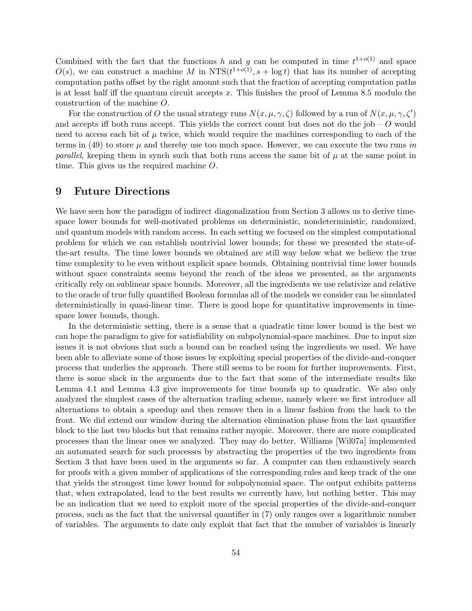Combined with the fact that the functions h and g can be computed in time  $t^{1+o(1)}$  and space  $O(s)$ , we can construct a machine M in  $NTS(t^{1+o(1)}, s + \log t)$  that has its number of accepting computation paths offset by the right amount such that the fraction of accepting computation paths is at least half iff the quantum circuit accepts  $x$ . This finishes the proof of Lemma 8.5 modulo the construction of the machine O.

For the construction of O the usual strategy runs  $N(x, \mu, \gamma, \zeta)$  followed by a run of  $N(x, \mu, \gamma, \zeta')$ and accepts iff both runs accept. This yields the correct count but does not do the job –  $O$  would need to access each bit of  $\mu$  twice, which would require the machines corresponding to each of the terms in (49) to store  $\mu$  and thereby use too much space. However, we can execute the two runs in *parallel*, keeping them in synch such that both runs access the same bit of  $\mu$  at the same point in time. This gives us the required machine O.

### 9 Future Directions

We have seen how the paradigm of indirect diagonalization from Section 3 allows us to derive timespace lower bounds for well-motivated problems on deterministic, nondeterministic, randomized, and quantum models with random access. In each setting we focused on the simplest computational problem for which we can establish nontrivial lower bounds; for those we presented the state-ofthe-art results. The time lower bounds we obtained are still way below what we believe the true time complexity to be even without explicit space bounds. Obtaining nontrivial time lower bounds without space constraints seems beyond the reach of the ideas we presented, as the arguments critically rely on sublinear space bounds. Moreover, all the ingredients we use relativize and relative to the oracle of true fully quantified Boolean formulas all of the models we consider can be simulated deterministically in quasi-linear time. There is good hope for quantitative improvements in timespace lower bounds, though.

In the deterministic setting, there is a sense that a quadratic time lower bound is the best we can hope the paradigm to give for satisfiability on subpolynomial-space machines. Due to input size issues it is not obvious that such a bound can be reached using the ingredients we used. We have been able to alleviate some of those issues by exploiting special properties of the divide-and-conquer process that underlies the approach. There still seems to be room for further improvements. First, there is some slack in the arguments due to the fact that some of the intermediate results like Lemma 4.1 and Lemma 4.3 give improvements for time bounds up to quadratic. We also only analyzed the simplest cases of the alternation trading scheme, namely where we first introduce all alternations to obtain a speedup and then remove then in a linear fashion from the back to the front. We did extend our window during the alternation elimination phase from the last quantifier block to the last two blocks but that remains rather myopic. Moreover, there are more complicated processes than the linear ones we analyzed. They may do better. Williams [Wil07a] implemented an automated search for such processes by abstracting the properties of the two ingredients from Section 3 that have been used in the arguments so far. A computer can then exhaustively search for proofs with a given number of applications of the corresponding rules and keep track of the one that yields the strongest time lower bound for subpolynomial space. The output exhibits patterns that, when extrapolated, lead to the best results we currently have, but nothing better. This may be an indication that we need to exploit more of the special properties of the divide-and-conquer process, such as the fact that the universal quantifier in (7) only ranges over a logarithmic number of variables. The arguments to date only exploit that fact that the number of variables is linearly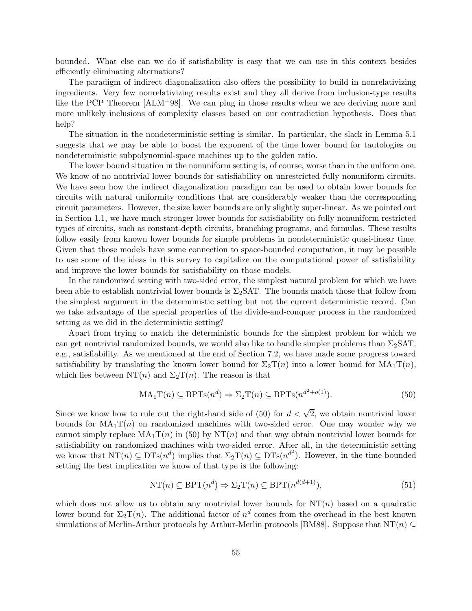bounded. What else can we do if satisfiability is easy that we can use in this context besides efficiently eliminating alternations?

The paradigm of indirect diagonalization also offers the possibility to build in nonrelativizing ingredients. Very few nonrelativizing results exist and they all derive from inclusion-type results like the PCP Theorem [ALM+98]. We can plug in those results when we are deriving more and more unlikely inclusions of complexity classes based on our contradiction hypothesis. Does that help?

The situation in the nondeterministic setting is similar. In particular, the slack in Lemma 5.1 suggests that we may be able to boost the exponent of the time lower bound for tautologies on nondeterministic subpolynomial-space machines up to the golden ratio.

The lower bound situation in the nonuniform setting is, of course, worse than in the uniform one. We know of no nontrivial lower bounds for satisfiability on unrestricted fully nonuniform circuits. We have seen how the indirect diagonalization paradigm can be used to obtain lower bounds for circuits with natural uniformity conditions that are considerably weaker than the corresponding circuit parameters. However, the size lower bounds are only slightly super-linear. As we pointed out in Section 1.1, we have much stronger lower bounds for satisfiability on fully nonuniform restricted types of circuits, such as constant-depth circuits, branching programs, and formulas. These results follow easily from known lower bounds for simple problems in nondeterministic quasi-linear time. Given that those models have some connection to space-bounded computation, it may be possible to use some of the ideas in this survey to capitalize on the computational power of satisfiability and improve the lower bounds for satisfiability on those models.

In the randomized setting with two-sided error, the simplest natural problem for which we have been able to establish nontrivial lower bounds is  $\Sigma_2$ SAT. The bounds match those that follow from the simplest argument in the deterministic setting but not the current deterministic record. Can we take advantage of the special properties of the divide-and-conquer process in the randomized setting as we did in the deterministic setting?

Apart from trying to match the deterministic bounds for the simplest problem for which we can get nontrivial randomized bounds, we would also like to handle simpler problems than  $\Sigma_2$ SAT, e.g., satisfiability. As we mentioned at the end of Section 7.2, we have made some progress toward satisfiability by translating the known lower bound for  $\Sigma_2T(n)$  into a lower bound for  $MA_1T(n)$ , which lies between  $NT(n)$  and  $\Sigma_2T(n)$ . The reason is that

$$
MA_1T(n) \subseteq BPTs(n^d) \Rightarrow \Sigma_2T(n) \subseteq BPTs(n^{d^2+o(1)}).
$$
\n(50)

Since we know how to rule out the right-hand side of (50) for  $d < \sqrt{2}$ , we obtain nontrivial lower bounds for  $MA_1T(n)$  on randomized machines with two-sided error. One may wonder why we cannot simply replace  $MA_1T(n)$  in (50) by  $NT(n)$  and that way obtain nontrivial lower bounds for satisfiability on randomized machines with two-sided error. After all, in the deterministic setting we know that  $NT(n) \subseteq DTs(n^d)$  implies that  $\Sigma_2T(n) \subseteq DTs(n^{d^2})$ . However, in the time-bounded setting the best implication we know of that type is the following:

$$
NT(n) \subseteq BPT(n^d) \Rightarrow \Sigma_2 T(n) \subseteq BPT(n^{d(d+1)}),
$$
\n(51)

which does not allow us to obtain any nontrivial lower bounds for  $NT(n)$  based on a quadratic lower bound for  $\Sigma_2 T(n)$ . The additional factor of  $n^d$  comes from the overhead in the best known simulations of Merlin-Arthur protocols by Arthur-Merlin protocols [BM88]. Suppose that NT(n)  $\subseteq$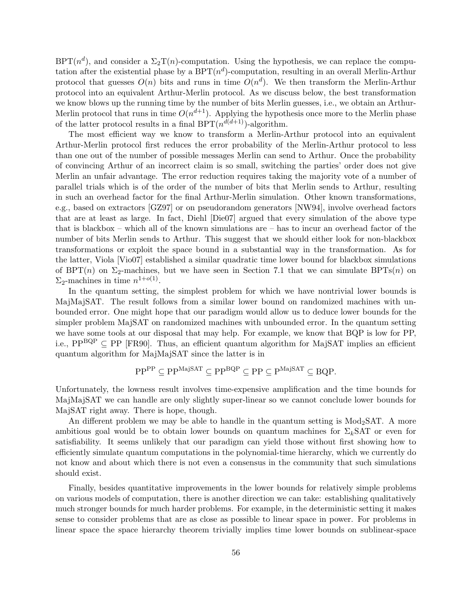$BPT(n^d)$ , and consider a  $\Sigma_2T(n)$ -computation. Using the hypothesis, we can replace the computation after the existential phase by a  $BPT(n^d)$ -computation, resulting in an overall Merlin-Arthur protocol that guesses  $O(n)$  bits and runs in time  $O(n^d)$ . We then transform the Merlin-Arthur protocol into an equivalent Arthur-Merlin protocol. As we discuss below, the best transformation we know blows up the running time by the number of bits Merlin guesses, i.e., we obtain an Arthur-Merlin protocol that runs in time  $O(n^{d+1})$ . Applying the hypothesis once more to the Merlin phase of the latter protocol results in a final  $BPT(n^{d(d+1)})$ -algorithm.

The most efficient way we know to transform a Merlin-Arthur protocol into an equivalent Arthur-Merlin protocol first reduces the error probability of the Merlin-Arthur protocol to less than one out of the number of possible messages Merlin can send to Arthur. Once the probability of convincing Arthur of an incorrect claim is so small, switching the parties' order does not give Merlin an unfair advantage. The error reduction requires taking the majority vote of a number of parallel trials which is of the order of the number of bits that Merlin sends to Arthur, resulting in such an overhead factor for the final Arthur-Merlin simulation. Other known transformations, e.g., based on extractors [GZ97] or on pseudorandom generators [NW94], involve overhead factors that are at least as large. In fact, Diehl [Die07] argued that every simulation of the above type that is blackbox – which all of the known simulations are – has to incur an overhead factor of the number of bits Merlin sends to Arthur. This suggest that we should either look for non-blackbox transformations or exploit the space bound in a substantial way in the transformation. As for the latter, Viola [Vio07] established a similar quadratic time lower bound for blackbox simulations of BPT(n) on  $\Sigma_2$ -machines, but we have seen in Section 7.1 that we can simulate BPTs(n) on  $\Sigma_2$ -machines in time  $n^{1+o(1)}$ .

In the quantum setting, the simplest problem for which we have nontrivial lower bounds is MajMajSAT. The result follows from a similar lower bound on randomized machines with unbounded error. One might hope that our paradigm would allow us to deduce lower bounds for the simpler problem MajSAT on randomized machines with unbounded error. In the quantum setting we have some tools at our disposal that may help. For example, we know that BQP is low for PP, i.e.,  $PP^{BQP} \subseteq PP$  [FR90]. Thus, an efficient quantum algorithm for MajSAT implies an efficient quantum algorithm for MajMajSAT since the latter is in

$$
PP^{PP} \subseteq PP^{MajSAT} \subseteq PP^{BQP} \subseteq PP \subseteq P^{MajSAT} \subseteq BQP.
$$

Unfortunately, the lowness result involves time-expensive amplification and the time bounds for MajMajSAT we can handle are only slightly super-linear so we cannot conclude lower bounds for MajSAT right away. There is hope, though.

An different problem we may be able to handle in the quantum setting is  $Mod<sub>2</sub>SAT$ . A more ambitious goal would be to obtain lower bounds on quantum machines for  $\Sigma_k$ SAT or even for satisfiability. It seems unlikely that our paradigm can yield those without first showing how to efficiently simulate quantum computations in the polynomial-time hierarchy, which we currently do not know and about which there is not even a consensus in the community that such simulations should exist.

Finally, besides quantitative improvements in the lower bounds for relatively simple problems on various models of computation, there is another direction we can take: establishing qualitatively much stronger bounds for much harder problems. For example, in the deterministic setting it makes sense to consider problems that are as close as possible to linear space in power. For problems in linear space the space hierarchy theorem trivially implies time lower bounds on sublinear-space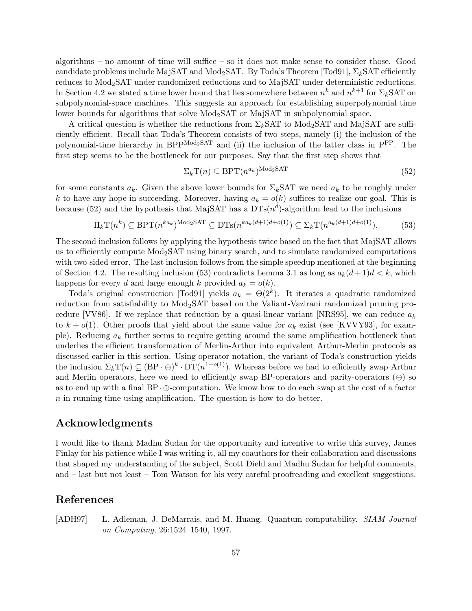algorithms – no amount of time will suffice – so it does not make sense to consider those. Good candidate problems include MajSAT and Mod<sub>2</sub>SAT. By Toda's Theorem [Tod91],  $\Sigma_k$ SAT efficiently reduces to Mod<sub>2</sub>SAT under randomized reductions and to MajSAT under deterministic reductions. In Section 4.2 we stated a time lower bound that lies somewhere between  $n^k$  and  $n^{k+1}$  for  $\Sigma_k$ SAT on subpolynomial-space machines. This suggests an approach for establishing superpolynomial time lower bounds for algorithms that solve Mod<sub>2</sub>SAT or MajSAT in subpolynomial space.

A critical question is whether the reductions from  $\Sigma_k$ SAT to Mod<sub>2</sub>SAT and MajSAT are sufficiently efficient. Recall that Toda's Theorem consists of two steps, namely (i) the inclusion of the polynomial-time hierarchy in BPP<sup>Mod<sub>2</sub>SAT</sup> and (ii) the inclusion of the latter class in P<sup>PP</sup>. The first step seems to be the bottleneck for our purposes. Say that the first step shows that

$$
\Sigma_k \mathcal{T}(n) \subseteq \text{BPT}(n^{a_k})^{\text{Mod}_2 \text{SAT}} \tag{52}
$$

for some constants  $a_k$ . Given the above lower bounds for  $\Sigma_k$ SAT we need  $a_k$  to be roughly under k to have any hope in succeeding. Moreover, having  $a_k = o(k)$  suffices to realize our goal. This is because (52) and the hypothesis that MajSAT has a  $DTs(n^d)$ -algorithm lead to the inclusions

$$
\Pi_k \mathcal{T}(n^k) \subseteq \text{BPT}(n^{ka_k})^{\text{Mod}_2 \text{SAT}} \subseteq \text{DTs}(n^{ka_k(d+1)d+o(1)}) \subseteq \Sigma_k \mathcal{T}(n^{a_k(d+1)d+o(1)}).
$$
 (53)

The second inclusion follows by applying the hypothesis twice based on the fact that MajSAT allows us to efficiently compute  $Mod_2SAT$  using binary search, and to simulate randomized computations with two-sided error. The last inclusion follows from the simple speedup mentioned at the beginning of Section 4.2. The resulting inclusion (53) contradicts Lemma 3.1 as long as  $a_k(d+1)d < k$ , which happens for every d and large enough k provided  $a_k = o(k)$ .

Toda's original construction [Tod91] yields  $a_k = \Theta(2^k)$ . It iterates a quadratic randomized reduction from satisfiability to Mod<sub>2</sub>SAT based on the Valiant-Vazirani randomized pruning procedure [VV86]. If we replace that reduction by a quasi-linear variant [NRS95], we can reduce  $a_k$ to  $k + o(1)$ . Other proofs that yield about the same value for  $a_k$  exist (see [KVVY93], for example). Reducing  $a_k$  further seems to require getting around the same amplification bottleneck that underlies the efficient transformation of Merlin-Arthur into equivalent Arthur-Merlin protocols as discussed earlier in this section. Using operator notation, the variant of Toda's construction yields the inclusion  $\Sigma_k \mathrm{T}(n) \subseteq (\mathrm{BP \cdot \oplus})^k \cdot \mathrm{DT}(n^{1+o(1)})$ . Whereas before we had to efficiently swap Arthur and Merlin operators, here we need to efficiently swap BP-operators and parity-operators  $(\oplus)$  so as to end up with a final  $BP \cdot \oplus$ -computation. We know how to do each swap at the cost of a factor  $n$  in running time using amplification. The question is how to do better.

# Acknowledgments

I would like to thank Madhu Sudan for the opportunity and incentive to write this survey, James Finlay for his patience while I was writing it, all my coauthors for their collaboration and discussions that shaped my understanding of the subject, Scott Diehl and Madhu Sudan for helpful comments, and – last but not least – Tom Watson for his very careful proofreading and excellent suggestions.

# References

[ADH97] L. Adleman, J. DeMarrais, and M. Huang. Quantum computability. SIAM Journal on Computing, 26:1524–1540, 1997.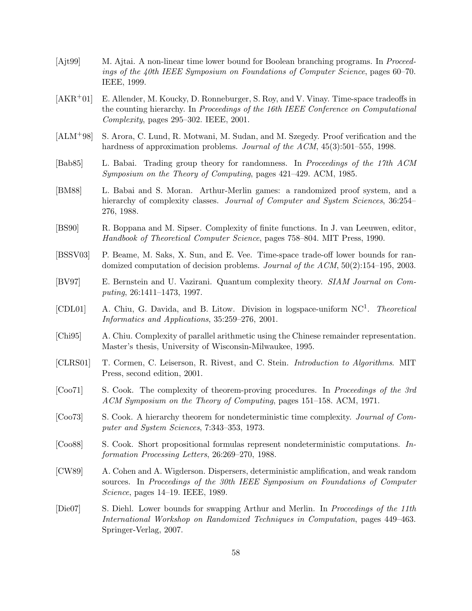- [Ajt99] M. Ajtai. A non-linear time lower bound for Boolean branching programs. In Proceedings of the 40th IEEE Symposium on Foundations of Computer Science, pages 60–70. IEEE, 1999.
- [AKR+01] E. Allender, M. Koucky, D. Ronneburger, S. Roy, and V. Vinay. Time-space tradeoffs in the counting hierarchy. In Proceedings of the 16th IEEE Conference on Computational Complexity, pages 295–302. IEEE, 2001.
- [ALM+98] S. Arora, C. Lund, R. Motwani, M. Sudan, and M. Szegedy. Proof verification and the hardness of approximation problems. *Journal of the ACM*, 45(3):501–555, 1998.
- [Bab85] L. Babai. Trading group theory for randomness. In Proceedings of the 17th ACM Symposium on the Theory of Computing, pages 421–429. ACM, 1985.
- [BM88] L. Babai and S. Moran. Arthur-Merlin games: a randomized proof system, and a hierarchy of complexity classes. Journal of Computer and System Sciences, 36:254– 276, 1988.
- [BS90] R. Boppana and M. Sipser. Complexity of finite functions. In J. van Leeuwen, editor, Handbook of Theoretical Computer Science, pages 758–804. MIT Press, 1990.
- [BSSV03] P. Beame, M. Saks, X. Sun, and E. Vee. Time-space trade-off lower bounds for randomized computation of decision problems. Journal of the ACM, 50(2):154–195, 2003.
- [BV97] E. Bernstein and U. Vazirani. Quantum complexity theory. SIAM Journal on Computing, 26:1411–1473, 1997.
- [CDL01] A. Chiu, G. Davida, and B. Litow. Division in logspace-uniform NC<sup>1</sup>. Theoretical Informatics and Applications, 35:259–276, 2001.
- [Chi95] A. Chiu. Complexity of parallel arithmetic using the Chinese remainder representation. Master's thesis, University of Wisconsin-Milwaukee, 1995.
- [CLRS01] T. Cormen, C. Leiserson, R. Rivest, and C. Stein. Introduction to Algorithms. MIT Press, second edition, 2001.
- [Coo71] S. Cook. The complexity of theorem-proving procedures. In Proceedings of the 3rd ACM Symposium on the Theory of Computing, pages 151–158. ACM, 1971.
- [Coo73] S. Cook. A hierarchy theorem for nondeterministic time complexity. Journal of Computer and System Sciences, 7:343–353, 1973.
- [Coo88] S. Cook. Short propositional formulas represent nondeterministic computations. Information Processing Letters, 26:269–270, 1988.
- [CW89] A. Cohen and A. Wigderson. Dispersers, deterministic amplification, and weak random sources. In Proceedings of the 30th IEEE Symposium on Foundations of Computer Science, pages 14–19. IEEE, 1989.
- [Die07] S. Diehl. Lower bounds for swapping Arthur and Merlin. In Proceedings of the 11th International Workshop on Randomized Techniques in Computation, pages 449–463. Springer-Verlag, 2007.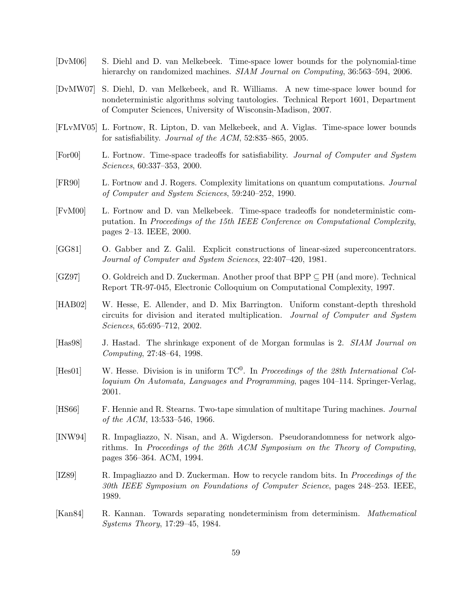- [DvM06] S. Diehl and D. van Melkebeek. Time-space lower bounds for the polynomial-time hierarchy on randomized machines. SIAM Journal on Computing, 36:563-594, 2006.
- [DvMW07] S. Diehl, D. van Melkebeek, and R. Williams. A new time-space lower bound for nondeterministic algorithms solving tautologies. Technical Report 1601, Department of Computer Sciences, University of Wisconsin-Madison, 2007.
- [FLvMV05] L. Fortnow, R. Lipton, D. van Melkebeek, and A. Viglas. Time-space lower bounds for satisfiability. *Journal of the ACM*,  $52:835-865$ ,  $2005$ .
- [For00] L. Fortnow. Time-space tradeoffs for satisfiability. Journal of Computer and System Sciences, 60:337–353, 2000.
- [FR90] L. Fortnow and J. Rogers. Complexity limitations on quantum computations. Journal of Computer and System Sciences, 59:240–252, 1990.
- [FvM00] L. Fortnow and D. van Melkebeek. Time-space tradeoffs for nondeterministic computation. In Proceedings of the 15th IEEE Conference on Computational Complexity, pages 2–13. IEEE, 2000.
- [GG81] O. Gabber and Z. Galil. Explicit constructions of linear-sized superconcentrators. Journal of Computer and System Sciences, 22:407–420, 1981.
- [GZ97] O. Goldreich and D. Zuckerman. Another proof that BPP ⊆ PH (and more). Technical Report TR-97-045, Electronic Colloquium on Computational Complexity, 1997.
- [HAB02] W. Hesse, E. Allender, and D. Mix Barrington. Uniform constant-depth threshold circuits for division and iterated multiplication. Journal of Computer and System Sciences, 65:695–712, 2002.
- [Has98] J. Hastad. The shrinkage exponent of de Morgan formulas is 2. SIAM Journal on Computing, 27:48–64, 1998.
- [Hes01] W. Hesse. Division is in uniform TC<sup>0</sup>. In Proceedings of the 28th International Colloquium On Automata, Languages and Programming, pages 104–114. Springer-Verlag, 2001.
- [HS66] F. Hennie and R. Stearns. Two-tape simulation of multitape Turing machines. Journal of the ACM, 13:533–546, 1966.
- [INW94] R. Impagliazzo, N. Nisan, and A. Wigderson. Pseudorandomness for network algorithms. In Proceedings of the 26th ACM Symposium on the Theory of Computing, pages 356–364. ACM, 1994.
- [IZ89] R. Impagliazzo and D. Zuckerman. How to recycle random bits. In *Proceedings of the* 30th IEEE Symposium on Foundations of Computer Science, pages 248–253. IEEE, 1989.
- [Kan84] R. Kannan. Towards separating nondeterminism from determinism. Mathematical Systems Theory, 17:29–45, 1984.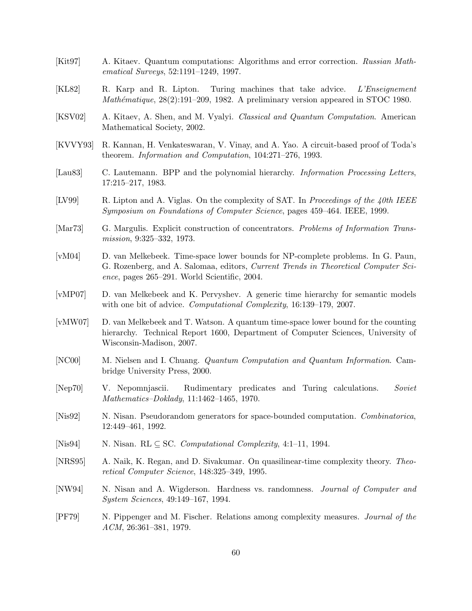- [Kit97] A. Kitaev. Quantum computations: Algorithms and error correction. Russian Mathematical Surveys, 52:1191–1249, 1997.
- [KL82] R. Karp and R. Lipton. Turing machines that take advice. L'Enseignement *Mathématique,*  $28(2):191-209$ , 1982. A preliminary version appeared in STOC 1980.
- [KSV02] A. Kitaev, A. Shen, and M. Vyalyi. Classical and Quantum Computation. American Mathematical Society, 2002.
- [KVVY93] R. Kannan, H. Venkateswaran, V. Vinay, and A. Yao. A circuit-based proof of Toda's theorem. Information and Computation, 104:271–276, 1993.
- [Lau83] C. Lautemann. BPP and the polynomial hierarchy. *Information Processing Letters*, 17:215–217, 1983.
- [LV99] R. Lipton and A. Viglas. On the complexity of SAT. In Proceedings of the 40th IEEE Symposium on Foundations of Computer Science, pages 459–464. IEEE, 1999.
- [Mar73] G. Margulis. Explicit construction of concentrators. Problems of Information Transmission, 9:325–332, 1973.
- [vM04] D. van Melkebeek. Time-space lower bounds for NP-complete problems. In G. Paun, G. Rozenberg, and A. Salomaa, editors, Current Trends in Theoretical Computer Science, pages 265–291. World Scientific, 2004.
- [vMP07] D. van Melkebeek and K. Pervyshev. A generic time hierarchy for semantic models with one bit of advice. Computational Complexity, 16:139-179, 2007.
- [vMW07] D. van Melkebeek and T. Watson. A quantum time-space lower bound for the counting hierarchy. Technical Report 1600, Department of Computer Sciences, University of Wisconsin-Madison, 2007.
- [NC00] M. Nielsen and I. Chuang. Quantum Computation and Quantum Information. Cambridge University Press, 2000.
- [Nep70] V. Nepomnjascii. Rudimentary predicates and Turing calculations. Soviet Mathematics–Doklady, 11:1462–1465, 1970.
- [Nis92] N. Nisan. Pseudorandom generators for space-bounded computation. Combinatorica, 12:449–461, 1992.
- [Nis94] N. Nisan. RL  $\subseteq$  SC. Computational Complexity, 4:1–11, 1994.
- [NRS95] A. Naik, K. Regan, and D. Sivakumar. On quasilinear-time complexity theory. Theoretical Computer Science, 148:325–349, 1995.
- [NW94] N. Nisan and A. Wigderson. Hardness vs. randomness. Journal of Computer and System Sciences, 49:149–167, 1994.
- [PF79] N. Pippenger and M. Fischer. Relations among complexity measures. Journal of the ACM, 26:361–381, 1979.